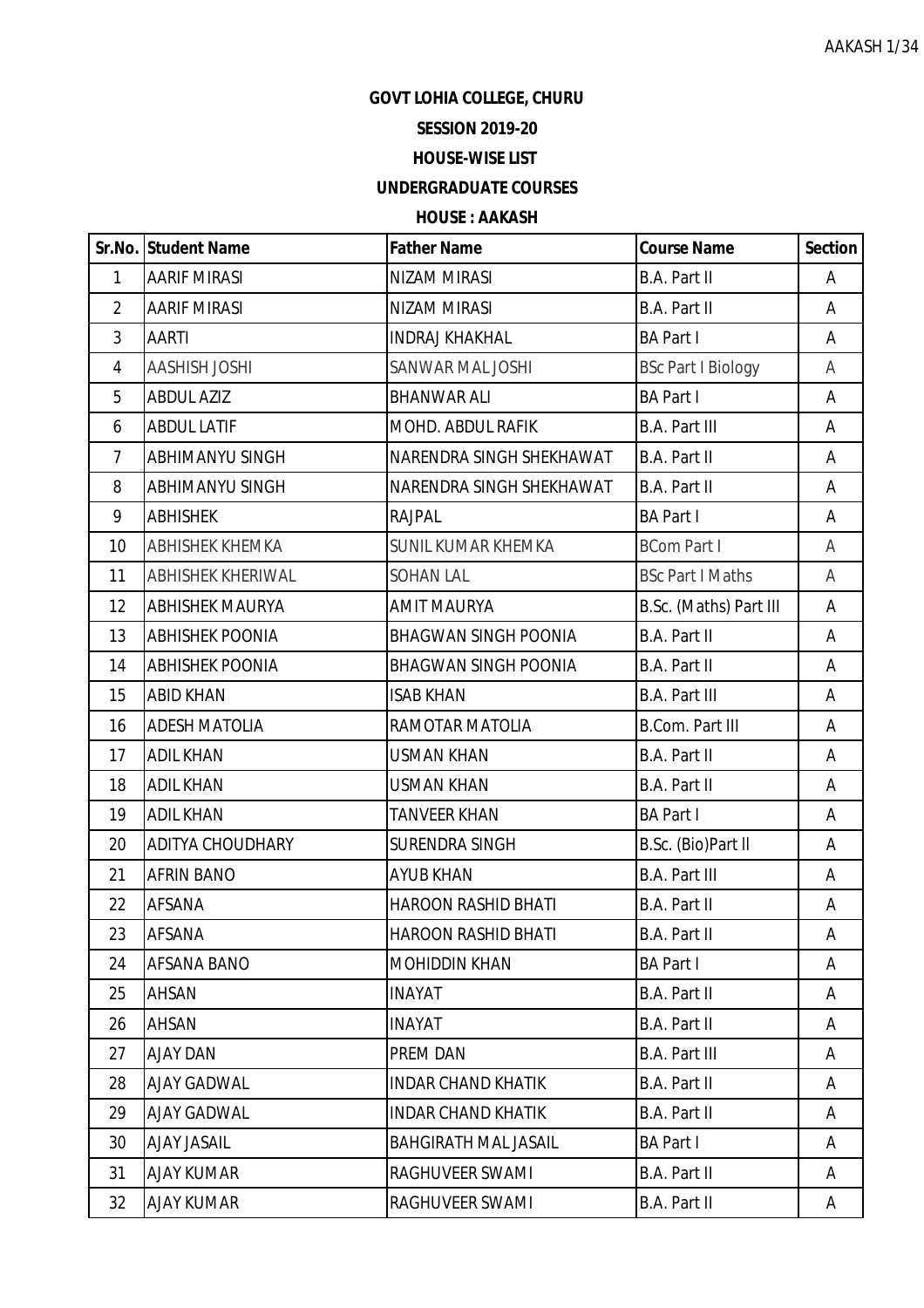## **GOVT LOHIA COLLEGE, CHURU**

# **SESSION 2019-20**

#### **HOUSE-WISE LIST**

## **UNDERGRADUATE COURSES**

## **HOUSE : AAKASH**

|                | Sr.No. Student Name      | <b>Father Name</b>          | <b>Course Name</b>        | <b>Section</b> |
|----------------|--------------------------|-----------------------------|---------------------------|----------------|
| 1              | <b>AARIF MIRASI</b>      | NIZAM MIRASI                | <b>B.A. Part II</b>       | Α              |
| $\overline{2}$ | <b>AARIF MIRASI</b>      | <b>NIZAM MIRASI</b>         | <b>B.A. Part II</b>       | A              |
| 3              | <b>AARTI</b>             | <b>INDRAJ KHAKHAL</b>       | <b>BA Part I</b>          | A              |
| $\overline{4}$ | <b>AASHISH JOSHI</b>     | SANWAR MAL JOSHI            | <b>BSc Part I Biology</b> | A              |
| 5              | <b>ABDUL AZIZ</b>        | <b>BHANWAR ALI</b>          | <b>BA Part I</b>          | A              |
| 6              | <b>ABDUL LATIF</b>       | MOHD. ABDUL RAFIK           | <b>B.A. Part III</b>      | Α              |
| $\overline{7}$ | <b>ABHIMANYU SINGH</b>   | NARENDRA SINGH SHEKHAWAT    | B.A. Part II              | A              |
| 8              | ABHIMANYU SINGH          | NARENDRA SINGH SHEKHAWAT    | B.A. Part II              | Α              |
| 9              | <b>ABHISHEK</b>          | <b>RAJPAL</b>               | <b>BA Part I</b>          | A              |
| 10             | <b>ABHISHEK KHEMKA</b>   | SUNIL KUMAR KHEMKA          | <b>BCom Part I</b>        | A              |
| 11             | <b>ABHISHEK KHERIWAL</b> | <b>SOHAN LAL</b>            | <b>BSc Part I Maths</b>   | Α              |
| 12             | <b>ABHISHEK MAURYA</b>   | <b>AMIT MAURYA</b>          | B.Sc. (Maths) Part III    | A              |
| 13             | <b>ABHISHEK POONIA</b>   | <b>BHAGWAN SINGH POONIA</b> | B.A. Part II              | A              |
| 14             | <b>ABHISHEK POONIA</b>   | <b>BHAGWAN SINGH POONIA</b> | <b>B.A. Part II</b>       | A              |
| 15             | <b>ABID KHAN</b>         | <b>ISAB KHAN</b>            | <b>B.A. Part III</b>      | A              |
| 16             | <b>ADESH MATOLIA</b>     | RAMOTAR MATOLIA             | <b>B.Com. Part III</b>    | Α              |
| 17             | <b>ADIL KHAN</b>         | <b>USMAN KHAN</b>           | <b>B.A. Part II</b>       | A              |
| 18             | <b>ADIL KHAN</b>         | <b>USMAN KHAN</b>           | B.A. Part II              | A              |
| 19             | <b>ADIL KHAN</b>         | <b>TANVEER KHAN</b>         | <b>BA Part I</b>          | A              |
| 20             | <b>ADITYA CHOUDHARY</b>  | <b>SURENDRA SINGH</b>       | B.Sc. (Bio)Part II        | A              |
| 21             | <b>AFRIN BANO</b>        | <b>AYUB KHAN</b>            | <b>B.A. Part III</b>      | Α              |
| 22             | AFSANA                   | <b>HAROON RASHID BHATI</b>  | B.A. Part II              | A              |
| 23             | <b>AFSANA</b>            | <b>HAROON RASHID BHATI</b>  | B.A. Part II              | A              |
| 24             | <b>AFSANA BANO</b>       | <b>MOHIDDIN KHAN</b>        | <b>BA Part I</b>          | Α              |
| 25             | AHSAN                    | <b>INAYAT</b>               | B.A. Part II              | A              |
| 26             | AHSAN                    | <b>INAYAT</b>               | B.A. Part II              | A              |
| 27             | AJAY DAN                 | PREM DAN                    | <b>B.A. Part III</b>      | A              |
| 28             | <b>AJAY GADWAL</b>       | <b>INDAR CHAND KHATIK</b>   | B.A. Part II              | A              |
| 29             | <b>AJAY GADWAL</b>       | <b>INDAR CHAND KHATIK</b>   | B.A. Part II              | A              |
| 30             | <b>AJAY JASAIL</b>       | <b>BAHGIRATH MAL JASAIL</b> | <b>BA Part I</b>          | A              |
| 31             | <b>AJAY KUMAR</b>        | RAGHUVEER SWAMI             | B.A. Part II              | A              |
| 32             | <b>AJAY KUMAR</b>        | RAGHUVEER SWAMI             | B.A. Part II              | A              |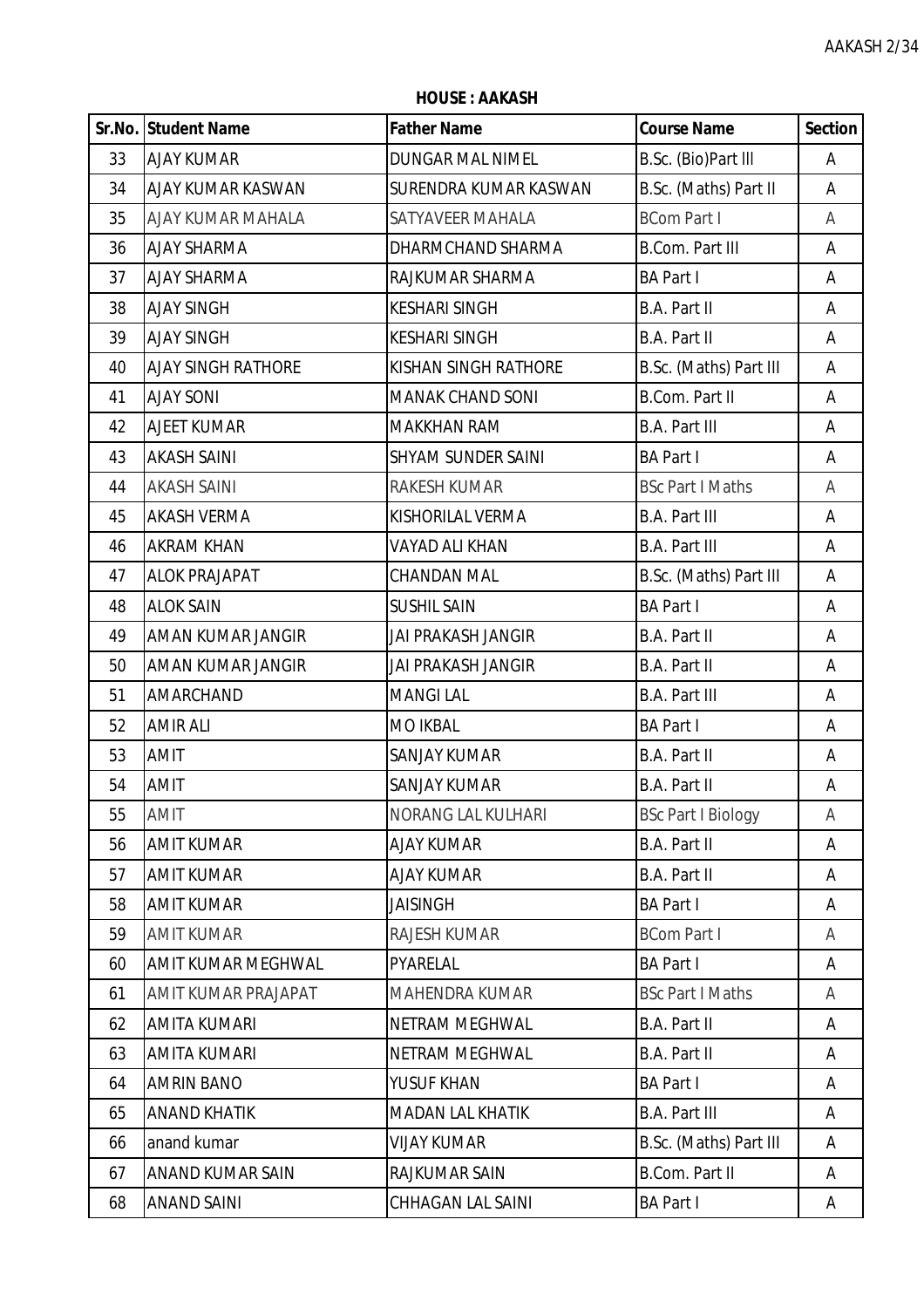**HOUSE : AAKASH**

|    | Sr.No. Student Name       | <b>Father Name</b>        | <b>Course Name</b>        | <b>Section</b> |
|----|---------------------------|---------------------------|---------------------------|----------------|
| 33 | <b>AJAY KUMAR</b>         | DUNGAR MAL NIMEL          | B.Sc. (Bio)Part III       | Α              |
| 34 | AJAY KUMAR KASWAN         | SURENDRA KUMAR KASWAN     | B.Sc. (Maths) Part II     | Α              |
| 35 | AJAY KUMAR MAHALA         | SATYAVEER MAHALA          | <b>BCom Part I</b>        | A              |
| 36 | <b>AJAY SHARMA</b>        | DHARMCHAND SHARMA         | <b>B.Com. Part III</b>    | Α              |
| 37 | <b>AJAY SHARMA</b>        | RAJKUMAR SHARMA           | <b>BA Part I</b>          | A              |
| 38 | <b>AJAY SINGH</b>         | <b>KESHARI SINGH</b>      | B.A. Part II              | Α              |
| 39 | <b>AJAY SINGH</b>         | <b>KESHARI SINGH</b>      | B.A. Part II              | Α              |
| 40 | <b>AJAY SINGH RATHORE</b> | KISHAN SINGH RATHORE      | B.Sc. (Maths) Part III    | A              |
| 41 | <b>AJAY SONI</b>          | <b>MANAK CHAND SONI</b>   | <b>B.Com. Part II</b>     | Α              |
| 42 | AJEET KUMAR               | <b>MAKKHAN RAM</b>        | <b>B.A. Part III</b>      | A              |
| 43 | <b>AKASH SAINI</b>        | <b>SHYAM SUNDER SAINI</b> | <b>BA Part I</b>          | Α              |
| 44 | <b>AKASH SAINI</b>        | <b>RAKESH KUMAR</b>       | <b>BSc Part I Maths</b>   | Α              |
| 45 | <b>AKASH VERMA</b>        | KISHORILAL VERMA          | <b>B.A. Part III</b>      | A              |
| 46 | <b>AKRAM KHAN</b>         | VAYAD ALI KHAN            | <b>B.A. Part III</b>      | A              |
| 47 | <b>ALOK PRAJAPAT</b>      | <b>CHANDAN MAL</b>        | B.Sc. (Maths) Part III    | Α              |
| 48 | <b>ALOK SAIN</b>          | <b>SUSHIL SAIN</b>        | <b>BA Part I</b>          | Α              |
| 49 | AMAN KUMAR JANGIR         | <b>JAI PRAKASH JANGIR</b> | B.A. Part II              | Α              |
| 50 | AMAN KUMAR JANGIR         | <b>JAI PRAKASH JANGIR</b> | B.A. Part II              | A              |
| 51 | AMARCHAND                 | <b>MANGILAL</b>           | <b>B.A. Part III</b>      | Α              |
| 52 | <b>AMIR ALI</b>           | <b>MO IKBAL</b>           | <b>BA Part I</b>          | A              |
| 53 | <b>AMIT</b>               | <b>SANJAY KUMAR</b>       | B.A. Part II              | Α              |
| 54 | AMIT                      | <b>SANJAY KUMAR</b>       | <b>B.A. Part II</b>       | A              |
| 55 | <b>AMIT</b>               | <b>NORANG LAL KULHARI</b> | <b>BSc Part I Biology</b> | A              |
| 56 | <b>AMIT KUMAR</b>         | <b>AJAY KUMAR</b>         | <b>B.A. Part II</b>       | A              |
| 57 | <b>AMIT KUMAR</b>         | <b>AJAY KUMAR</b>         | <b>B.A. Part II</b>       | A              |
| 58 | <b>AMIT KUMAR</b>         | <b>JAISINGH</b>           | <b>BA Part I</b>          | Α              |
| 59 | <b>AMIT KUMAR</b>         | <b>RAJESH KUMAR</b>       | <b>BCom Part I</b>        | A              |
| 60 | AMIT KUMAR MEGHWAL        | PYARELAL                  | <b>BA Part I</b>          | A              |
| 61 | AMIT KUMAR PRAJAPAT       | <b>MAHENDRA KUMAR</b>     | <b>BSc Part I Maths</b>   | A              |
| 62 | <b>AMITA KUMARI</b>       | NETRAM MEGHWAL            | B.A. Part II              | A              |
| 63 | <b>AMITA KUMARI</b>       | NETRAM MEGHWAL            | <b>B.A. Part II</b>       | Α              |
| 64 | <b>AMRIN BANO</b>         | YUSUF KHAN                | <b>BA Part I</b>          | A              |
| 65 | <b>ANAND KHATIK</b>       | <b>MADAN LAL KHATIK</b>   | <b>B.A. Part III</b>      | A              |
| 66 | anand kumar               | <b>VIJAY KUMAR</b>        | B.Sc. (Maths) Part III    | A              |
| 67 | ANAND KUMAR SAIN          | RAJKUMAR SAIN             | <b>B.Com. Part II</b>     | A              |
| 68 | <b>ANAND SAINI</b>        | CHHAGAN LAL SAINI         | <b>BA Part I</b>          | A              |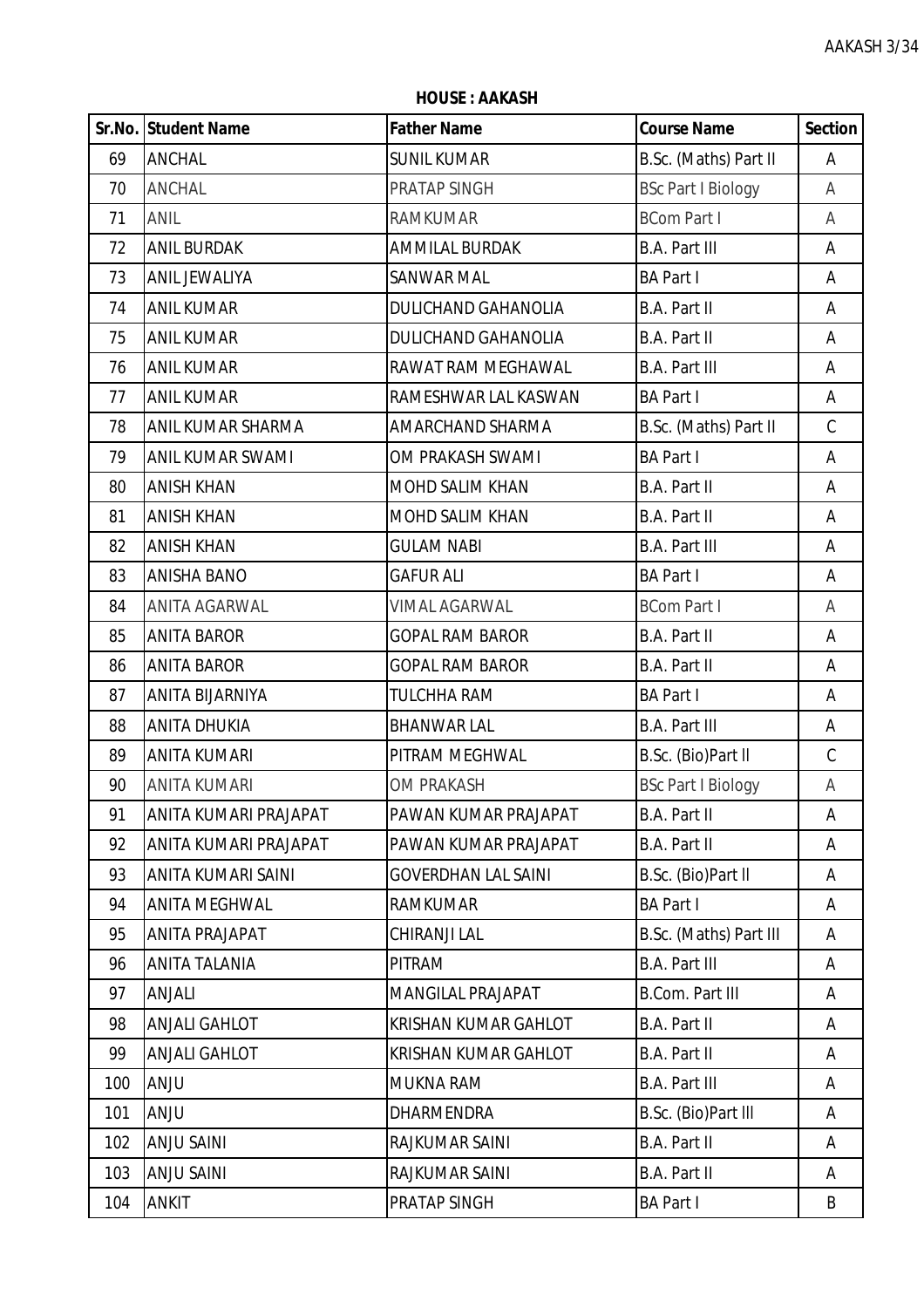**HOUSE : AAKASH**

|     | Sr.No. Student Name   | <b>Father Name</b>          | <b>Course Name</b>        | <b>Section</b> |
|-----|-----------------------|-----------------------------|---------------------------|----------------|
| 69  | <b>ANCHAL</b>         | <b>SUNIL KUMAR</b>          | B.Sc. (Maths) Part II     | Α              |
| 70  | <b>ANCHAL</b>         | PRATAP SINGH                | <b>BSc Part I Biology</b> | A              |
| 71  | ANIL                  | <b>RAMKUMAR</b>             | <b>BCom Part I</b>        | A              |
| 72  | <b>ANIL BURDAK</b>    | <b>AMMILAL BURDAK</b>       | <b>B.A. Part III</b>      | A              |
| 73  | <b>ANIL JEWALIYA</b>  | <b>SANWAR MAL</b>           | <b>BA Part I</b>          | A              |
| 74  | <b>ANIL KUMAR</b>     | DULICHAND GAHANOLIA         | <b>B.A. Part II</b>       | Α              |
| 75  | <b>ANIL KUMAR</b>     | <b>DULICHAND GAHANOLIA</b>  | <b>B.A. Part II</b>       | Α              |
| 76  | <b>ANIL KUMAR</b>     | RAWAT RAM MEGHAWAL          | <b>B.A. Part III</b>      | A              |
| 77  | <b>ANIL KUMAR</b>     | RAMESHWAR LAL KASWAN        | <b>BA Part I</b>          | A              |
| 78  | ANIL KUMAR SHARMA     | AMARCHAND SHARMA            | B.Sc. (Maths) Part II     | $\mathsf C$    |
| 79  | ANIL KUMAR SWAMI      | OM PRAKASH SWAMI            | <b>BA Part I</b>          | Α              |
| 80  | <b>ANISH KHAN</b>     | MOHD SALIM KHAN             | <b>B.A. Part II</b>       | Α              |
| 81  | <b>ANISH KHAN</b>     | MOHD SALIM KHAN             | <b>B.A. Part II</b>       | A              |
| 82  | <b>ANISH KHAN</b>     | <b>GULAM NABI</b>           | <b>B.A. Part III</b>      | Α              |
| 83  | <b>ANISHA BANO</b>    | <b>GAFUR ALI</b>            | <b>BA Part I</b>          | A              |
| 84  | ANITA AGARWAL         | <b>VIMAL AGARWAL</b>        | <b>BCom Part I</b>        | Α              |
| 85  | <b>ANITA BAROR</b>    | <b>GOPAL RAM BAROR</b>      | <b>B.A. Part II</b>       | Α              |
| 86  | <b>ANITA BAROR</b>    | <b>GOPAL RAM BAROR</b>      | <b>B.A. Part II</b>       | A              |
| 87  | ANITA BIJARNIYA       | TULCHHA RAM                 | <b>BA Part I</b>          | Α              |
| 88  | <b>ANITA DHUKIA</b>   | <b>BHANWAR LAL</b>          | <b>B.A. Part III</b>      | A              |
| 89  | <b>ANITA KUMARI</b>   | PITRAM MEGHWAL              | B.Sc. (Bio)Part II        | $\mathsf C$    |
| 90  | <b>ANITA KUMARI</b>   | <b>OM PRAKASH</b>           | <b>BSc Part I Biology</b> | A              |
| 91  | ANITA KUMARI PRAJAPAT | PAWAN KUMAR PRAJAPAT        | <b>B.A. Part II</b>       | Α              |
| 92  | ANITA KUMARI PRAJAPAT | PAWAN KUMAR PRAJAPAT        | <b>B.A. Part II</b>       | A              |
| 93  | ANITA KUMARI SAINI    | <b>GOVERDHAN LAL SAINI</b>  | B.Sc. (Bio)Part II        | Α              |
| 94  | <b>ANITA MEGHWAL</b>  | <b>RAMKUMAR</b>             | <b>BA Part I</b>          | Α              |
| 95  | ANITA PRAJAPAT        | CHIRANJI LAL                | B.Sc. (Maths) Part III    | Α              |
| 96  | ANITA TALANIA         | PITRAM                      | <b>B.A. Part III</b>      | A              |
| 97  | ANJALI                | <b>MANGILAL PRAJAPAT</b>    | <b>B.Com. Part III</b>    | A              |
| 98  | ANJALI GAHLOT         | <b>KRISHAN KUMAR GAHLOT</b> | <b>B.A. Part II</b>       | Α              |
| 99  | ANJALI GAHLOT         | <b>KRISHAN KUMAR GAHLOT</b> | <b>B.A. Part II</b>       | A              |
| 100 | <b>ANJU</b>           | <b>MUKNA RAM</b>            | <b>B.A. Part III</b>      | A              |
| 101 | <b>ANJU</b>           | DHARMENDRA                  | B.Sc. (Bio)Part III       | A              |
| 102 | <b>ANJU SAINI</b>     | RAJKUMAR SAINI              | <b>B.A. Part II</b>       | A              |
| 103 | <b>ANJU SAINI</b>     | RAJKUMAR SAINI              | <b>B.A. Part II</b>       | A              |
| 104 | <b>ANKIT</b>          | PRATAP SINGH                | <b>BA Part I</b>          | B              |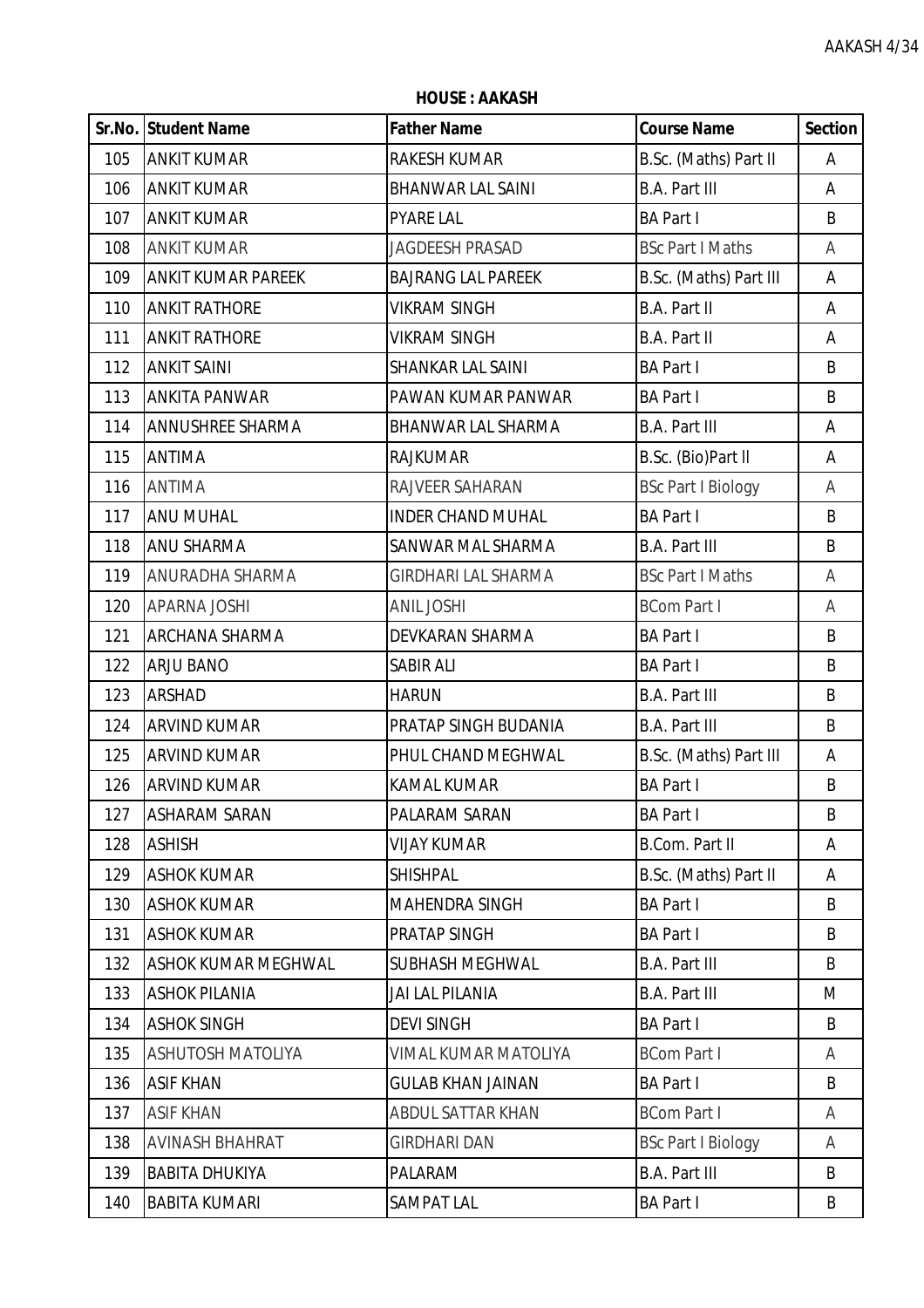**HOUSE : AAKASH**

|     | <b>Sr.No. Student Name</b> | <b>Father Name</b>         | <b>Course Name</b>        | <b>Section</b> |
|-----|----------------------------|----------------------------|---------------------------|----------------|
| 105 | <b>ANKIT KUMAR</b>         | RAKESH KUMAR               | B.Sc. (Maths) Part II     | Α              |
| 106 | <b>ANKIT KUMAR</b>         | <b>BHANWAR LAL SAINI</b>   | <b>B.A. Part III</b>      | A              |
| 107 | <b>ANKIT KUMAR</b>         | <b>PYARE LAL</b>           | <b>BA Part I</b>          | B              |
| 108 | <b>ANKIT KUMAR</b>         | <b>JAGDEESH PRASAD</b>     | <b>BSc Part I Maths</b>   | Α              |
| 109 | <b>ANKIT KUMAR PAREEK</b>  | <b>BAJRANG LAL PAREEK</b>  | B.Sc. (Maths) Part III    | A              |
| 110 | <b>ANKIT RATHORE</b>       | <b>VIKRAM SINGH</b>        | B.A. Part II              | Α              |
| 111 | <b>ANKIT RATHORE</b>       | <b>VIKRAM SINGH</b>        | <b>B.A. Part II</b>       | Α              |
| 112 | <b>ANKIT SAINI</b>         | SHANKAR LAL SAINI          | <b>BA Part I</b>          | B              |
| 113 | <b>ANKITA PANWAR</b>       | PAWAN KUMAR PANWAR         | <b>BA Part I</b>          | B              |
| 114 | <b>ANNUSHREE SHARMA</b>    | <b>BHANWAR LAL SHARMA</b>  | <b>B.A. Part III</b>      | Α              |
| 115 | <b>ANTIMA</b>              | <b>RAJKUMAR</b>            | B.Sc. (Bio)Part II        | Α              |
| 116 | <b>ANTIMA</b>              | RAJVEER SAHARAN            | <b>BSc Part I Biology</b> | Α              |
| 117 | <b>ANU MUHAL</b>           | <b>INDER CHAND MUHAL</b>   | <b>BA Part I</b>          | B              |
| 118 | <b>ANU SHARMA</b>          | SANWAR MAL SHARMA          | <b>B.A. Part III</b>      | B              |
| 119 | ANURADHA SHARMA            | <b>GIRDHARI LAL SHARMA</b> | <b>BSc Part I Maths</b>   | A              |
| 120 | <b>APARNA JOSHI</b>        | <b>ANIL JOSHI</b>          | <b>BCom Part I</b>        | Α              |
| 121 | <b>ARCHANA SHARMA</b>      | DEVKARAN SHARMA            | <b>BA Part I</b>          | B              |
| 122 | <b>ARJU BANO</b>           | <b>SABIR ALI</b>           | <b>BA Part I</b>          | B              |
| 123 | <b>ARSHAD</b>              | <b>HARUN</b>               | <b>B.A. Part III</b>      | B              |
| 124 | <b>ARVIND KUMAR</b>        | PRATAP SINGH BUDANIA       | <b>B.A. Part III</b>      | B              |
| 125 | <b>ARVIND KUMAR</b>        | PHUL CHAND MEGHWAL         | B.Sc. (Maths) Part III    | Α              |
| 126 | <b>ARVIND KUMAR</b>        | <b>KAMAL KUMAR</b>         | <b>BA Part I</b>          | B              |
| 127 | <b>ASHARAM SARAN</b>       | PALARAM SARAN              | <b>BA Part I</b>          | B              |
| 128 | <b>ASHISH</b>              | <b>VIJAY KUMAR</b>         | <b>B.Com. Part II</b>     | Α              |
| 129 | <b>ASHOK KUMAR</b>         | <b>SHISHPAL</b>            | B.Sc. (Maths) Part II     | Α              |
| 130 | <b>ASHOK KUMAR</b>         | <b>MAHENDRA SINGH</b>      | <b>BA Part I</b>          | B              |
| 131 | <b>ASHOK KUMAR</b>         | PRATAP SINGH               | <b>BA Part I</b>          | B              |
| 132 | <b>ASHOK KUMAR MEGHWAL</b> | SUBHASH MEGHWAL            | <b>B.A. Part III</b>      | B              |
| 133 | <b>ASHOK PILANIA</b>       | <b>JAI LAL PILANIA</b>     | <b>B.A. Part III</b>      | M              |
| 134 | <b>ASHOK SINGH</b>         | <b>DEVI SINGH</b>          | <b>BA Part I</b>          | B              |
| 135 | <b>ASHUTOSH MATOLIYA</b>   | VIMAL KUMAR MATOLIYA       | <b>BCom Part I</b>        | A              |
| 136 | <b>ASIF KHAN</b>           | <b>GULAB KHAN JAINAN</b>   | <b>BA Part I</b>          | B              |
| 137 | <b>ASIF KHAN</b>           | ABDUL SATTAR KHAN          | <b>BCom Part I</b>        | A              |
| 138 | <b>AVINASH BHAHRAT</b>     | <b>GIRDHARI DAN</b>        | <b>BSc Part I Biology</b> | A              |
| 139 | <b>BABITA DHUKIYA</b>      | PALARAM                    | <b>B.A. Part III</b>      | B              |
| 140 | <b>BABITA KUMARI</b>       | SAMPAT LAL                 | <b>BA Part I</b>          | B              |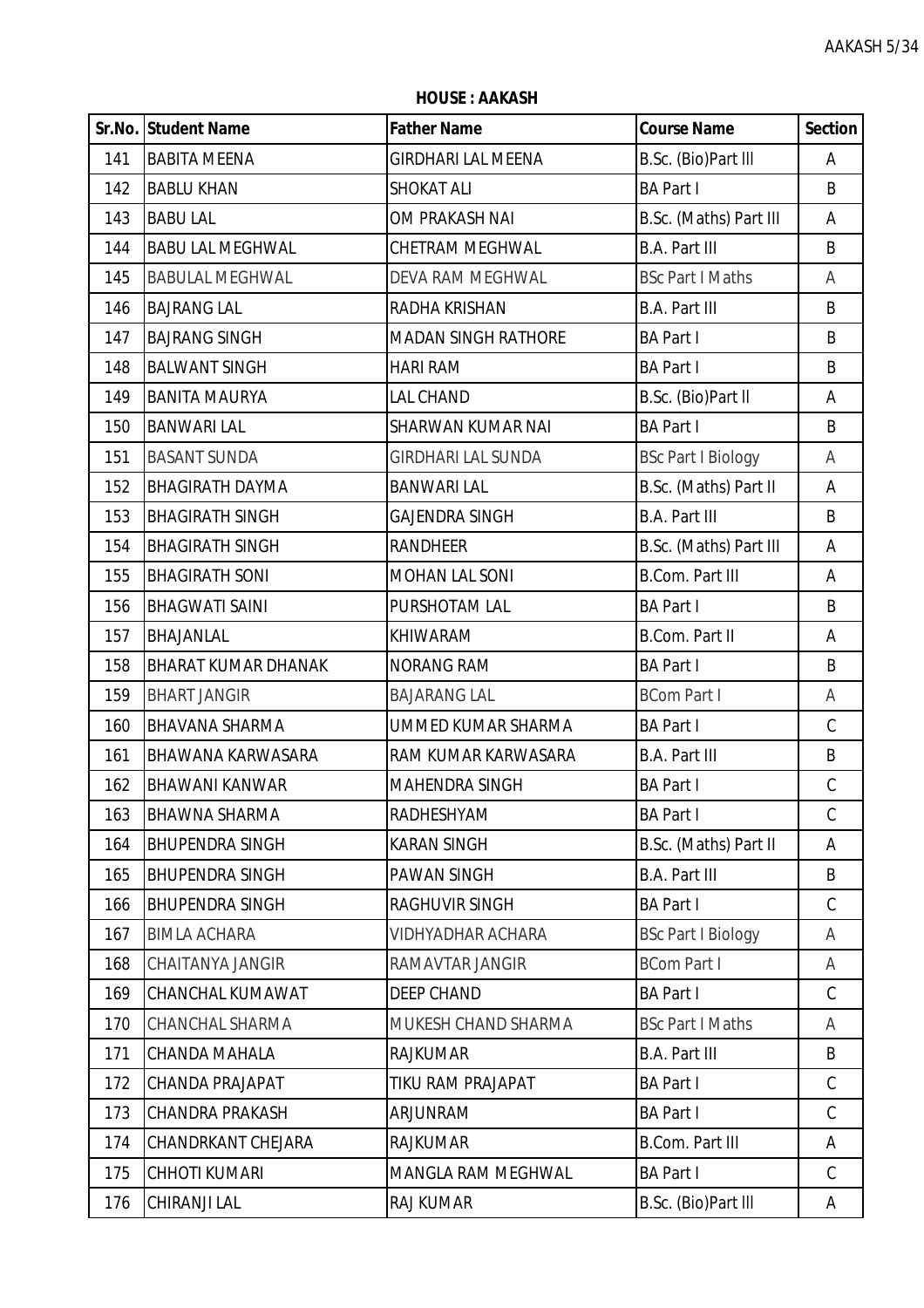**HOUSE : AAKASH**

|     | Sr.No. Student Name        | <b>Father Name</b>         | <b>Course Name</b>        | <b>Section</b> |
|-----|----------------------------|----------------------------|---------------------------|----------------|
| 141 | <b>BABITA MEENA</b>        | <b>GIRDHARI LAL MEENA</b>  | B.Sc. (Bio)Part III       | Α              |
| 142 | <b>BABLU KHAN</b>          | <b>SHOKAT ALI</b>          | <b>BA Part I</b>          | B              |
| 143 | <b>BABU LAL</b>            | OM PRAKASH NAI             | B.Sc. (Maths) Part III    | A              |
| 144 | <b>BABU LAL MEGHWAL</b>    | CHETRAM MEGHWAL            | <b>B.A. Part III</b>      | B              |
| 145 | <b>BABULAL MEGHWAL</b>     | <b>DEVA RAM MEGHWAL</b>    | <b>BSc Part I Maths</b>   | A              |
| 146 | <b>BAJRANG LAL</b>         | RADHA KRISHAN              | <b>B.A. Part III</b>      | B              |
| 147 | <b>BAJRANG SINGH</b>       | <b>MADAN SINGH RATHORE</b> | <b>BA Part I</b>          | B              |
| 148 | <b>BALWANT SINGH</b>       | <b>HARI RAM</b>            | <b>BA Part I</b>          | B              |
| 149 | <b>BANITA MAURYA</b>       | LAL CHAND                  | B.Sc. (Bio)Part II        | Α              |
| 150 | <b>BANWARI LAL</b>         | SHARWAN KUMAR NAI          | <b>BA Part I</b>          | B              |
| 151 | <b>BASANT SUNDA</b>        | <b>GIRDHARI LAL SUNDA</b>  | <b>BSc Part I Biology</b> | A              |
| 152 | <b>BHAGIRATH DAYMA</b>     | <b>BANWARI LAL</b>         | B.Sc. (Maths) Part II     | Α              |
| 153 | <b>BHAGIRATH SINGH</b>     | <b>GAJENDRA SINGH</b>      | <b>B.A. Part III</b>      | B              |
| 154 | <b>BHAGIRATH SINGH</b>     | <b>RANDHEER</b>            | B.Sc. (Maths) Part III    | Α              |
| 155 | <b>BHAGIRATH SONI</b>      | <b>MOHAN LAL SONI</b>      | <b>B.Com. Part III</b>    | Α              |
| 156 | <b>BHAGWATI SAINI</b>      | PURSHOTAM LAL              | <b>BA Part I</b>          | B              |
| 157 | BHAJANLAL                  | KHIWARAM                   | <b>B.Com. Part II</b>     | Α              |
| 158 | <b>BHARAT KUMAR DHANAK</b> | <b>NORANG RAM</b>          | <b>BA Part I</b>          | B              |
| 159 | <b>BHART JANGIR</b>        | <b>BAJARANG LAL</b>        | <b>BCom Part I</b>        | Α              |
| 160 | <b>BHAVANA SHARMA</b>      | UMMED KUMAR SHARMA         | <b>BA Part I</b>          | $\mathsf C$    |
| 161 | <b>BHAWANA KARWASARA</b>   | RAM KUMAR KARWASARA        | <b>B.A. Part III</b>      | B              |
| 162 | <b>BHAWANI KANWAR</b>      | MAHENDRA SINGH             | <b>BA Part I</b>          | $\mathsf C$    |
| 163 | <b>BHAWNA SHARMA</b>       | RADHESHYAM                 | <b>BA Part I</b>          | $\mathcal{C}$  |
| 164 | <b>BHUPENDRA SINGH</b>     | <b>KARAN SINGH</b>         | B.Sc. (Maths) Part II     | Α              |
| 165 | <b>BHUPENDRA SINGH</b>     | <b>PAWAN SINGH</b>         | <b>B.A. Part III</b>      | B              |
| 166 | <b>BHUPENDRA SINGH</b>     | <b>RAGHUVIR SINGH</b>      | <b>BA Part I</b>          | $\mathsf C$    |
| 167 | <b>BIMLA ACHARA</b>        | <b>VIDHYADHAR ACHARA</b>   | <b>BSc Part I Biology</b> | A              |
| 168 | CHAITANYA JANGIR           | RAMAVTAR JANGIR            | <b>BCom Part I</b>        | A              |
| 169 | CHANCHAL KUMAWAT           | <b>DEEP CHAND</b>          | <b>BA Part I</b>          | $\mathsf C$    |
| 170 | <b>CHANCHAL SHARMA</b>     | MUKESH CHAND SHARMA        | <b>BSc Part I Maths</b>   | A              |
| 171 | CHANDA MAHALA              | <b>RAJKUMAR</b>            | <b>B.A. Part III</b>      | B              |
| 172 | CHANDA PRAJAPAT            | TIKU RAM PRAJAPAT          | <b>BA Part I</b>          | $\mathsf C$    |
| 173 | <b>CHANDRA PRAKASH</b>     | ARJUNRAM                   | <b>BA Part I</b>          | $\mathcal{C}$  |
| 174 | CHANDRKANT CHEJARA         | <b>RAJKUMAR</b>            | <b>B.Com. Part III</b>    | Α              |
| 175 | <b>CHHOTI KUMARI</b>       | MANGLA RAM MEGHWAL         | <b>BA Part I</b>          | $\mathsf C$    |
| 176 | CHIRANJI LAL               | <b>RAJ KUMAR</b>           | B.Sc. (Bio)Part III       | A              |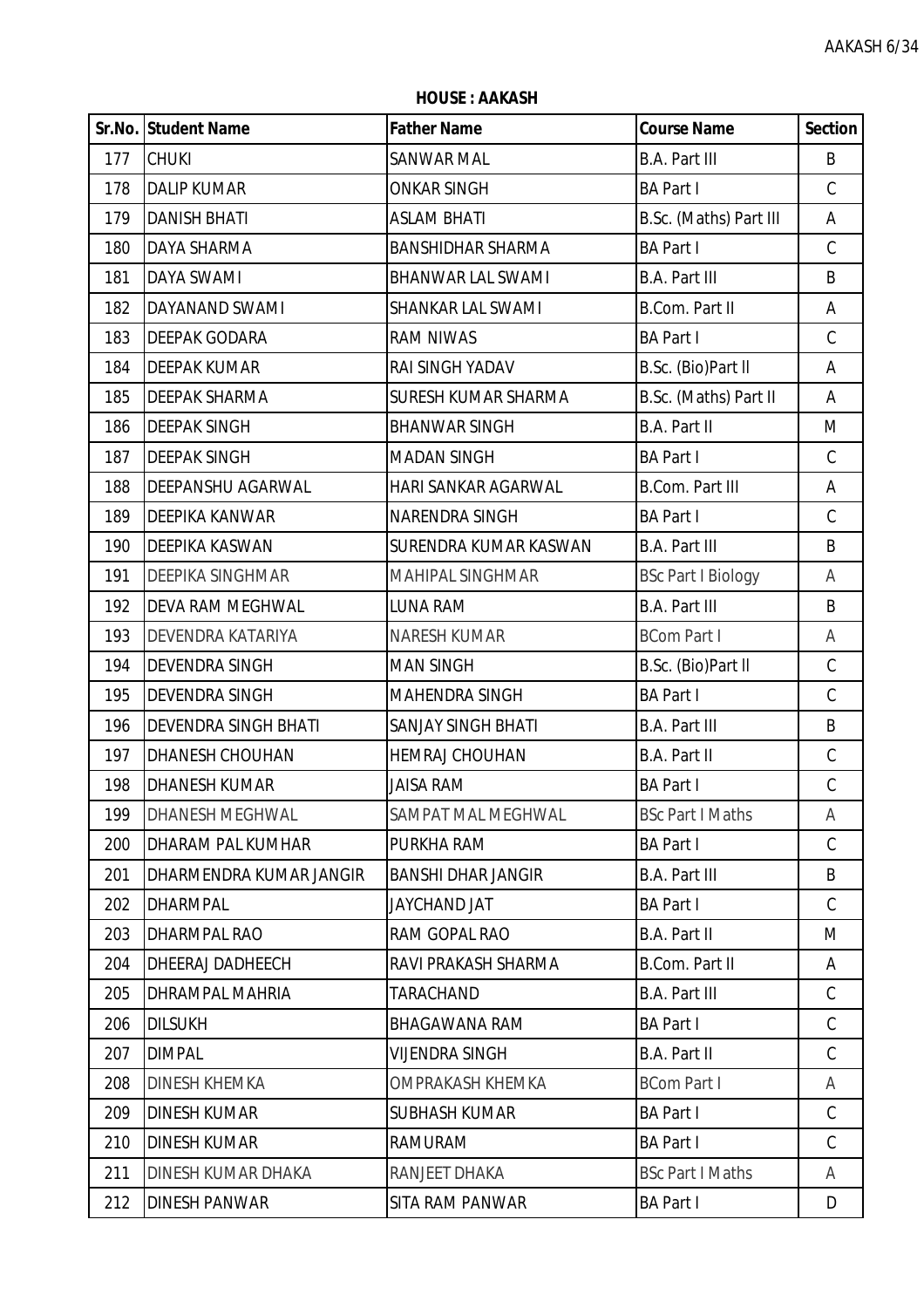**HOUSE : AAKASH**

|     | Sr.No. Student Name         | <b>Father Name</b>        | <b>Course Name</b>        | <b>Section</b> |
|-----|-----------------------------|---------------------------|---------------------------|----------------|
| 177 | <b>CHUKI</b>                | SANWAR MAL                | <b>B.A. Part III</b>      | B              |
| 178 | <b>DALIP KUMAR</b>          | <b>ONKAR SINGH</b>        | <b>BA Part I</b>          | $\mathsf C$    |
| 179 | <b>DANISH BHATI</b>         | <b>ASLAM BHATI</b>        | B.Sc. (Maths) Part III    | Α              |
| 180 | <b>DAYA SHARMA</b>          | <b>BANSHIDHAR SHARMA</b>  | <b>BA Part I</b>          | $\mathsf C$    |
| 181 | <b>DAYA SWAMI</b>           | <b>BHANWAR LAL SWAMI</b>  | <b>B.A. Part III</b>      | B              |
| 182 | DAYANAND SWAMI              | SHANKAR LAL SWAMI         | <b>B.Com. Part II</b>     | Α              |
| 183 | <b>DEEPAK GODARA</b>        | <b>RAM NIWAS</b>          | <b>BA Part I</b>          | $\mathsf C$    |
| 184 | <b>DEEPAK KUMAR</b>         | RAI SINGH YADAV           | B.Sc. (Bio)Part II        | Α              |
| 185 | <b>DEEPAK SHARMA</b>        | SURESH KUMAR SHARMA       | B.Sc. (Maths) Part II     | Α              |
| 186 | <b>DEEPAK SINGH</b>         | <b>BHANWAR SINGH</b>      | <b>B.A. Part II</b>       | M              |
| 187 | <b>DEEPAK SINGH</b>         | <b>MADAN SINGH</b>        | <b>BA Part I</b>          | C              |
| 188 | DEEPANSHU AGARWAL           | HARI SANKAR AGARWAL       | <b>B.Com. Part III</b>    | Α              |
| 189 | DEEPIKA KANWAR              | NARENDRA SINGH            | <b>BA Part I</b>          | $\mathsf C$    |
| 190 | DEEPIKA KASWAN              | SURENDRA KUMAR KASWAN     | <b>B.A. Part III</b>      | B              |
| 191 | <b>DEEPIKA SINGHMAR</b>     | <b>MAHIPAL SINGHMAR</b>   | <b>BSc Part I Biology</b> | A              |
| 192 | <b>DEVA RAM MEGHWAL</b>     | LUNA RAM                  | <b>B.A. Part III</b>      | B              |
| 193 | DEVENDRA KATARIYA           | <b>NARESH KUMAR</b>       | <b>BCom Part I</b>        | Α              |
| 194 | <b>DEVENDRA SINGH</b>       | <b>MAN SINGH</b>          | B.Sc. (Bio)Part II        | $\mathsf C$    |
| 195 | <b>DEVENDRA SINGH</b>       | MAHENDRA SINGH            | <b>BA Part I</b>          | $\mathsf C$    |
| 196 | <b>DEVENDRA SINGH BHATI</b> | <b>SANJAY SINGH BHATI</b> | <b>B.A. Part III</b>      | B              |
| 197 | <b>DHANESH CHOUHAN</b>      | <b>HEMRAJ CHOUHAN</b>     | <b>B.A. Part II</b>       | C              |
| 198 | <b>DHANESH KUMAR</b>        | <b>JAISA RAM</b>          | <b>BA Part I</b>          | $\mathsf C$    |
| 199 | <b>DHANESH MEGHWAL</b>      | SAMPAT MAL MEGHWAL        | <b>BSc Part I Maths</b>   | A              |
| 200 | <b>DHARAM PAL KUMHAR</b>    | PURKHA RAM                | <b>BA Part I</b>          | $\mathsf C$    |
| 201 | DHARMENDRA KUMAR JANGIR     | <b>BANSHI DHAR JANGIR</b> | <b>B.A. Part III</b>      | B              |
| 202 | <b>DHARMPAL</b>             | JAYCHAND JAT              | <b>BA Part I</b>          | $\mathsf{C}$   |
| 203 | DHARMPAL RAO                | RAM GOPAL RAO             | <b>B.A. Part II</b>       | M              |
| 204 | <b>DHEERAJ DADHEECH</b>     | RAVI PRAKASH SHARMA       | <b>B.Com. Part II</b>     | Α              |
| 205 | <b>DHRAMPAL MAHRIA</b>      | TARACHAND                 | <b>B.A. Part III</b>      | C              |
| 206 | <b>DILSUKH</b>              | <b>BHAGAWANA RAM</b>      | <b>BA Part I</b>          | C              |
| 207 | <b>DIMPAL</b>               | VIJENDRA SINGH            | <b>B.A. Part II</b>       | $\mathsf{C}$   |
| 208 | <b>DINESH KHEMKA</b>        | OMPRAKASH KHEMKA          | <b>BCom Part I</b>        | A              |
| 209 | <b>DINESH KUMAR</b>         | <b>SUBHASH KUMAR</b>      | <b>BA Part I</b>          | C              |
| 210 | <b>DINESH KUMAR</b>         | RAMURAM                   | <b>BA Part I</b>          | $\mathsf C$    |
| 211 | DINESH KUMAR DHAKA          | RANJEET DHAKA             | <b>BSc Part I Maths</b>   | A              |
| 212 | <b>DINESH PANWAR</b>        | SITA RAM PANWAR           | <b>BA Part I</b>          | D              |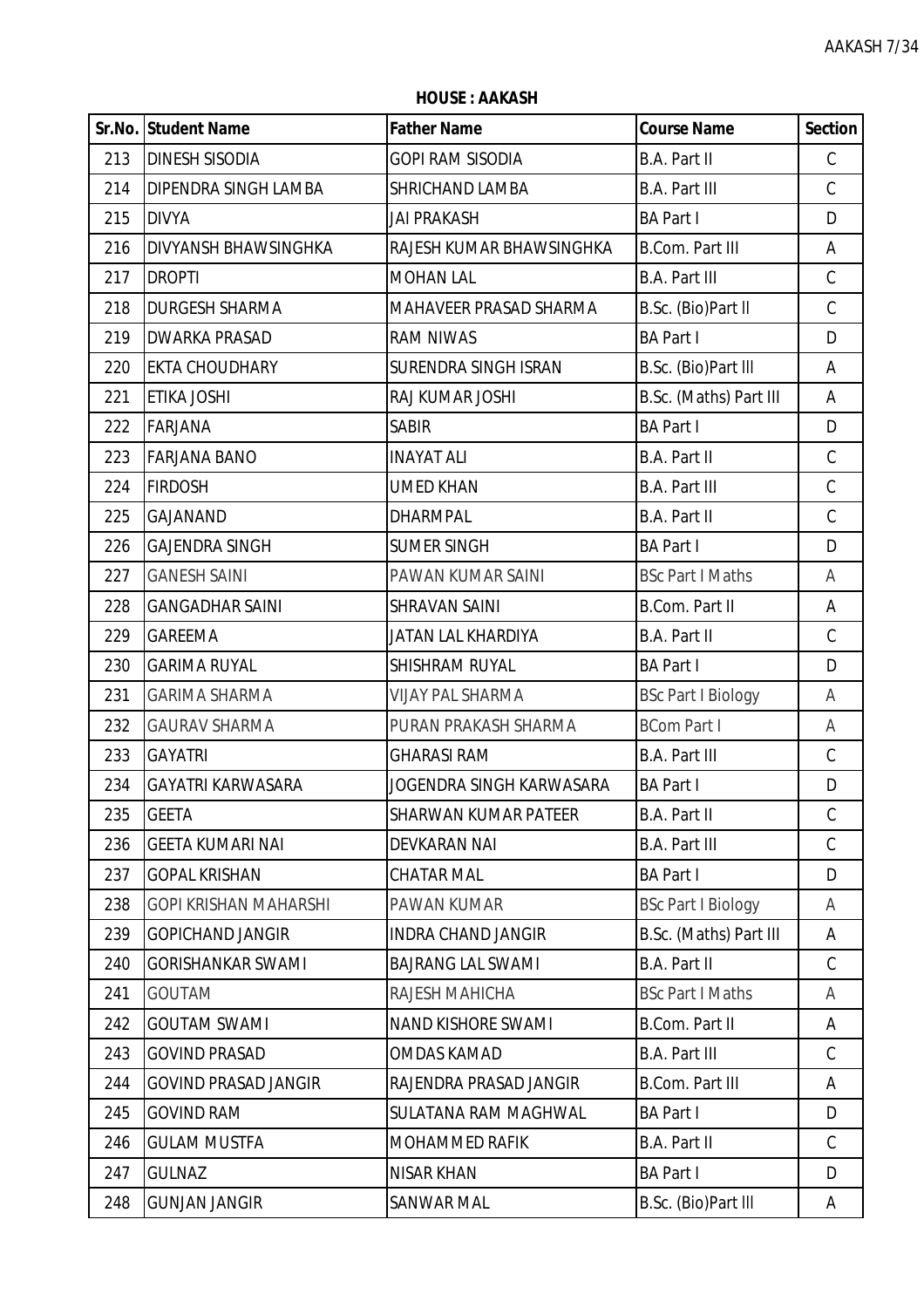**HOUSE : AAKASH**

|     | Sr.No. Student Name          | <b>Father Name</b>          | <b>Course Name</b>        | <b>Section</b> |
|-----|------------------------------|-----------------------------|---------------------------|----------------|
| 213 | <b>DINESH SISODIA</b>        | GOPI RAM SISODIA            | B.A. Part II              | $\mathsf C$    |
| 214 | DIPENDRA SINGH LAMBA         | SHRICHAND LAMBA             | <b>B.A. Part III</b>      | $\mathsf C$    |
| 215 | <b>DIVYA</b>                 | JAI PRAKASH                 | <b>BA Part I</b>          | D              |
| 216 | <b>DIVYANSH BHAWSINGHKA</b>  | RAJESH KUMAR BHAWSINGHKA    | <b>B.Com. Part III</b>    | Α              |
| 217 | <b>DROPTI</b>                | <b>MOHAN LAL</b>            | <b>B.A. Part III</b>      | $\mathsf C$    |
| 218 | <b>DURGESH SHARMA</b>        | MAHAVEER PRASAD SHARMA      | B.Sc. (Bio)Part II        | $\mathsf C$    |
| 219 | <b>DWARKA PRASAD</b>         | <b>RAM NIWAS</b>            | <b>BA Part I</b>          | D              |
| 220 | <b>EKTA CHOUDHARY</b>        | SURENDRA SINGH ISRAN        | B.Sc. (Bio)Part III       | Α              |
| 221 | ETIKA JOSHI                  | RAJ KUMAR JOSHI             | B.Sc. (Maths) Part III    | Α              |
| 222 | <b>FARJANA</b>               | <b>SABIR</b>                | <b>BA Part I</b>          | D              |
| 223 | <b>FARJANA BANO</b>          | <b>INAYAT ALI</b>           | B.A. Part II              | $\mathsf C$    |
| 224 | <b>FIRDOSH</b>               | <b>UMED KHAN</b>            | <b>B.A. Part III</b>      | $\mathsf C$    |
| 225 | GAJANAND                     | <b>DHARMPAL</b>             | B.A. Part II              | $\mathsf C$    |
| 226 | <b>GAJENDRA SINGH</b>        | <b>SUMER SINGH</b>          | <b>BA Part I</b>          | D              |
| 227 | <b>GANESH SAINI</b>          | PAWAN KUMAR SAINI           | <b>BSc Part I Maths</b>   | A              |
| 228 | <b>GANGADHAR SAINI</b>       | <b>SHRAVAN SAINI</b>        | <b>B.Com. Part II</b>     | Α              |
| 229 | <b>GAREEMA</b>               | JATAN LAL KHARDIYA          | B.A. Part II              | $\mathcal{C}$  |
| 230 | <b>GARIMA RUYAL</b>          | SHISHRAM RUYAL              | <b>BA Part I</b>          | D              |
| 231 | <b>GARIMA SHARMA</b>         | <b>VIJAY PAL SHARMA</b>     | <b>BSc Part I Biology</b> | Α              |
| 232 | <b>GAURAV SHARMA</b>         | PURAN PRAKASH SHARMA        | <b>BCom Part I</b>        | A              |
| 233 | <b>GAYATRI</b>               | <b>GHARASI RAM</b>          | <b>B.A. Part III</b>      | C              |
| 234 | <b>GAYATRI KARWASARA</b>     | JOGENDRA SINGH KARWASARA    | <b>BA Part I</b>          | D              |
| 235 | <b>GEETA</b>                 | <b>SHARWAN KUMAR PATEER</b> | <b>B.A. Part II</b>       | $\mathcal{C}$  |
| 236 | <b>GEETA KUMARI NAI</b>      | <b>DEVKARAN NAI</b>         | <b>B.A. Part III</b>      | $\mathsf C$    |
| 237 | <b>GOPAL KRISHAN</b>         | <b>CHATAR MAL</b>           | <b>BA Part I</b>          | D              |
| 238 | <b>GOPI KRISHAN MAHARSHI</b> | PAWAN KUMAR                 | <b>BSc Part I Biology</b> | A              |
| 239 | <b>GOPICHAND JANGIR</b>      | <b>INDRA CHAND JANGIR</b>   | B.Sc. (Maths) Part III    | Α              |
| 240 | <b>GORISHANKAR SWAMI</b>     | <b>BAJRANG LAL SWAMI</b>    | B.A. Part II              | $\mathcal{C}$  |
| 241 | <b>GOUTAM</b>                | RAJESH MAHICHA              | <b>BSc Part I Maths</b>   | A              |
| 242 | <b>GOUTAM SWAMI</b>          | <b>NAND KISHORE SWAMI</b>   | <b>B.Com. Part II</b>     | Α              |
| 243 | <b>GOVIND PRASAD</b>         | <b>OMDAS KAMAD</b>          | <b>B.A. Part III</b>      | $\mathsf C$    |
| 244 | <b>GOVIND PRASAD JANGIR</b>  | RAJENDRA PRASAD JANGIR      | <b>B.Com. Part III</b>    | Α              |
| 245 | <b>GOVIND RAM</b>            | SULATANA RAM MAGHWAL        | <b>BA Part I</b>          | D              |
| 246 | <b>GULAM MUSTFA</b>          | MOHAMMED RAFIK              | B.A. Part II              | $\mathsf C$    |
| 247 | <b>GULNAZ</b>                | <b>NISAR KHAN</b>           | <b>BA Part I</b>          | D              |
| 248 | <b>GUNJAN JANGIR</b>         | SANWAR MAL                  | B.Sc. (Bio)Part III       | A              |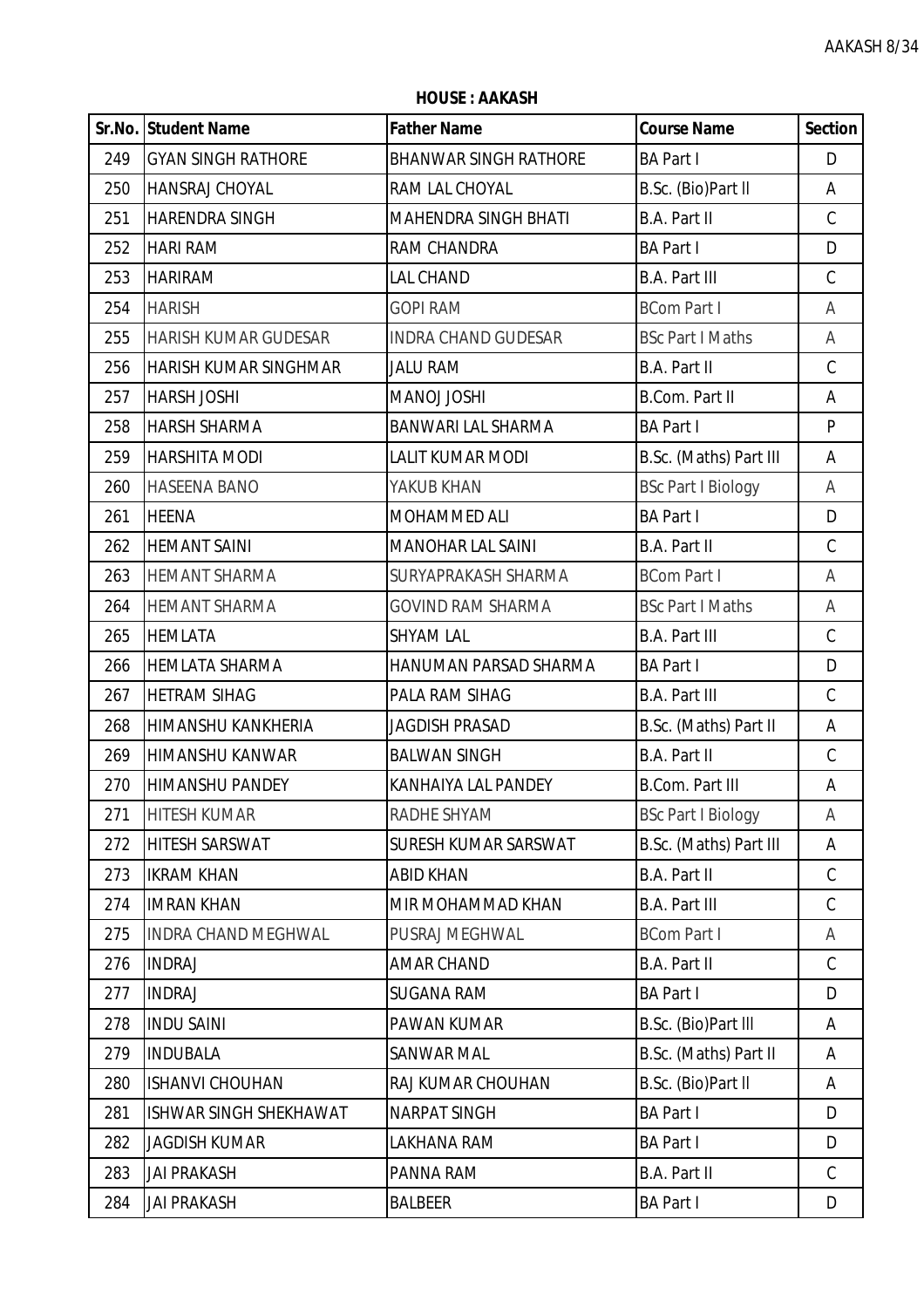|     | Sr.No. Student Name          | <b>Father Name</b>           | <b>Course Name</b>        | <b>Section</b> |
|-----|------------------------------|------------------------------|---------------------------|----------------|
| 249 | <b>GYAN SINGH RATHORE</b>    | <b>BHANWAR SINGH RATHORE</b> | <b>BA Part I</b>          | D              |
| 250 | <b>HANSRAJ CHOYAL</b>        | RAM LAL CHOYAL               | B.Sc. (Bio)Part II        | A              |
| 251 | <b>HARENDRA SINGH</b>        | MAHENDRA SINGH BHATI         | <b>B.A. Part II</b>       | $\mathcal{C}$  |
| 252 | <b>HARI RAM</b>              | RAM CHANDRA                  | <b>BA Part I</b>          | D              |
| 253 | <b>HARIRAM</b>               | <b>LAL CHAND</b>             | <b>B.A. Part III</b>      | $\mathsf C$    |
| 254 | <b>HARISH</b>                | <b>GOPI RAM</b>              | <b>BCom Part I</b>        | Α              |
| 255 | <b>HARISH KUMAR GUDESAR</b>  | <b>INDRA CHAND GUDESAR</b>   | <b>BSc Part I Maths</b>   | Α              |
| 256 | <b>HARISH KUMAR SINGHMAR</b> | <b>JALU RAM</b>              | <b>B.A. Part II</b>       | $\mathcal{C}$  |
| 257 | <b>HARSH JOSHI</b>           | MANOJ JOSHI                  | B.Com. Part II            | A              |
| 258 | <b>HARSH SHARMA</b>          | <b>BANWARI LAL SHARMA</b>    | <b>BA Part I</b>          | P              |
| 259 | <b>HARSHITA MODI</b>         | <b>LALIT KUMAR MODI</b>      | B.Sc. (Maths) Part III    | A              |
| 260 | <b>HASEENA BANO</b>          | YAKUB KHAN                   | <b>BSc Part I Biology</b> | Α              |
| 261 | <b>HEENA</b>                 | MOHAMMED ALI                 | <b>BA Part I</b>          | D              |
| 262 | <b>HEMANT SAINI</b>          | <b>MANOHAR LAL SAINI</b>     | <b>B.A. Part II</b>       | $\mathsf C$    |
| 263 | <b>HEMANT SHARMA</b>         | SURYAPRAKASH SHARMA          | <b>BCom Part I</b>        | Α              |
| 264 | <b>HEMANT SHARMA</b>         | <b>GOVIND RAM SHARMA</b>     | <b>BSc Part I Maths</b>   | Α              |
| 265 | <b>HEMLATA</b>               | <b>SHYAM LAL</b>             | <b>B.A. Part III</b>      | $\mathsf C$    |
| 266 | <b>HEMLATA SHARMA</b>        | HANUMAN PARSAD SHARMA        | <b>BA Part I</b>          | D              |
| 267 | <b>HETRAM SIHAG</b>          | PALA RAM SIHAG               | <b>B.A. Part III</b>      | $\mathcal{C}$  |
| 268 | <b>HIMANSHU KANKHERIA</b>    | <b>JAGDISH PRASAD</b>        | B.Sc. (Maths) Part II     | A              |
| 269 | HIMANSHU KANWAR              | <b>BALWAN SINGH</b>          | <b>B.A. Part II</b>       | $\mathsf{C}$   |
| 270 | <b>HIMANSHU PANDEY</b>       | KANHAIYA LAL PANDEY          | <b>B.Com. Part III</b>    | A              |
| 271 | <b>HITESH KUMAR</b>          | RADHE SHYAM                  | <b>BSc Part I Biology</b> | Α              |
| 272 | <b>HITESH SARSWAT</b>        | SURESH KUMAR SARSWAT         | B.Sc. (Maths) Part III    | A              |
| 273 | <b>IKRAM KHAN</b>            | <b>ABID KHAN</b>             | B.A. Part II              | $\mathsf C$    |
| 274 | <b>IMRAN KHAN</b>            | MIR MOHAMMAD KHAN            | <b>B.A. Part III</b>      | $\mathsf C$    |
| 275 | <b>INDRA CHAND MEGHWAL</b>   | PUSRAJ MEGHWAL               | <b>BCom Part I</b>        | A              |
| 276 | <b>INDRAJ</b>                | <b>AMAR CHAND</b>            | <b>B.A. Part II</b>       | $\mathsf C$    |
| 277 | <b>INDRAJ</b>                | <b>SUGANA RAM</b>            | <b>BA Part I</b>          | D              |
| 278 | <b>INDU SAINI</b>            | PAWAN KUMAR                  | B.Sc. (Bio)Part III       | A              |
| 279 | <b>INDUBALA</b>              | SANWAR MAL                   | B.Sc. (Maths) Part II     | A              |
| 280 | <b>ISHANVI CHOUHAN</b>       | RAJ KUMAR CHOUHAN            | B.Sc. (Bio)Part II        | A              |
| 281 | ISHWAR SINGH SHEKHAWAT       | <b>NARPAT SINGH</b>          | <b>BA Part I</b>          | D              |
| 282 | <b>JAGDISH KUMAR</b>         | LAKHANA RAM                  | <b>BA Part I</b>          | D              |
| 283 | <b>JAI PRAKASH</b>           | PANNA RAM                    | B.A. Part II              | $\mathsf C$    |
| 284 | <b>JAI PRAKASH</b>           | <b>BALBEER</b>               | <b>BA Part I</b>          | D              |

**HOUSE : AAKASH**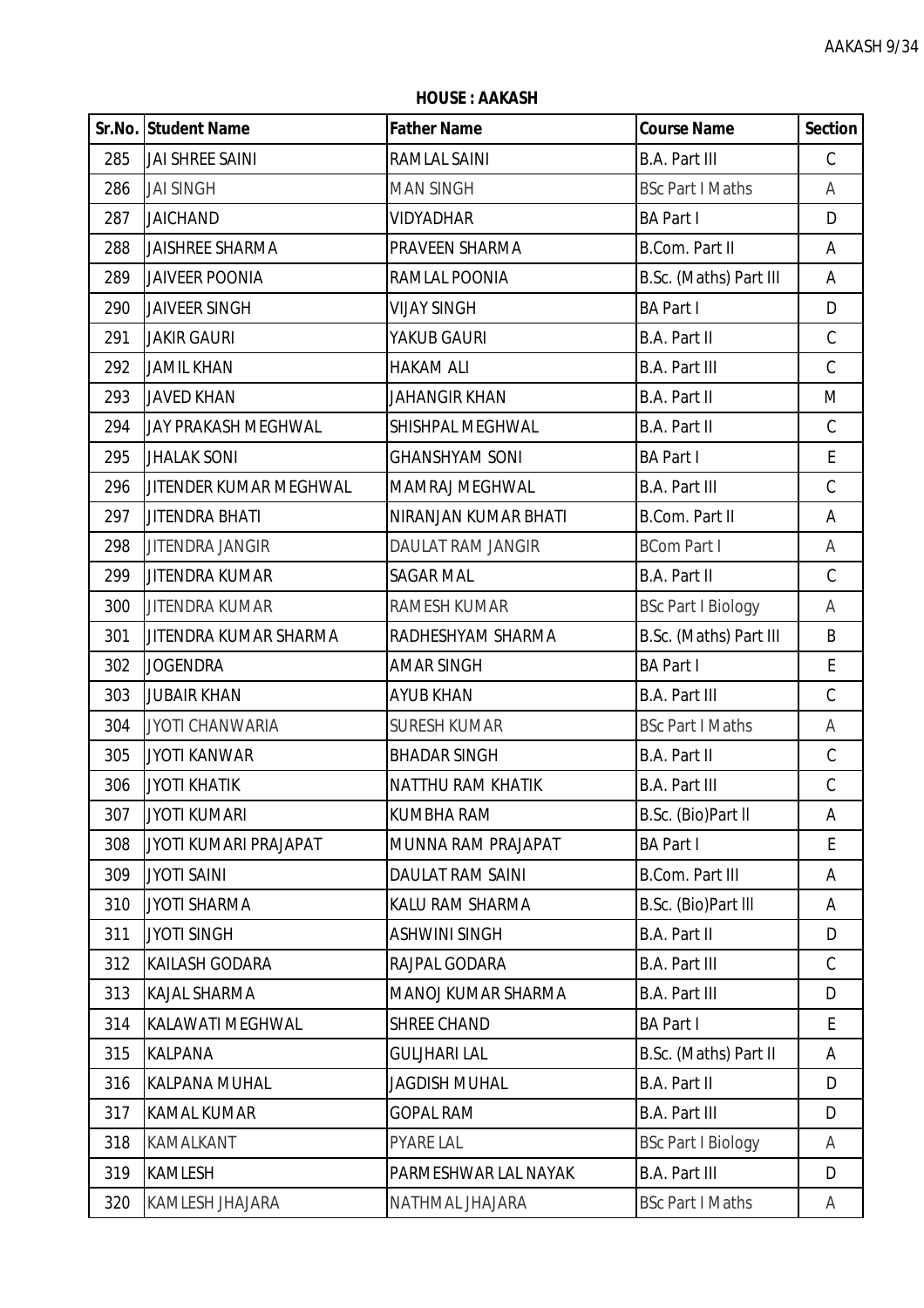**HOUSE : AAKASH**

|     | <b>Sr.No. Student Name</b> | <b>Father Name</b>      | <b>Course Name</b>        | <b>Section</b> |
|-----|----------------------------|-------------------------|---------------------------|----------------|
| 285 | <b>JAI SHREE SAINI</b>     | RAMLAL SAINI            | <b>B.A. Part III</b>      | $\mathsf C$    |
| 286 | <b>JAI SINGH</b>           | <b>MAN SINGH</b>        | <b>BSc Part I Maths</b>   | A              |
| 287 | <b>JAICHAND</b>            | <b>VIDYADHAR</b>        | <b>BA Part I</b>          | D              |
| 288 | <b>JAISHREE SHARMA</b>     | PRAVEEN SHARMA          | B.Com. Part II            | A              |
| 289 | <b>JAIVEER POONIA</b>      | RAMLAL POONIA           | B.Sc. (Maths) Part III    | A              |
| 290 | <b>JAIVEER SINGH</b>       | <b>VIJAY SINGH</b>      | <b>BA Part I</b>          | D              |
| 291 | <b>JAKIR GAURI</b>         | YAKUB GAURI             | <b>B.A. Part II</b>       | $\mathsf C$    |
| 292 | <b>JAMIL KHAN</b>          | <b>HAKAM ALI</b>        | <b>B.A. Part III</b>      | $\mathsf C$    |
| 293 | <b>JAVED KHAN</b>          | <b>JAHANGIR KHAN</b>    | <b>B.A. Part II</b>       | M              |
| 294 | <b>JAY PRAKASH MEGHWAL</b> | SHISHPAL MEGHWAL        | <b>B.A. Part II</b>       | $\mathsf C$    |
| 295 | <b>JHALAK SONI</b>         | <b>GHANSHYAM SONI</b>   | <b>BA Part I</b>          | E              |
| 296 | JITENDER KUMAR MEGHWAL     | MAMRAJ MEGHWAL          | <b>B.A. Part III</b>      | $\mathsf C$    |
| 297 | <b>JITENDRA BHATI</b>      | NIRANJAN KUMAR BHATI    | <b>B.Com. Part II</b>     | Α              |
| 298 | <b>JITENDRA JANGIR</b>     | DAULAT RAM JANGIR       | <b>BCom Part I</b>        | Α              |
| 299 | <b>JITENDRA KUMAR</b>      | <b>SAGAR MAL</b>        | <b>B.A. Part II</b>       | $\mathsf C$    |
| 300 | <b>JITENDRA KUMAR</b>      | RAMESH KUMAR            | <b>BSc Part I Biology</b> | Α              |
| 301 | JITENDRA KUMAR SHARMA      | RADHESHYAM SHARMA       | B.Sc. (Maths) Part III    | B              |
| 302 | <b>JOGENDRA</b>            | <b>AMAR SINGH</b>       | <b>BA Part I</b>          | E              |
| 303 | <b>JUBAIR KHAN</b>         | <b>AYUB KHAN</b>        | <b>B.A. Part III</b>      | $\mathsf C$    |
| 304 | <b>JYOTI CHANWARIA</b>     | <b>SURESH KUMAR</b>     | <b>BSc Part I Maths</b>   | A              |
| 305 | <b>JYOTI KANWAR</b>        | <b>BHADAR SINGH</b>     | B.A. Part II              | $\mathsf C$    |
| 306 | <b>JYOTI KHATIK</b>        | NATTHU RAM KHATIK       | <b>B.A. Part III</b>      | $\mathsf C$    |
| 307 | JYOTI KUMARI               | <b>KUMBHA RAM</b>       | B.Sc. (Bio)Part II        | A              |
| 308 | JYOTI KUMARI PRAJAPAT      | MUNNA RAM PRAJAPAT      | <b>BA Part I</b>          | E.             |
| 309 | <b>JYOTI SAINI</b>         | <b>DAULAT RAM SAINI</b> | <b>B.Com. Part III</b>    | Α              |
| 310 | <b>JYOTI SHARMA</b>        | KALU RAM SHARMA         | B.Sc. (Bio)Part III       | Α              |
| 311 | <b>JYOTI SINGH</b>         | <b>ASHWINI SINGH</b>    | B.A. Part II              | D              |
| 312 | <b>KAILASH GODARA</b>      | RAJPAL GODARA           | <b>B.A. Part III</b>      | $\mathsf C$    |
| 313 | <b>KAJAL SHARMA</b>        | MANOJ KUMAR SHARMA      | <b>B.A. Part III</b>      | D              |
| 314 | <b>KALAWATI MEGHWAL</b>    | <b>SHREE CHAND</b>      | <b>BA Part I</b>          | E              |
| 315 | <b>KALPANA</b>             | <b>GULJHARI LAL</b>     | B.Sc. (Maths) Part II     | Α              |
| 316 | <b>KALPANA MUHAL</b>       | <b>JAGDISH MUHAL</b>    | B.A. Part II              | D              |
| 317 | <b>KAMAL KUMAR</b>         | <b>GOPAL RAM</b>        | <b>B.A. Part III</b>      | D              |
| 318 | KAMALKANT                  | <b>PYARE LAL</b>        | <b>BSc Part I Biology</b> | A              |
| 319 | <b>KAMLESH</b>             | PARMESHWAR LAL NAYAK    | <b>B.A. Part III</b>      | D              |
| 320 | <b>KAMLESH JHAJARA</b>     | NATHMAL JHAJARA         | <b>BSc Part I Maths</b>   | A              |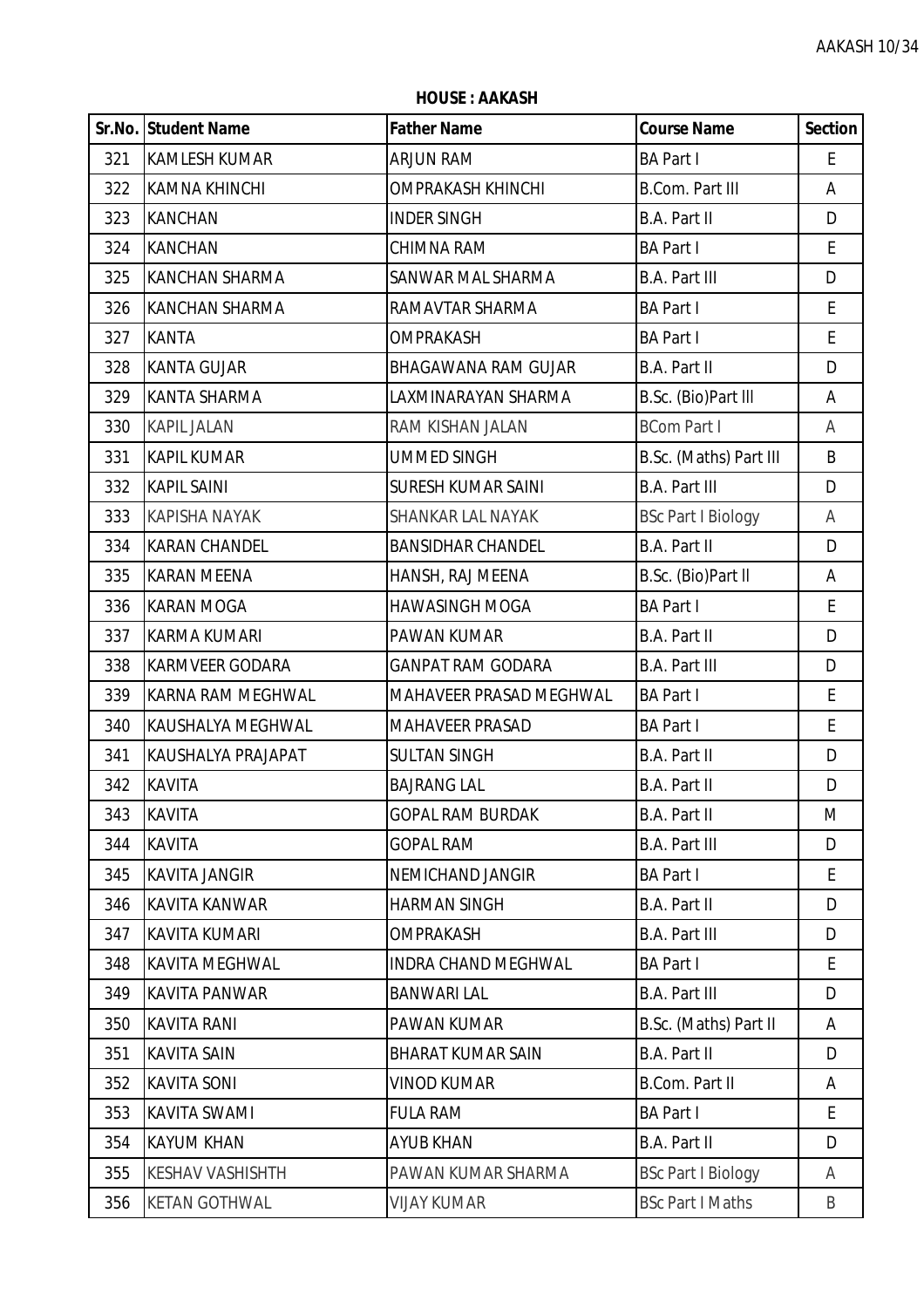|     | Sr.No. Student Name      | <b>Father Name</b>         | <b>Course Name</b>        | <b>Section</b> |
|-----|--------------------------|----------------------------|---------------------------|----------------|
| 321 | <b>KAMLESH KUMAR</b>     | <b>ARJUN RAM</b>           | <b>BA Part I</b>          | E              |
| 322 | <b>KAMNA KHINCHI</b>     | <b>OMPRAKASH KHINCHI</b>   | <b>B.Com. Part III</b>    | A              |
| 323 | <b>KANCHAN</b>           | <b>INDER SINGH</b>         | B.A. Part II              | D              |
| 324 | <b>KANCHAN</b>           | CHIMNA RAM                 | <b>BA Part I</b>          | E              |
| 325 | <b>KANCHAN SHARMA</b>    | SANWAR MAL SHARMA          | <b>B.A. Part III</b>      | D              |
| 326 | <b>KANCHAN SHARMA</b>    | RAMAVTAR SHARMA            | <b>BA Part I</b>          | $\mathsf E$    |
| 327 | <b>KANTA</b>             | <b>OMPRAKASH</b>           | <b>BA Part I</b>          | E              |
| 328 | <b>KANTA GUJAR</b>       | <b>BHAGAWANA RAM GUJAR</b> | B.A. Part II              | D              |
| 329 | <b>KANTA SHARMA</b>      | LAXMINARAYAN SHARMA        | B.Sc. (Bio)Part III       | Α              |
| 330 | <b>KAPIL JALAN</b>       | RAM KISHAN JALAN           | <b>BCom Part I</b>        | Α              |
| 331 | <b>KAPIL KUMAR</b>       | <b>UMMED SINGH</b>         | B.Sc. (Maths) Part III    | B              |
| 332 | <b>KAPIL SAINI</b>       | <b>SURESH KUMAR SAINI</b>  | <b>B.A. Part III</b>      | D              |
| 333 | <b>KAPISHA NAYAK</b>     | SHANKAR LAL NAYAK          | <b>BSc Part I Biology</b> | Α              |
| 334 | <b>KARAN CHANDEL</b>     | <b>BANSIDHAR CHANDEL</b>   | B.A. Part II              | D              |
| 335 | <b>KARAN MEENA</b>       | HANSH, RAJ MEENA           | B.Sc. (Bio)Part II        | A              |
| 336 | <b>KARAN MOGA</b>        | <b>HAWASINGH MOGA</b>      | <b>BA Part I</b>          | E              |
| 337 | <b>KARMA KUMARI</b>      | PAWAN KUMAR                | B.A. Part II              | D              |
| 338 | <b>KARMVEER GODARA</b>   | <b>GANPAT RAM GODARA</b>   | <b>B.A. Part III</b>      | D              |
| 339 | <b>KARNA RAM MEGHWAL</b> | MAHAVEER PRASAD MEGHWAL    | <b>BA Part I</b>          | $\mathsf E$    |
| 340 | KAUSHALYA MEGHWAL        | <b>MAHAVEER PRASAD</b>     | <b>BA Part I</b>          | E              |
| 341 | KAUSHALYA PRAJAPAT       | <b>SULTAN SINGH</b>        | B.A. Part II              | D              |
| 342 | <b>KAVITA</b>            | <b>BAJRANG LAL</b>         | B.A. Part II              | D              |
| 343 | <b>KAVITA</b>            | <b>GOPAL RAM BURDAK</b>    | <b>B.A. Part II</b>       | M              |
| 344 | <b>KAVITA</b>            | <b>GOPAL RAM</b>           | <b>B.A. Part III</b>      | D              |
| 345 | <b>KAVITA JANGIR</b>     | <b>NEMICHAND JANGIR</b>    | <b>BA Part I</b>          | E              |
| 346 | <b>KAVITA KANWAR</b>     | <b>HARMAN SINGH</b>        | B.A. Part II              | D              |
| 347 | <b>KAVITA KUMARI</b>     | <b>OMPRAKASH</b>           | <b>B.A. Part III</b>      | D              |
| 348 | <b>KAVITA MEGHWAL</b>    | <b>INDRA CHAND MEGHWAL</b> | <b>BA Part I</b>          | E              |
| 349 | <b>KAVITA PANWAR</b>     | <b>BANWARI LAL</b>         | <b>B.A. Part III</b>      | D              |
| 350 | <b>KAVITA RANI</b>       | PAWAN KUMAR                | B.Sc. (Maths) Part II     | Α              |
| 351 | <b>KAVITA SAIN</b>       | <b>BHARAT KUMAR SAIN</b>   | B.A. Part II              | D              |
| 352 | <b>KAVITA SONI</b>       | <b>VINOD KUMAR</b>         | B.Com. Part II            | Α              |
| 353 | <b>KAVITA SWAMI</b>      | <b>FULA RAM</b>            | <b>BA Part I</b>          | E              |
| 354 | <b>KAYUM KHAN</b>        | <b>AYUB KHAN</b>           | <b>B.A. Part II</b>       | D              |
| 355 | <b>KESHAV VASHISHTH</b>  | PAWAN KUMAR SHARMA         | <b>BSc Part I Biology</b> | Α              |
| 356 | <b>KETAN GOTHWAL</b>     | <b>VIJAY KUMAR</b>         | <b>BSc Part I Maths</b>   | B              |

**HOUSE : AAKASH**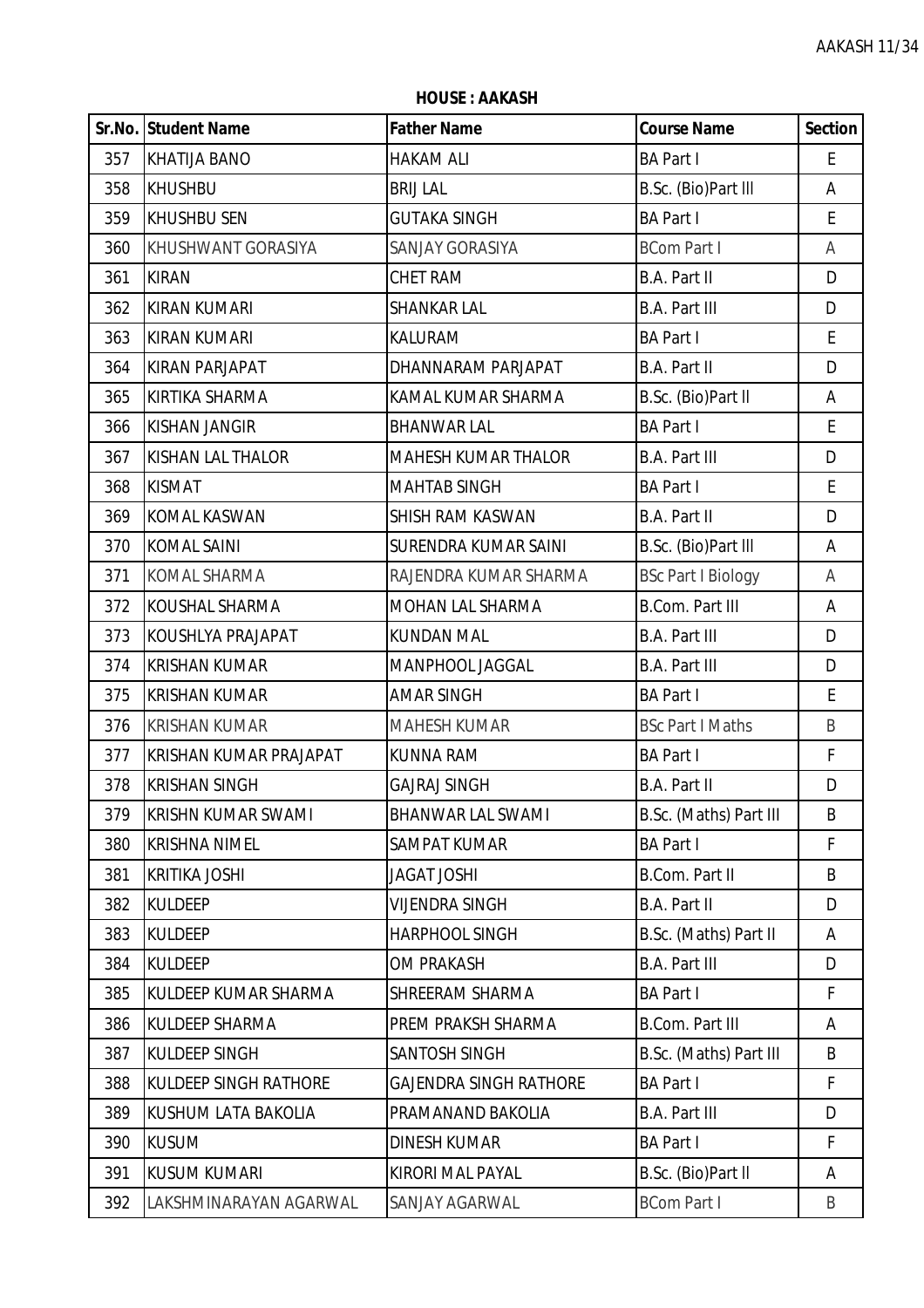**HOUSE : AAKASH**

|     | <b>Sr.No. Student Name</b>   | <b>Father Name</b>            | <b>Course Name</b>        | <b>Section</b>     |
|-----|------------------------------|-------------------------------|---------------------------|--------------------|
| 357 | <b>KHATIJA BANO</b>          | <b>HAKAM ALI</b>              | <b>BA Part I</b>          | E                  |
| 358 | <b>KHUSHBU</b>               | <b>BRIJ LAL</b>               | B.Sc. (Bio)Part III       | A                  |
| 359 | <b>KHUSHBU SEN</b>           | <b>GUTAKA SINGH</b>           | <b>BA Part I</b>          | E                  |
| 360 | KHUSHWANT GORASIYA           | SANJAY GORASIYA               | <b>BCom Part I</b>        | Α                  |
| 361 | <b>KIRAN</b>                 | <b>CHET RAM</b>               | B.A. Part II              | D                  |
| 362 | <b>KIRAN KUMARI</b>          | SHANKAR LAL                   | <b>B.A. Part III</b>      | D                  |
| 363 | <b>KIRAN KUMARI</b>          | KALURAM                       | <b>BA Part I</b>          | $\mathsf{E}% _{0}$ |
| 364 | <b>KIRAN PARJAPAT</b>        | DHANNARAM PARJAPAT            | B.A. Part II              | D                  |
| 365 | <b>KIRTIKA SHARMA</b>        | KAMAL KUMAR SHARMA            | B.Sc. (Bio)Part II        | A                  |
| 366 | <b>KISHAN JANGIR</b>         | <b>BHANWAR LAL</b>            | <b>BA Part I</b>          | $\mathsf E$        |
| 367 | <b>KISHAN LAL THALOR</b>     | <b>MAHESH KUMAR THALOR</b>    | <b>B.A. Part III</b>      | D                  |
| 368 | <b>KISMAT</b>                | <b>MAHTAB SINGH</b>           | <b>BA Part I</b>          | $\mathsf{E}% _{0}$ |
| 369 | <b>KOMAL KASWAN</b>          | SHISH RAM KASWAN              | B.A. Part II              | D                  |
| 370 | <b>KOMAL SAINI</b>           | SURENDRA KUMAR SAINI          | B.Sc. (Bio)Part III       | A                  |
| 371 | <b>KOMAL SHARMA</b>          | RAJENDRA KUMAR SHARMA         | <b>BSc Part I Biology</b> | A                  |
| 372 | KOUSHAL SHARMA               | MOHAN LAL SHARMA              | <b>B.Com. Part III</b>    | Α                  |
| 373 | KOUSHLYA PRAJAPAT            | <b>KUNDAN MAL</b>             | <b>B.A. Part III</b>      | D                  |
| 374 | <b>KRISHAN KUMAR</b>         | MANPHOOL JAGGAL               | <b>B.A. Part III</b>      | D                  |
| 375 | <b>KRISHAN KUMAR</b>         | <b>AMAR SINGH</b>             | <b>BA Part I</b>          | E                  |
| 376 | <b>KRISHAN KUMAR</b>         | <b>MAHESH KUMAR</b>           | <b>BSc Part I Maths</b>   | B                  |
| 377 | KRISHAN KUMAR PRAJAPAT       | <b>KUNNA RAM</b>              | <b>BA Part I</b>          | F                  |
| 378 | <b>KRISHAN SINGH</b>         | <b>GAJRAJ SINGH</b>           | <b>B.A. Part II</b>       | D                  |
| 379 | <b>KRISHN KUMAR SWAMI</b>    | <b>BHANWAR LAL SWAMI</b>      | B.Sc. (Maths) Part III    | B                  |
| 380 | <b>KRISHNA NIMEL</b>         | SAMPAT KUMAR                  | <b>BA Part I</b>          | F                  |
| 381 | <b>KRITIKA JOSHI</b>         | <b>JAGAT JOSHI</b>            | B.Com. Part II            | B                  |
| 382 | <b>KULDEEP</b>               | VIJENDRA SINGH                | B.A. Part II              | D                  |
| 383 | <b>KULDEEP</b>               | HARPHOOL SINGH                | B.Sc. (Maths) Part II     | Α                  |
| 384 | <b>KULDEEP</b>               | OM PRAKASH                    | <b>B.A. Part III</b>      | D                  |
| 385 | KULDEEP KUMAR SHARMA         | SHREERAM SHARMA               | <b>BA Part I</b>          | F                  |
| 386 | <b>KULDEEP SHARMA</b>        | PREM PRAKSH SHARMA            | <b>B.Com. Part III</b>    | Α                  |
| 387 | <b>KULDEEP SINGH</b>         | SANTOSH SINGH                 | B.Sc. (Maths) Part III    | B                  |
| 388 | <b>KULDEEP SINGH RATHORE</b> | <b>GAJENDRA SINGH RATHORE</b> | <b>BA Part I</b>          | F                  |
| 389 | KUSHUM LATA BAKOLIA          | PRAMANAND BAKOLIA             | <b>B.A. Part III</b>      | D                  |
| 390 | <b>KUSUM</b>                 | <b>DINESH KUMAR</b>           | <b>BA Part I</b>          | F                  |
| 391 | <b>KUSUM KUMARI</b>          | KIRORI MAL PAYAL              | B.Sc. (Bio)Part II        | Α                  |
| 392 | LAKSHMINARAYAN AGARWAL       | SANJAY AGARWAL                | <b>BCom Part I</b>        | B                  |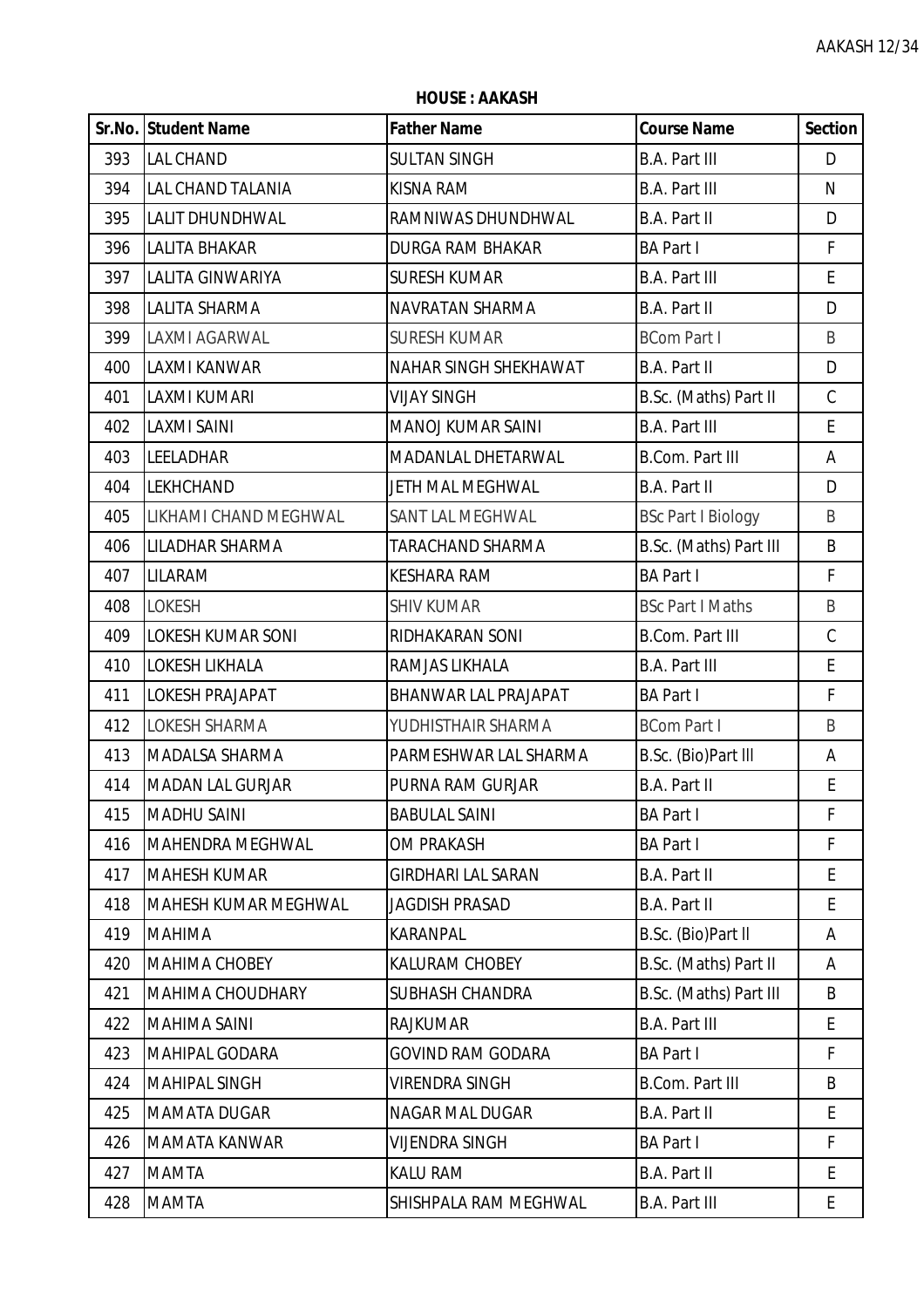**HOUSE : AAKASH**

|     | Sr.No. Student Name         | <b>Father Name</b>           | <b>Course Name</b>        | <b>Section</b> |
|-----|-----------------------------|------------------------------|---------------------------|----------------|
| 393 | <b>LAL CHAND</b>            | <b>SULTAN SINGH</b>          | <b>B.A. Part III</b>      | D              |
| 394 | <b>LAL CHAND TALANIA</b>    | <b>KISNA RAM</b>             | <b>B.A. Part III</b>      | N              |
| 395 | <b>LALIT DHUNDHWAL</b>      | RAMNIWAS DHUNDHWAL           | B.A. Part II              | D              |
| 396 | <b>LALITA BHAKAR</b>        | <b>DURGA RAM BHAKAR</b>      | <b>BA Part I</b>          | F              |
| 397 | LALITA GINWARIYA            | <b>SURESH KUMAR</b>          | <b>B.A. Part III</b>      | E              |
| 398 | <b>LALITA SHARMA</b>        | NAVRATAN SHARMA              | B.A. Part II              | D              |
| 399 | <b>LAXMI AGARWAL</b>        | <b>SURESH KUMAR</b>          | <b>BCom Part I</b>        | B              |
| 400 | <b>LAXMI KANWAR</b>         | <b>NAHAR SINGH SHEKHAWAT</b> | <b>B.A. Part II</b>       | D              |
| 401 | <b>LAXMI KUMARI</b>         | <b>VIJAY SINGH</b>           | B.Sc. (Maths) Part II     | $\mathsf C$    |
| 402 | <b>LAXMI SAINI</b>          | <b>MANOJ KUMAR SAINI</b>     | <b>B.A. Part III</b>      | E              |
| 403 | <b>LEELADHAR</b>            | MADANLAL DHETARWAL           | <b>B.Com. Part III</b>    | Α              |
| 404 | <b>LEKHCHAND</b>            | JETH MAL MEGHWAL             | B.A. Part II              | D              |
| 405 | LIKHAMI CHAND MEGHWAL       | SANT LAL MEGHWAL             | <b>BSc Part I Biology</b> | B              |
| 406 | <b>LILADHAR SHARMA</b>      | TARACHAND SHARMA             | B.Sc. (Maths) Part III    | B              |
| 407 | LILARAM                     | <b>KESHARA RAM</b>           | <b>BA Part I</b>          | F              |
| 408 | <b>LOKESH</b>               | <b>SHIV KUMAR</b>            | <b>BSc Part I Maths</b>   | B              |
| 409 | <b>LOKESH KUMAR SONI</b>    | RIDHAKARAN SONI              | <b>B.Com. Part III</b>    | $\mathsf C$    |
| 410 | <b>LOKESH LIKHALA</b>       | RAMJAS LIKHALA               | <b>B.A. Part III</b>      | E              |
| 411 | <b>LOKESH PRAJAPAT</b>      | BHANWAR LAL PRAJAPAT         | <b>BA Part I</b>          | F              |
| 412 | <b>LOKESH SHARMA</b>        | YUDHISTHAIR SHARMA           | <b>BCom Part I</b>        | $\sf B$        |
| 413 | MADALSA SHARMA              | PARMESHWAR LAL SHARMA        | B.Sc. (Bio)Part III       | Α              |
| 414 | <b>MADAN LAL GURJAR</b>     | PURNA RAM GURJAR             | B.A. Part II              | E              |
| 415 | <b>MADHU SAINI</b>          | <b>BABULAL SAINI</b>         | <b>BA Part I</b>          | F              |
| 416 | <b>MAHENDRA MEGHWAL</b>     | <b>OM PRAKASH</b>            | <b>BA Part I</b>          | F              |
| 417 | <b>MAHESH KUMAR</b>         | <b>GIRDHARI LAL SARAN</b>    | B.A. Part II              | E              |
| 418 | <b>MAHESH KUMAR MEGHWAL</b> | <b>JAGDISH PRASAD</b>        | B.A. Part II              | E              |
| 419 | <b>MAHIMA</b>               | KARANPAL                     | B.Sc. (Bio)Part II        | Α              |
| 420 | <b>MAHIMA CHOBEY</b>        | <b>KALURAM CHOBEY</b>        | B.Sc. (Maths) Part II     | Α              |
| 421 | <b>MAHIMA CHOUDHARY</b>     | <b>SUBHASH CHANDRA</b>       | B.Sc. (Maths) Part III    | B              |
| 422 | <b>MAHIMA SAINI</b>         | <b>RAJKUMAR</b>              | <b>B.A. Part III</b>      | E              |
| 423 | <b>MAHIPAL GODARA</b>       | <b>GOVIND RAM GODARA</b>     | <b>BA Part I</b>          | F              |
| 424 | <b>MAHIPAL SINGH</b>        | <b>VIRENDRA SINGH</b>        | <b>B.Com. Part III</b>    | B              |
| 425 | <b>MAMATA DUGAR</b>         | <b>NAGAR MAL DUGAR</b>       | B.A. Part II              | E              |
| 426 | <b>MAMATA KANWAR</b>        | <b>VIJENDRA SINGH</b>        | <b>BA Part I</b>          | F              |
| 427 | <b>MAMTA</b>                | <b>KALU RAM</b>              | <b>B.A. Part II</b>       | E              |
| 428 | <b>MAMTA</b>                | SHISHPALA RAM MEGHWAL        | <b>B.A. Part III</b>      | E.             |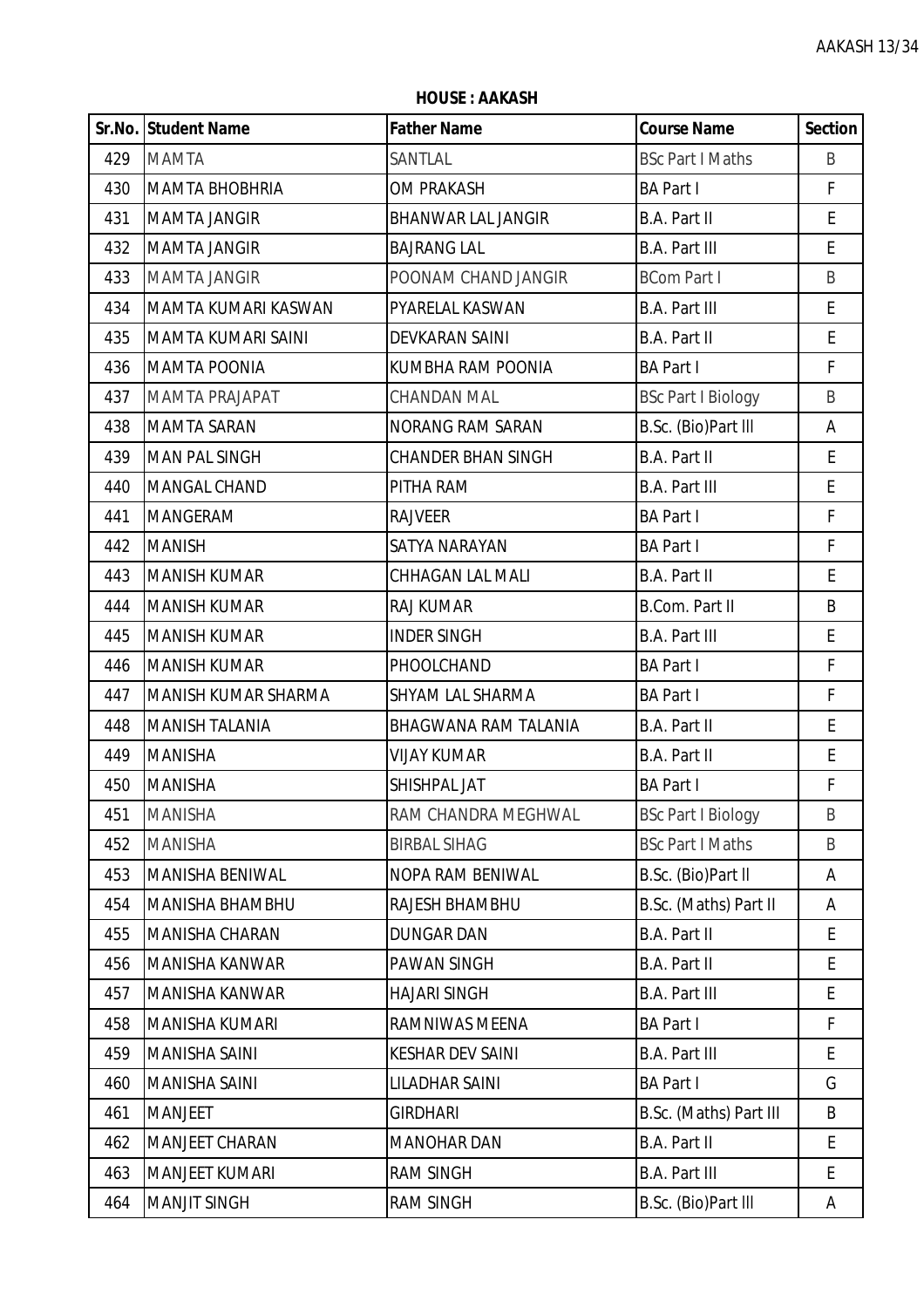**HOUSE : AAKASH**

|     | Sr.No. Student Name       | <b>Father Name</b>        | <b>Course Name</b>        | <b>Section</b>                             |
|-----|---------------------------|---------------------------|---------------------------|--------------------------------------------|
| 429 | <b>MAMTA</b>              | SANTLAL                   | <b>BSc Part I Maths</b>   | B                                          |
| 430 | <b>MAMTA BHOBHRIA</b>     | <b>OM PRAKASH</b>         | <b>BA Part I</b>          | F                                          |
| 431 | <b>MAMTA JANGIR</b>       | <b>BHANWAR LAL JANGIR</b> | B.A. Part II              | E                                          |
| 432 | <b>MAMTA JANGIR</b>       | <b>BAJRANG LAL</b>        | <b>B.A. Part III</b>      | E                                          |
| 433 | <b>MAMTA JANGIR</b>       | POONAM CHAND JANGIR       | <b>BCom Part I</b>        | B                                          |
| 434 | MAMTA KUMARI KASWAN       | PYARELAL KASWAN           | <b>B.A. Part III</b>      | E                                          |
| 435 | <b>MAMTA KUMARI SAINI</b> | DEVKARAN SAINI            | B.A. Part II              | E                                          |
| 436 | <b>MAMTA POONIA</b>       | KUMBHA RAM POONIA         | <b>BA Part I</b>          | F                                          |
| 437 | <b>MAMTA PRAJAPAT</b>     | <b>CHANDAN MAL</b>        | <b>BSc Part I Biology</b> | B                                          |
| 438 | <b>MAMTA SARAN</b>        | <b>NORANG RAM SARAN</b>   | B.Sc. (Bio)Part III       | Α                                          |
| 439 | <b>MAN PAL SINGH</b>      | <b>CHANDER BHAN SINGH</b> | B.A. Part II              | E                                          |
| 440 | <b>MANGAL CHAND</b>       | PITHA RAM                 | <b>B.A. Part III</b>      | E                                          |
| 441 | <b>MANGERAM</b>           | <b>RAJVEER</b>            | <b>BA Part I</b>          | $\mathsf F$                                |
| 442 | <b>MANISH</b>             | SATYA NARAYAN             | <b>BA Part I</b>          | F                                          |
| 443 | <b>MANISH KUMAR</b>       | CHHAGAN LAL MALI          | B.A. Part II              | $\mathsf E$                                |
| 444 | <b>MANISH KUMAR</b>       | RAJ KUMAR                 | B.Com. Part II            | B                                          |
| 445 | <b>MANISH KUMAR</b>       | <b>INDER SINGH</b>        | <b>B.A. Part III</b>      | E                                          |
| 446 | MANISH KUMAR              | PHOOLCHAND                | <b>BA Part I</b>          | $\mathsf F$                                |
| 447 | MANISH KUMAR SHARMA       | SHYAM LAL SHARMA          | <b>BA Part I</b>          | F                                          |
| 448 | <b>MANISH TALANIA</b>     | BHAGWANA RAM TALANIA      | B.A. Part II              | $\mathsf{E}% _{0}\left( \mathsf{E}\right)$ |
| 449 | <b>MANISHA</b>            | <b>VIJAY KUMAR</b>        | <b>B.A. Part II</b>       | E                                          |
| 450 | <b>MANISHA</b>            | SHISHPAL JAT              | <b>BA Part I</b>          | F                                          |
| 451 | <b>MANISHA</b>            | RAM CHANDRA MEGHWAL       | <b>BSc Part I Biology</b> | B                                          |
| 452 | <b>MANISHA</b>            | <b>BIRBAL SIHAG</b>       | <b>BSc Part I Maths</b>   | B                                          |
| 453 | <b>MANISHA BENIWAL</b>    | NOPA RAM BENIWAL          | B.Sc. (Bio)Part II        | Α                                          |
| 454 | <b>MANISHA BHAMBHU</b>    | RAJESH BHAMBHU            | B.Sc. (Maths) Part II     | Α                                          |
| 455 | <b>MANISHA CHARAN</b>     | <b>DUNGAR DAN</b>         | <b>B.A. Part II</b>       | E                                          |
| 456 | <b>MANISHA KANWAR</b>     | PAWAN SINGH               | B.A. Part II              | E                                          |
| 457 | <b>MANISHA KANWAR</b>     | <b>HAJARI SINGH</b>       | <b>B.A. Part III</b>      | E                                          |
| 458 | <b>MANISHA KUMARI</b>     | RAMNIWAS MEENA            | <b>BA Part I</b>          | F                                          |
| 459 | <b>MANISHA SAINI</b>      | <b>KESHAR DEV SAINI</b>   | <b>B.A. Part III</b>      | E                                          |
| 460 | <b>MANISHA SAINI</b>      | LILADHAR SAINI            | <b>BA Part I</b>          | G                                          |
| 461 | <b>MANJEET</b>            | <b>GIRDHARI</b>           | B.Sc. (Maths) Part III    | B                                          |
| 462 | <b>MANJEET CHARAN</b>     | <b>MANOHAR DAN</b>        | B.A. Part II              | E                                          |
| 463 | <b>MANJEET KUMARI</b>     | <b>RAM SINGH</b>          | <b>B.A. Part III</b>      | E                                          |
| 464 | <b>MANJIT SINGH</b>       | <b>RAM SINGH</b>          | B.Sc. (Bio)Part III       | A                                          |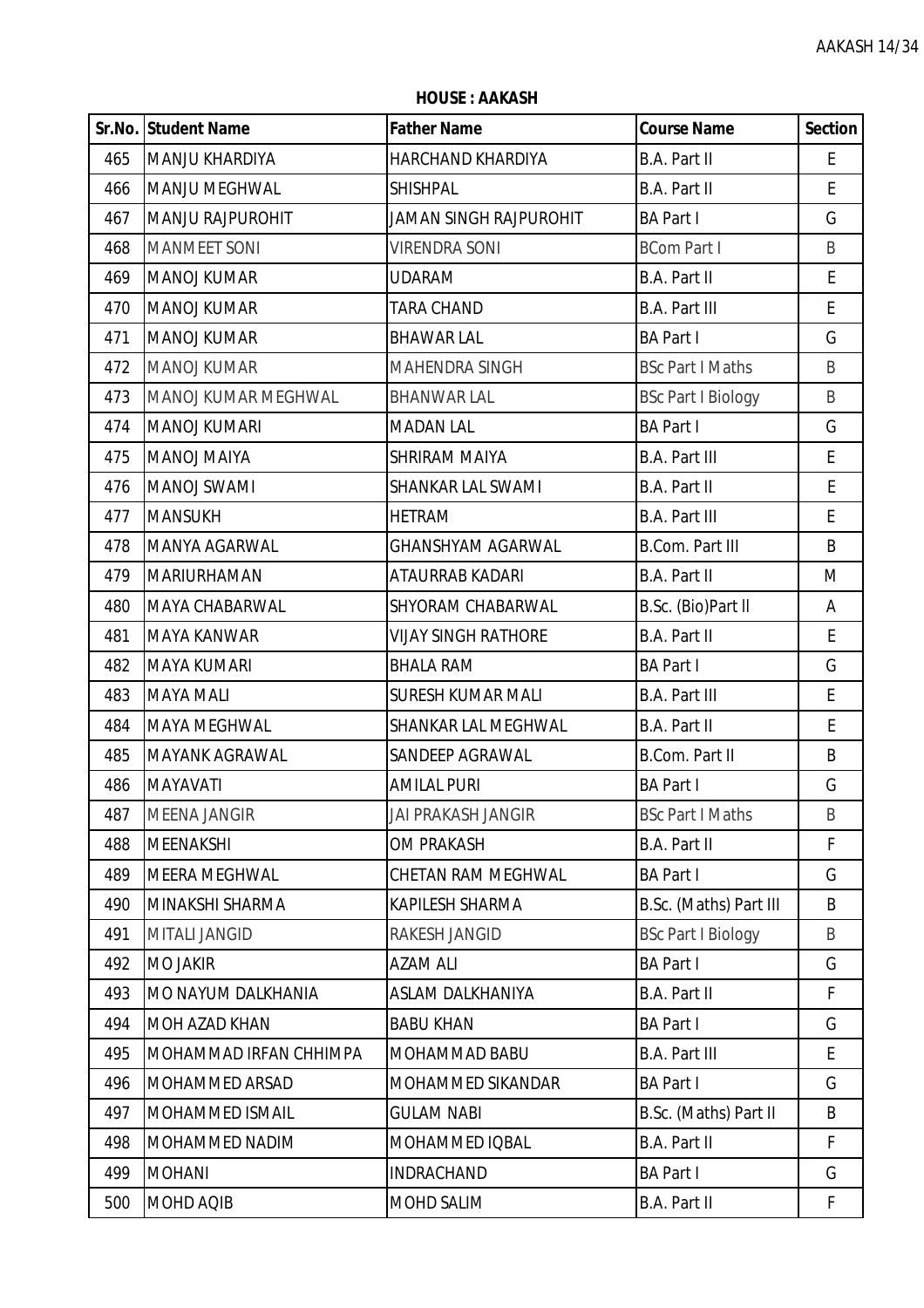|     | Sr.No. Student Name    | <b>Father Name</b>            | <b>Course Name</b>        | <b>Section</b> |
|-----|------------------------|-------------------------------|---------------------------|----------------|
| 465 | MANJU KHARDIYA         | HARCHAND KHARDIYA             | <b>B.A. Part II</b>       | E              |
| 466 | <b>MANJU MEGHWAL</b>   | <b>SHISHPAL</b>               | <b>B.A. Part II</b>       | E              |
| 467 | MANJU RAJPUROHIT       | <b>JAMAN SINGH RAJPUROHIT</b> | <b>BA Part I</b>          | G              |
| 468 | <b>MANMEET SONI</b>    | <b>VIRENDRA SONI</b>          | <b>BCom Part I</b>        | B              |
| 469 | <b>MANOJ KUMAR</b>     | <b>UDARAM</b>                 | B.A. Part II              | E              |
| 470 | <b>MANOJ KUMAR</b>     | <b>TARA CHAND</b>             | <b>B.A. Part III</b>      | E              |
| 471 | <b>MANOJ KUMAR</b>     | <b>BHAWAR LAL</b>             | <b>BA Part I</b>          | G              |
| 472 | <b>MANOJ KUMAR</b>     | MAHENDRA SINGH                | <b>BSc Part I Maths</b>   | B              |
| 473 | MANOJ KUMAR MEGHWAL    | <b>BHANWAR LAL</b>            | <b>BSc Part I Biology</b> | B              |
| 474 | MANOJ KUMARI           | <b>MADAN LAL</b>              | <b>BA Part I</b>          | G              |
| 475 | <b>MANOJ MAIYA</b>     | <b>SHRIRAM MAIYA</b>          | <b>B.A. Part III</b>      | E              |
| 476 | <b>MANOJ SWAMI</b>     | SHANKAR LAL SWAMI             | <b>B.A. Part II</b>       | E              |
| 477 | <b>MANSUKH</b>         | <b>HETRAM</b>                 | <b>B.A. Part III</b>      | E              |
| 478 | MANYA AGARWAL          | <b>GHANSHYAM AGARWAL</b>      | <b>B.Com. Part III</b>    | B              |
| 479 | <b>MARIURHAMAN</b>     | ATAURRAB KADARI               | B.A. Part II              | M              |
| 480 | MAYA CHABARWAL         | SHYORAM CHABARWAL             | B.Sc. (Bio)Part II        | A              |
| 481 | <b>MAYA KANWAR</b>     | <b>VIJAY SINGH RATHORE</b>    | <b>B.A. Part II</b>       | E              |
| 482 | <b>MAYA KUMARI</b>     | <b>BHALA RAM</b>              | <b>BA Part I</b>          | G              |
| 483 | <b>MAYA MALI</b>       | <b>SURESH KUMAR MALI</b>      | <b>B.A. Part III</b>      | E              |
| 484 | <b>MAYA MEGHWAL</b>    | SHANKAR LAL MEGHWAL           | B.A. Part II              | E              |
| 485 | <b>MAYANK AGRAWAL</b>  | SANDEEP AGRAWAL               | B.Com. Part II            | B              |
| 486 | <b>MAYAVATI</b>        | <b>AMILAL PURI</b>            | <b>BA Part I</b>          | G              |
| 487 | MEENA JANGIR           | <b>JAI PRAKASH JANGIR</b>     | <b>BSc Part I Maths</b>   | B              |
| 488 | <b>MEENAKSHI</b>       | <b>OM PRAKASH</b>             | B.A. Part II              | F              |
| 489 | MEERA MEGHWAL          | CHETAN RAM MEGHWAL            | <b>BA Part I</b>          | G              |
| 490 | MINAKSHI SHARMA        | KAPILESH SHARMA               | B.Sc. (Maths) Part III    | B              |
| 491 | <b>MITALI JANGID</b>   | RAKESH JANGID                 | <b>BSc Part I Biology</b> | B              |
| 492 | <b>MO JAKIR</b>        | <b>AZAM ALI</b>               | <b>BA Part I</b>          | G              |
| 493 | MO NAYUM DALKHANIA     | ASLAM DALKHANIYA              | <b>B.A. Part II</b>       | F              |
| 494 | <b>MOH AZAD KHAN</b>   | <b>BABU KHAN</b>              | <b>BA Part I</b>          | G              |
| 495 | MOHAMMAD IRFAN CHHIMPA | MOHAMMAD BABU                 | <b>B.A. Part III</b>      | E              |
| 496 | <b>MOHAMMED ARSAD</b>  | MOHAMMED SIKANDAR             | <b>BA Part I</b>          | G              |
| 497 | MOHAMMED ISMAIL        | <b>GULAM NABI</b>             | B.Sc. (Maths) Part II     | B              |
| 498 | MOHAMMED NADIM         | MOHAMMED IQBAL                | B.A. Part II              | F              |
| 499 | <b>MOHANI</b>          | <b>INDRACHAND</b>             | <b>BA Part I</b>          | G              |
| 500 | MOHD AQIB              | MOHD SALIM                    | B.A. Part II              | F              |

**HOUSE : AAKASH**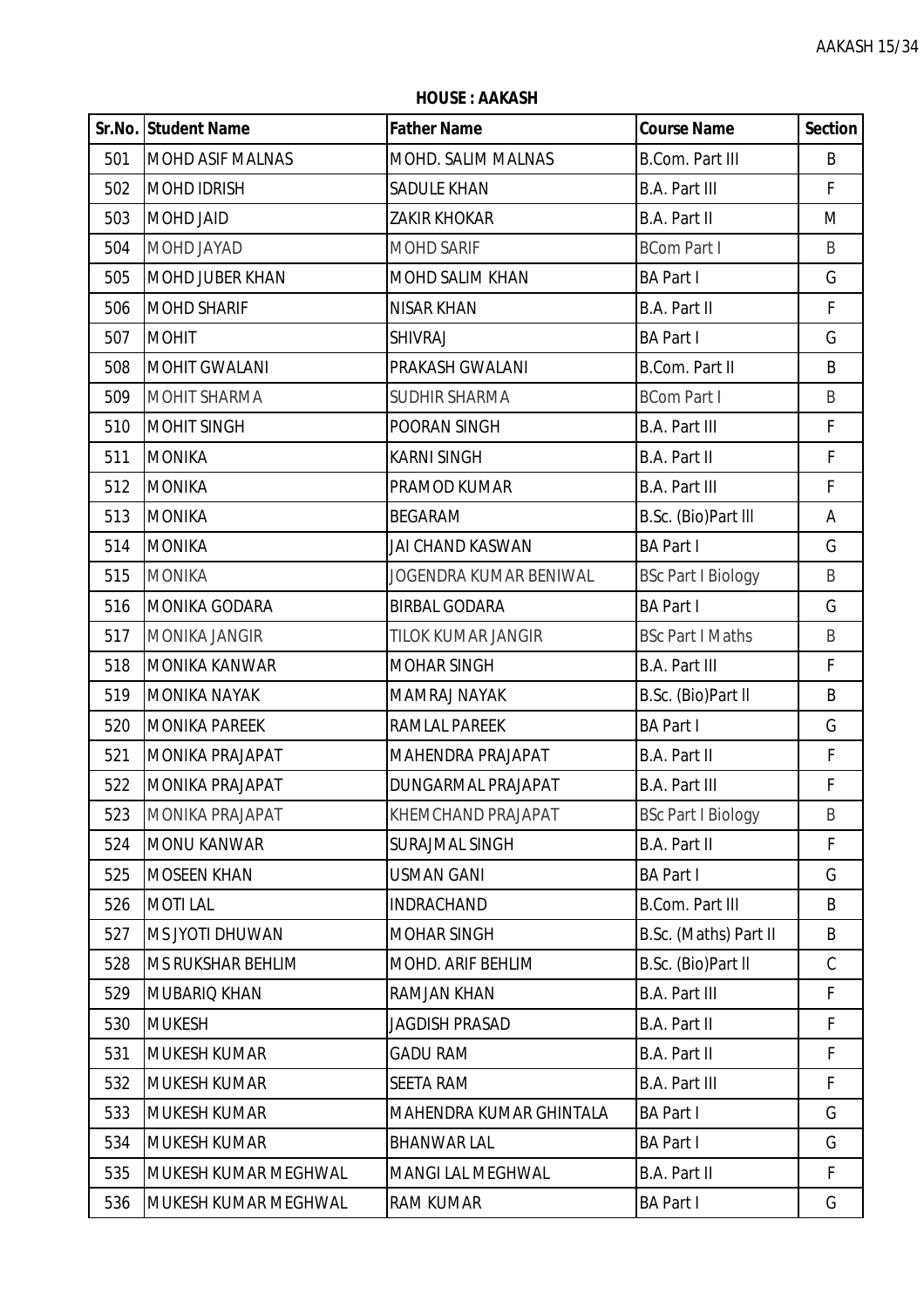|     | Sr.No. Student Name     | <b>Father Name</b>       | <b>Course Name</b>        | <b>Section</b> |
|-----|-------------------------|--------------------------|---------------------------|----------------|
| 501 | <b>MOHD ASIF MALNAS</b> | MOHD. SALIM MALNAS       | <b>B.Com. Part III</b>    | B              |
| 502 | <b>MOHD IDRISH</b>      | <b>SADULE KHAN</b>       | <b>B.A. Part III</b>      | F              |
| 503 | <b>MOHD JAID</b>        | <b>ZAKIR KHOKAR</b>      | B.A. Part II              | M              |
| 504 | MOHD JAYAD              | <b>MOHD SARIF</b>        | <b>BCom Part I</b>        | B              |
| 505 | <b>MOHD JUBER KHAN</b>  | MOHD SALIM KHAN          | <b>BA Part I</b>          | G              |
| 506 | <b>MOHD SHARIF</b>      | <b>NISAR KHAN</b>        | <b>B.A. Part II</b>       | F              |
| 507 | <b>MOHIT</b>            | <b>SHIVRAJ</b>           | <b>BA Part I</b>          | G              |
| 508 | <b>MOHIT GWALANI</b>    | PRAKASH GWALANI          | <b>B.Com. Part II</b>     | B              |
| 509 | <b>MOHIT SHARMA</b>     | <b>SUDHIR SHARMA</b>     | <b>BCom Part I</b>        | B              |
| 510 | <b>MOHIT SINGH</b>      | POORAN SINGH             | <b>B.A. Part III</b>      | $\mathsf F$    |
| 511 | <b>MONIKA</b>           | <b>KARNI SINGH</b>       | B.A. Part II              | F              |
| 512 | <b>MONIKA</b>           | PRAMOD KUMAR             | <b>B.A. Part III</b>      | $\mathsf{F}$   |
| 513 | <b>MONIKA</b>           | <b>BEGARAM</b>           | B.Sc. (Bio)Part III       | A              |
| 514 | <b>MONIKA</b>           | <b>JAI CHAND KASWAN</b>  | <b>BA Part I</b>          | G              |
| 515 | <b>MONIKA</b>           | JOGENDRA KUMAR BENIWAL   | <b>BSc Part I Biology</b> | B              |
| 516 | MONIKA GODARA           | <b>BIRBAL GODARA</b>     | <b>BA Part I</b>          | G              |
| 517 | <b>MONIKA JANGIR</b>    | TILOK KUMAR JANGIR       | <b>BSc Part I Maths</b>   | B              |
| 518 | <b>MONIKA KANWAR</b>    | <b>MOHAR SINGH</b>       | <b>B.A. Part III</b>      | F              |
| 519 | <b>MONIKA NAYAK</b>     | <b>MAMRAJ NAYAK</b>      | B.Sc. (Bio)Part II        | B              |
| 520 | <b>MONIKA PAREEK</b>    | RAMLAL PAREEK            | <b>BA Part I</b>          | G              |
| 521 | MONIKA PRAJAPAT         | MAHENDRA PRAJAPAT        | B.A. Part II              | F              |
| 522 | <b>MONIKA PRAJAPAT</b>  | DUNGARMAL PRAJAPAT       | <b>B.A. Part III</b>      | F              |
| 523 | MONIKA PRAJAPAT         | KHEMCHAND PRAJAPAT       | <b>BSc Part I Biology</b> | B              |
| 524 | <b>MONU KANWAR</b>      | <b>SURAJMAL SINGH</b>    | B.A. Part II              | F              |
| 525 | <b>MOSEEN KHAN</b>      | <b>USMAN GANI</b>        | <b>BA Part I</b>          | G              |
| 526 | <b>MOTILAL</b>          | <b>INDRACHAND</b>        | <b>B.Com. Part III</b>    | B              |
| 527 | MS JYOTI DHUWAN         | <b>MOHAR SINGH</b>       | B.Sc. (Maths) Part II     | B              |
| 528 | MS RUKSHAR BEHLIM       | MOHD. ARIF BEHLIM        | B.Sc. (Bio)Part II        | $\mathsf C$    |
| 529 | MUBARIQ KHAN            | RAMJAN KHAN              | <b>B.A. Part III</b>      | F              |
| 530 | <b>MUKESH</b>           | <b>JAGDISH PRASAD</b>    | B.A. Part II              | F              |
| 531 | <b>MUKESH KUMAR</b>     | <b>GADU RAM</b>          | B.A. Part II              | F              |
| 532 | <b>MUKESH KUMAR</b>     | <b>SEETA RAM</b>         | <b>B.A. Part III</b>      | F              |
| 533 | <b>MUKESH KUMAR</b>     | MAHENDRA KUMAR GHINTALA  | <b>BA Part I</b>          | G              |
| 534 | <b>MUKESH KUMAR</b>     | <b>BHANWAR LAL</b>       | <b>BA Part I</b>          | G              |
| 535 | MUKESH KUMAR MEGHWAL    | <b>MANGI LAL MEGHWAL</b> | B.A. Part II              | F              |
| 536 | MUKESH KUMAR MEGHWAL    | <b>RAM KUMAR</b>         | <b>BA Part I</b>          | G              |

**HOUSE : AAKASH**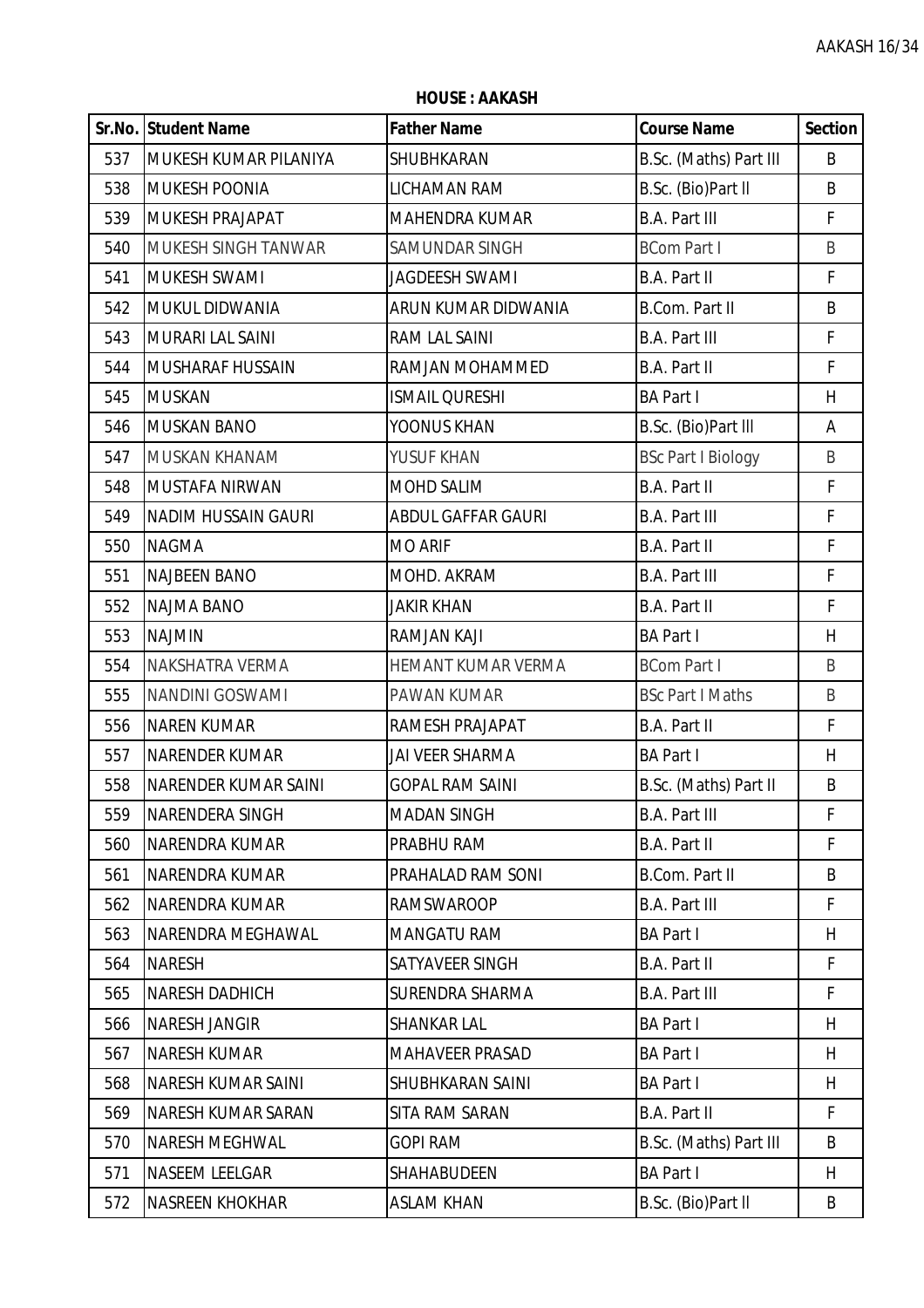|     | Sr.No. Student Name         | <b>Father Name</b>        | <b>Course Name</b>        | <b>Section</b> |
|-----|-----------------------------|---------------------------|---------------------------|----------------|
| 537 | MUKESH KUMAR PILANIYA       | SHUBHKARAN                | B.Sc. (Maths) Part III    | B              |
| 538 | <b>MUKESH POONIA</b>        | <b>LICHAMAN RAM</b>       | B.Sc. (Bio)Part II        | B              |
| 539 | <b>MUKESH PRAJAPAT</b>      | MAHENDRA KUMAR            | <b>B.A. Part III</b>      | F              |
| 540 | MUKESH SINGH TANWAR         | <b>SAMUNDAR SINGH</b>     | <b>BCom Part I</b>        | B              |
| 541 | <b>MUKESH SWAMI</b>         | <b>JAGDEESH SWAMI</b>     | B.A. Part II              | F              |
| 542 | MUKUL DIDWANIA              | ARUN KUMAR DIDWANIA       | <b>B.Com. Part II</b>     | B              |
| 543 | <b>MURARI LAL SAINI</b>     | RAM LAL SAINI             | <b>B.A. Part III</b>      | F              |
| 544 | <b>MUSHARAF HUSSAIN</b>     | RAMJAN MOHAMMED           | B.A. Part II              | F              |
| 545 | <b>MUSKAN</b>               | <b>ISMAIL QURESHI</b>     | <b>BA Part I</b>          | H              |
| 546 | <b>MUSKAN BANO</b>          | YOONUS KHAN               | B.Sc. (Bio)Part III       | Α              |
| 547 | <b>MUSKAN KHANAM</b>        | YUSUF KHAN                | <b>BSc Part I Biology</b> | B              |
| 548 | <b>MUSTAFA NIRWAN</b>       | <b>MOHD SALIM</b>         | B.A. Part II              | F              |
| 549 | <b>NADIM HUSSAIN GAURI</b>  | <b>ABDUL GAFFAR GAURI</b> | <b>B.A. Part III</b>      | F              |
| 550 | <b>NAGMA</b>                | <b>MO ARIF</b>            | <b>B.A. Part II</b>       | $\mathsf F$    |
| 551 | <b>NAJBEEN BANO</b>         | MOHD. AKRAM               | <b>B.A. Part III</b>      | $\mathsf F$    |
| 552 | <b>NAJMA BANO</b>           | <b>JAKIR KHAN</b>         | B.A. Part II              | $\mathsf F$    |
| 553 | <b>NAJMIN</b>               | <b>RAMJAN KAJI</b>        | <b>BA Part I</b>          | H              |
| 554 | NAKSHATRA VERMA             | HEMANT KUMAR VERMA        | <b>BCom Part I</b>        | B              |
| 555 | <b>NANDINI GOSWAMI</b>      | PAWAN KUMAR               | <b>BSc Part I Maths</b>   | B              |
| 556 | <b>NAREN KUMAR</b>          | RAMESH PRAJAPAT           | B.A. Part II              | F              |
| 557 | <b>NARENDER KUMAR</b>       | <b>JAI VEER SHARMA</b>    | <b>BA Part I</b>          | H              |
| 558 | <b>NARENDER KUMAR SAINI</b> | <b>GOPAL RAM SAINI</b>    | B.Sc. (Maths) Part II     | B              |
| 559 | NARENDERA SINGH             | <b>MADAN SINGH</b>        | <b>B.A. Part III</b>      | F              |
| 560 | <b>NARENDRA KUMAR</b>       | PRABHU RAM                | B.A. Part II              | F              |
| 561 | NARENDRA KUMAR              | PRAHALAD RAM SONI         | B.Com. Part II            | B              |
| 562 | <b>NARENDRA KUMAR</b>       | <b>RAMSWAROOP</b>         | <b>B.A. Part III</b>      | F              |
| 563 | NARENDRA MEGHAWAL           | <b>MANGATU RAM</b>        | <b>BA Part I</b>          | H              |
| 564 | <b>NARESH</b>               | SATYAVEER SINGH           | B.A. Part II              | F              |
| 565 | <b>NARESH DADHICH</b>       | <b>SURENDRA SHARMA</b>    | <b>B.A. Part III</b>      | F              |
| 566 | <b>NARESH JANGIR</b>        | <b>SHANKAR LAL</b>        | <b>BA Part I</b>          | H              |
| 567 | <b>NARESH KUMAR</b>         | <b>MAHAVEER PRASAD</b>    | <b>BA Part I</b>          | H              |
| 568 | <b>NARESH KUMAR SAINI</b>   | SHUBHKARAN SAINI          | <b>BA Part I</b>          | H              |
| 569 | <b>NARESH KUMAR SARAN</b>   | <b>SITA RAM SARAN</b>     | B.A. Part II              | F              |
| 570 | <b>NARESH MEGHWAL</b>       | <b>GOPI RAM</b>           | B.Sc. (Maths) Part III    | B              |
| 571 | <b>NASEEM LEELGAR</b>       | <b>SHAHABUDEEN</b>        | <b>BA Part I</b>          | H              |
| 572 | <b>NASREEN KHOKHAR</b>      | <b>ASLAM KHAN</b>         | B.Sc. (Bio)Part II        | B              |

**HOUSE : AAKASH**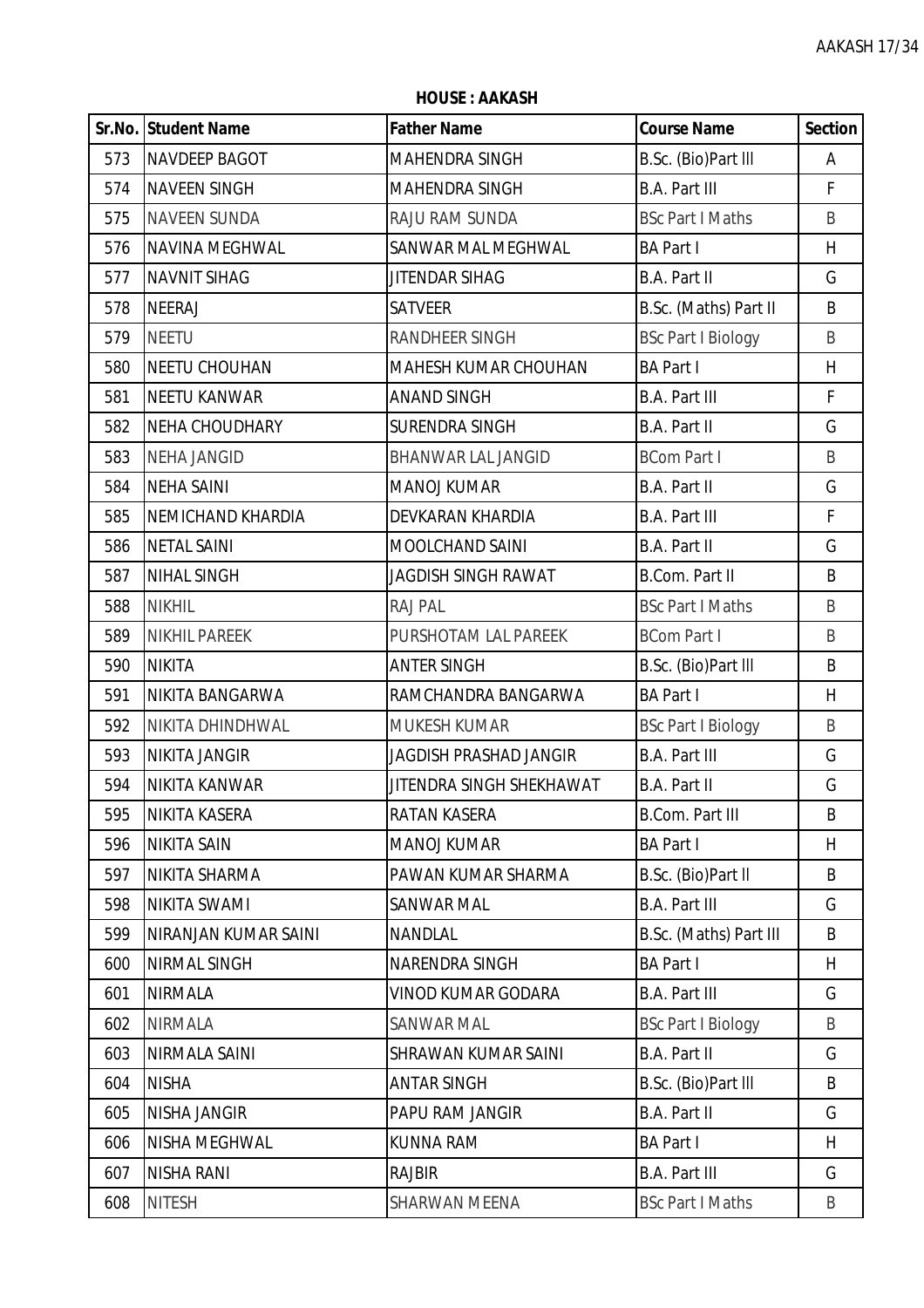**HOUSE : AAKASH**

|     | <b>Sr.No. Student Name</b> | <b>Father Name</b>            | <b>Course Name</b>        | <b>Section</b> |
|-----|----------------------------|-------------------------------|---------------------------|----------------|
| 573 | <b>NAVDEEP BAGOT</b>       | MAHENDRA SINGH                | B.Sc. (Bio)Part III       | Α              |
| 574 | <b>NAVEEN SINGH</b>        | MAHENDRA SINGH                | <b>B.A. Part III</b>      | F              |
| 575 | <b>NAVEEN SUNDA</b>        | RAJU RAM SUNDA                | <b>BSc Part I Maths</b>   | B              |
| 576 | NAVINA MEGHWAL             | SANWAR MAL MEGHWAL            | <b>BA Part I</b>          | H              |
| 577 | <b>NAVNIT SIHAG</b>        | JITENDAR SIHAG                | B.A. Part II              | G              |
| 578 | <b>NEERAJ</b>              | <b>SATVEER</b>                | B.Sc. (Maths) Part II     | B              |
| 579 | <b>NEETU</b>               | <b>RANDHEER SINGH</b>         | <b>BSc Part I Biology</b> | B              |
| 580 | <b>NEETU CHOUHAN</b>       | MAHESH KUMAR CHOUHAN          | <b>BA Part I</b>          | H              |
| 581 | <b>NEETU KANWAR</b>        | <b>ANAND SINGH</b>            | <b>B.A. Part III</b>      | F              |
| 582 | <b>NEHA CHOUDHARY</b>      | <b>SURENDRA SINGH</b>         | B.A. Part II              | G              |
| 583 | <b>NEHA JANGID</b>         | <b>BHANWAR LAL JANGID</b>     | <b>BCom Part I</b>        | B              |
| 584 | <b>NEHA SAINI</b>          | <b>MANOJ KUMAR</b>            | B.A. Part II              | G              |
| 585 | <b>NEMICHAND KHARDIA</b>   | DEVKARAN KHARDIA              | <b>B.A. Part III</b>      | F              |
| 586 | <b>NETAL SAINI</b>         | MOOLCHAND SAINI               | <b>B.A. Part II</b>       | G              |
| 587 | <b>NIHAL SINGH</b>         | <b>JAGDISH SINGH RAWAT</b>    | <b>B.Com. Part II</b>     | B              |
| 588 | <b>NIKHIL</b>              | RAJ PAL                       | <b>BSc Part I Maths</b>   | B              |
| 589 | <b>NIKHIL PAREEK</b>       | PURSHOTAM LAL PAREEK          | <b>BCom Part I</b>        | B              |
| 590 | <b>NIKITA</b>              | <b>ANTER SINGH</b>            | B.Sc. (Bio)Part III       | B              |
| 591 | NIKITA BANGARWA            | RAMCHANDRA BANGARWA           | <b>BA Part I</b>          | H              |
| 592 | NIKITA DHINDHWAL           | <b>MUKESH KUMAR</b>           | <b>BSc Part I Biology</b> | B              |
| 593 | <b>NIKITA JANGIR</b>       | <b>JAGDISH PRASHAD JANGIR</b> | <b>B.A. Part III</b>      | G              |
| 594 | NIKITA KANWAR              | JITENDRA SINGH SHEKHAWAT      | B.A. Part II              | G              |
| 595 | NIKITA KASERA              | <b>RATAN KASERA</b>           | <b>B.Com. Part III</b>    | B              |
| 596 | <b>NIKITA SAIN</b>         | <b>MANOJ KUMAR</b>            | <b>BA Part I</b>          | H              |
| 597 | NIKITA SHARMA              | PAWAN KUMAR SHARMA            | B.Sc. (Bio)Part II        | B              |
| 598 | <b>NIKITA SWAMI</b>        | <b>SANWAR MAL</b>             | <b>B.A. Part III</b>      | G              |
| 599 | NIRANJAN KUMAR SAINI       | <b>NANDLAL</b>                | B.Sc. (Maths) Part III    | B              |
| 600 | <b>NIRMAL SINGH</b>        | NARENDRA SINGH                | <b>BA Part I</b>          | H              |
| 601 | <b>NIRMALA</b>             | VINOD KUMAR GODARA            | <b>B.A. Part III</b>      | G              |
| 602 | <b>NIRMALA</b>             | <b>SANWAR MAL</b>             | <b>BSc Part I Biology</b> | B              |
| 603 | NIRMALA SAINI              | SHRAWAN KUMAR SAINI           | B.A. Part II              | G              |
| 604 | <b>NISHA</b>               | <b>ANTAR SINGH</b>            | B.Sc. (Bio)Part III       | B              |
| 605 | <b>NISHA JANGIR</b>        | PAPU RAM JANGIR               | B.A. Part II              | G              |
| 606 | NISHA MEGHWAL              | <b>KUNNA RAM</b>              | <b>BA Part I</b>          | H              |
| 607 | <b>NISHA RANI</b>          | <b>RAJBIR</b>                 | <b>B.A. Part III</b>      | G              |
| 608 | <b>NITESH</b>              | SHARWAN MEENA                 | <b>BSc Part I Maths</b>   | B              |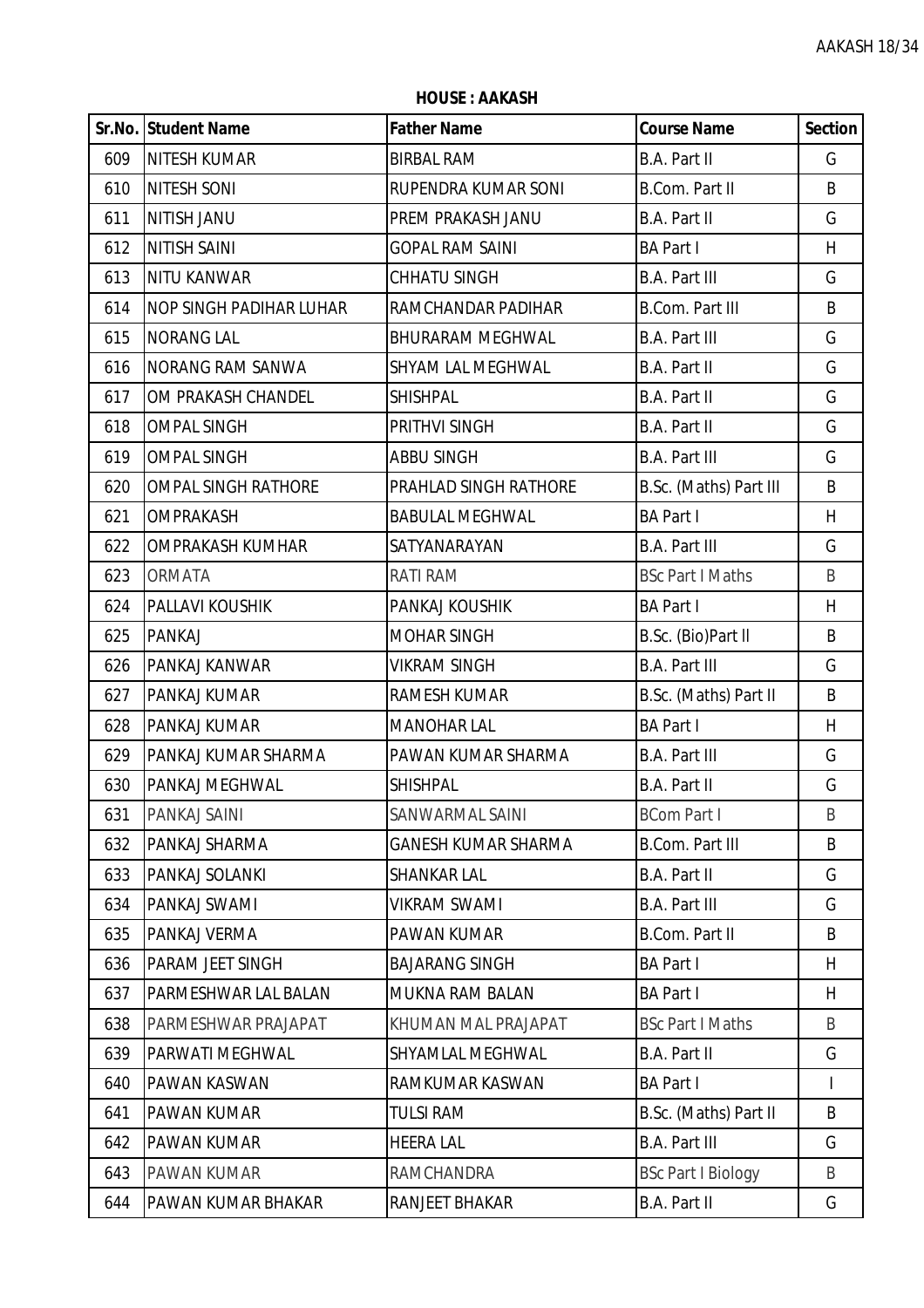|     | Sr.No. Student Name            | <b>Father Name</b>           | <b>Course Name</b>        | <b>Section</b> |
|-----|--------------------------------|------------------------------|---------------------------|----------------|
| 609 | <b>NITESH KUMAR</b>            | <b>BIRBAL RAM</b>            | B.A. Part II              | G              |
| 610 | <b>NITESH SONI</b>             | RUPENDRA KUMAR SONI          | <b>B.Com. Part II</b>     | B              |
| 611 | <b>NITISH JANU</b>             | PREM PRAKASH JANU            | B.A. Part II              | G              |
| 612 | <b>NITISH SAINI</b>            | <b>GOPAL RAM SAINI</b>       | <b>BA Part I</b>          | H              |
| 613 | <b>NITU KANWAR</b>             | <b>CHHATU SINGH</b>          | <b>B.A. Part III</b>      | G              |
| 614 | <b>NOP SINGH PADIHAR LUHAR</b> | RAMCHANDAR PADIHAR           | <b>B.Com. Part III</b>    | B              |
| 615 | <b>NORANG LAL</b>              | <b>BHURARAM MEGHWAL</b>      | <b>B.A. Part III</b>      | G              |
| 616 | <b>NORANG RAM SANWA</b>        | <b>SHYAM LAL MEGHWAL</b>     | <b>B.A. Part II</b>       | G              |
| 617 | OM PRAKASH CHANDEL             | <b>SHISHPAL</b>              | <b>B.A. Part II</b>       | G              |
| 618 | <b>OMPAL SINGH</b>             | <b>PRITHVI SINGH</b>         | <b>B.A. Part II</b>       | G              |
| 619 | <b>OMPAL SINGH</b>             | <b>ABBU SINGH</b>            | <b>B.A. Part III</b>      | G              |
| 620 | <b>OMPAL SINGH RATHORE</b>     | <b>PRAHLAD SINGH RATHORE</b> | B.Sc. (Maths) Part III    | B              |
| 621 | <b>OMPRAKASH</b>               | <b>BABULAL MEGHWAL</b>       | <b>BA Part I</b>          | H              |
| 622 | <b>OMPRAKASH KUMHAR</b>        | SATYANARAYAN                 | <b>B.A. Part III</b>      | G              |
| 623 | <b>ORMATA</b>                  | <b>RATI RAM</b>              | <b>BSc Part I Maths</b>   | B              |
| 624 | <b>PALLAVI KOUSHIK</b>         | PANKAJ KOUSHIK               | <b>BA Part I</b>          | H              |
| 625 | <b>PANKAJ</b>                  | <b>MOHAR SINGH</b>           | B.Sc. (Bio)Part II        | B              |
| 626 | PANKAJ KANWAR                  | <b>VIKRAM SINGH</b>          | <b>B.A. Part III</b>      | G              |
| 627 | PANKAJ KUMAR                   | <b>RAMESH KUMAR</b>          | B.Sc. (Maths) Part II     | B              |
| 628 | PANKAJ KUMAR                   | <b>MANOHAR LAL</b>           | <b>BA Part I</b>          | H              |
| 629 | PANKAJ KUMAR SHARMA            | PAWAN KUMAR SHARMA           | <b>B.A. Part III</b>      | G              |
| 630 | PANKAJ MEGHWAL                 | <b>SHISHPAL</b>              | B.A. Part II              | G              |
| 631 | <b>PANKAJ SAINI</b>            | SANWARMAL SAINI              | <b>BCom Part I</b>        | B              |
| 632 | PANKAJ SHARMA                  | <b>GANESH KUMAR SHARMA</b>   | <b>B.Com. Part III</b>    | B              |
| 633 | PANKAJ SOLANKI                 | <b>SHANKAR LAL</b>           | <b>B.A. Part II</b>       | G              |
| 634 | PANKAJ SWAMI                   | <b>VIKRAM SWAMI</b>          | <b>B.A. Part III</b>      | G              |
| 635 | PANKAJ VERMA                   | <b>PAWAN KUMAR</b>           | <b>B.Com. Part II</b>     | B              |
| 636 | <b>PARAM JEET SINGH</b>        | <b>BAJARANG SINGH</b>        | <b>BA Part I</b>          | H              |
| 637 | PARMESHWAR LAL BALAN           | <b>MUKNA RAM BALAN</b>       | <b>BA Part I</b>          | H              |
| 638 | PARMESHWAR PRAJAPAT            | KHUMAN MAL PRAJAPAT          | <b>BSc Part I Maths</b>   | B              |
| 639 | PARWATI MEGHWAL                | <b>SHYAMLAL MEGHWAL</b>      | <b>B.A. Part II</b>       | G              |
| 640 | <b>PAWAN KASWAN</b>            | RAMKUMAR KASWAN              | <b>BA Part I</b>          | $\mathbf{I}$   |
| 641 | <b>PAWAN KUMAR</b>             | <b>TULSI RAM</b>             | B.Sc. (Maths) Part II     | B              |
| 642 | <b>PAWAN KUMAR</b>             | <b>HEERA LAL</b>             | <b>B.A. Part III</b>      | G              |
| 643 | <b>PAWAN KUMAR</b>             | <b>RAMCHANDRA</b>            | <b>BSc Part I Biology</b> | B              |
| 644 | PAWAN KUMAR BHAKAR             | RANJEET BHAKAR               | B.A. Part II              | G              |

**HOUSE : AAKASH**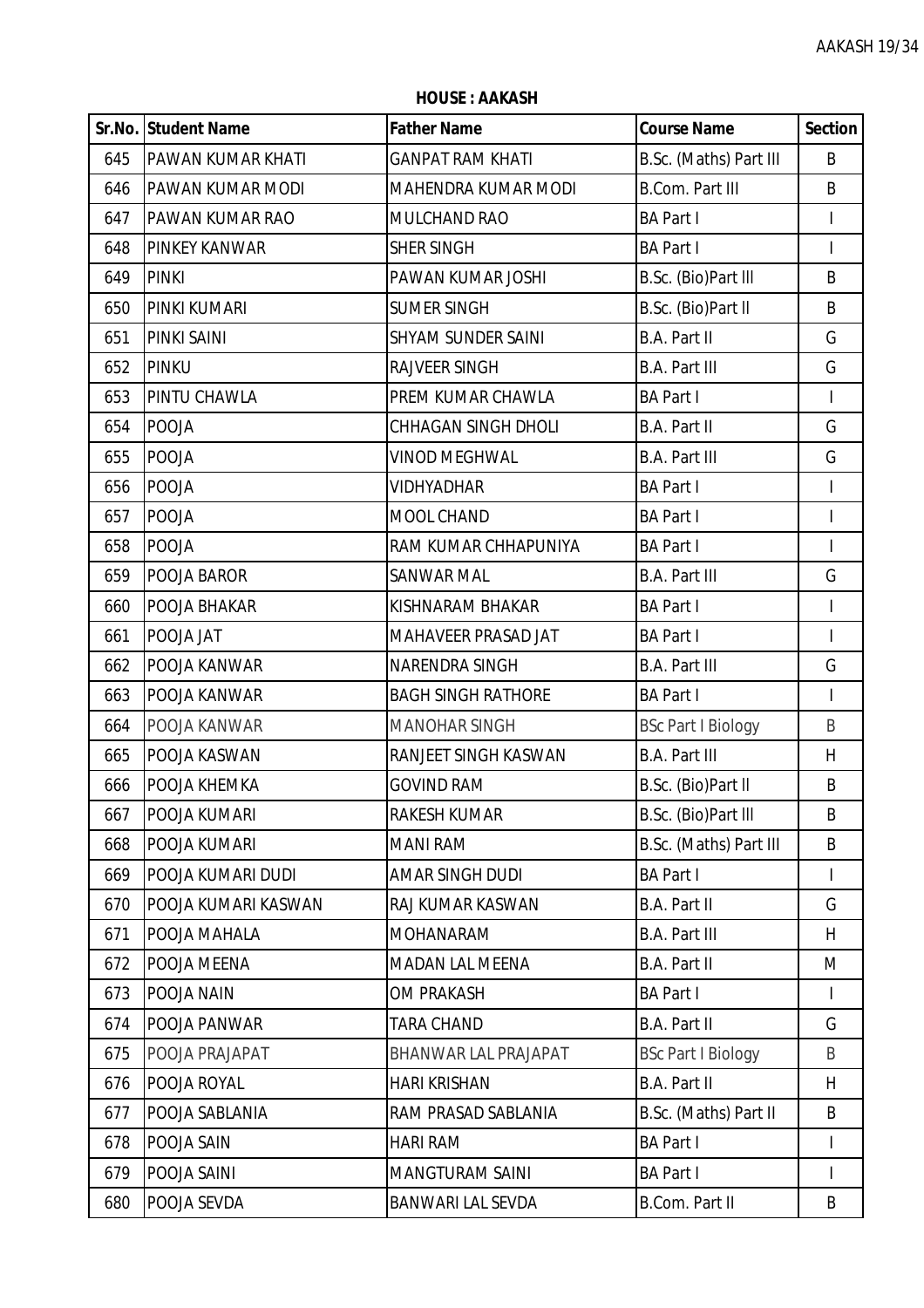|     | Sr.No. Student Name      | <b>Father Name</b>         | <b>Course Name</b>        | <b>Section</b> |
|-----|--------------------------|----------------------------|---------------------------|----------------|
| 645 | <b>PAWAN KUMAR KHATI</b> | <b>GANPAT RAM KHATI</b>    | B.Sc. (Maths) Part III    | B              |
| 646 | PAWAN KUMAR MODI         | MAHENDRA KUMAR MODI        | <b>B.Com. Part III</b>    | B              |
| 647 | PAWAN KUMAR RAO          | MULCHAND RAO               | <b>BA Part I</b>          |                |
| 648 | <b>PINKEY KANWAR</b>     | <b>SHER SINGH</b>          | <b>BA Part I</b>          |                |
| 649 | <b>PINKI</b>             | PAWAN KUMAR JOSHI          | B.Sc. (Bio)Part III       | B              |
| 650 | <b>PINKI KUMARI</b>      | <b>SUMER SINGH</b>         | B.Sc. (Bio)Part II        | B              |
| 651 | <b>PINKI SAINI</b>       | <b>SHYAM SUNDER SAINI</b>  | <b>B.A. Part II</b>       | G              |
| 652 | PINKU                    | <b>RAJVEER SINGH</b>       | <b>B.A. Part III</b>      | G              |
| 653 | PINTU CHAWLA             | PREM KUMAR CHAWLA          | <b>BA Part I</b>          | $\mathbf{I}$   |
| 654 | <b>POOJA</b>             | <b>CHHAGAN SINGH DHOLI</b> | <b>B.A. Part II</b>       | G              |
| 655 | <b>POOJA</b>             | <b>VINOD MEGHWAL</b>       | <b>B.A. Part III</b>      | G              |
| 656 | POOJA                    | <b>VIDHYADHAR</b>          | <b>BA Part I</b>          | T              |
| 657 | <b>POOJA</b>             | MOOL CHAND                 | <b>BA Part I</b>          | $\mathsf{I}$   |
| 658 | <b>POOJA</b>             | RAM KUMAR CHHAPUNIYA       | <b>BA Part I</b>          | $\mathsf{I}$   |
| 659 | POOJA BAROR              | <b>SANWAR MAL</b>          | <b>B.A. Part III</b>      | G              |
| 660 | POOJA BHAKAR             | KISHNARAM BHAKAR           | <b>BA Part I</b>          | $\mathsf{I}$   |
| 661 | POOJA JAT                | MAHAVEER PRASAD JAT        | <b>BA Part I</b>          |                |
| 662 | POOJA KANWAR             | NARENDRA SINGH             | <b>B.A. Part III</b>      | G              |
| 663 | POOJA KANWAR             | <b>BAGH SINGH RATHORE</b>  | <b>BA Part I</b>          | $\mathbf{I}$   |
| 664 | POOJA KANWAR             | <b>MANOHAR SINGH</b>       | <b>BSc Part I Biology</b> | B              |
| 665 | POOJA KASWAN             | RANJEET SINGH KASWAN       | <b>B.A. Part III</b>      | H              |
| 666 | POOJA KHEMKA             | <b>GOVIND RAM</b>          | B.Sc. (Bio)Part II        | B              |
| 667 | POOJA KUMARI             | RAKESH KUMAR               | B.Sc. (Bio)Part III       | B              |
| 668 | POOJA KUMARI             | <b>MANI RAM</b>            | B.Sc. (Maths) Part III    | B              |
| 669 | POOJA KUMARI DUDI        | <b>AMAR SINGH DUDI</b>     | <b>BA Part I</b>          | T              |
| 670 | POOJA KUMARI KASWAN      | RAJ KUMAR KASWAN           | <b>B.A. Part II</b>       | G              |
| 671 | POOJA MAHALA             | <b>MOHANARAM</b>           | <b>B.A. Part III</b>      | H              |
| 672 | POOJA MEENA              | <b>MADAN LAL MEENA</b>     | <b>B.A. Part II</b>       | M              |
| 673 | POOJA NAIN               | <b>OM PRAKASH</b>          | <b>BA Part I</b>          | L              |
| 674 | POOJA PANWAR             | <b>TARA CHAND</b>          | <b>B.A. Part II</b>       | G              |
| 675 | POOJA PRAJAPAT           | BHANWAR LAL PRAJAPAT       | <b>BSc Part I Biology</b> | B              |
| 676 | POOJA ROYAL              | <b>HARI KRISHAN</b>        | <b>B.A. Part II</b>       | H              |
| 677 | POOJA SABLANIA           | RAM PRASAD SABLANIA        | B.Sc. (Maths) Part II     | B              |
| 678 | POOJA SAIN               | <b>HARI RAM</b>            | <b>BA Part I</b>          |                |
| 679 | POOJA SAINI              | MANGTURAM SAINI            | <b>BA Part I</b>          | $\mathbf{I}$   |
| 680 | POOJA SEVDA              | BANWARI LAL SEVDA          | <b>B.Com. Part II</b>     | B              |

**HOUSE : AAKASH**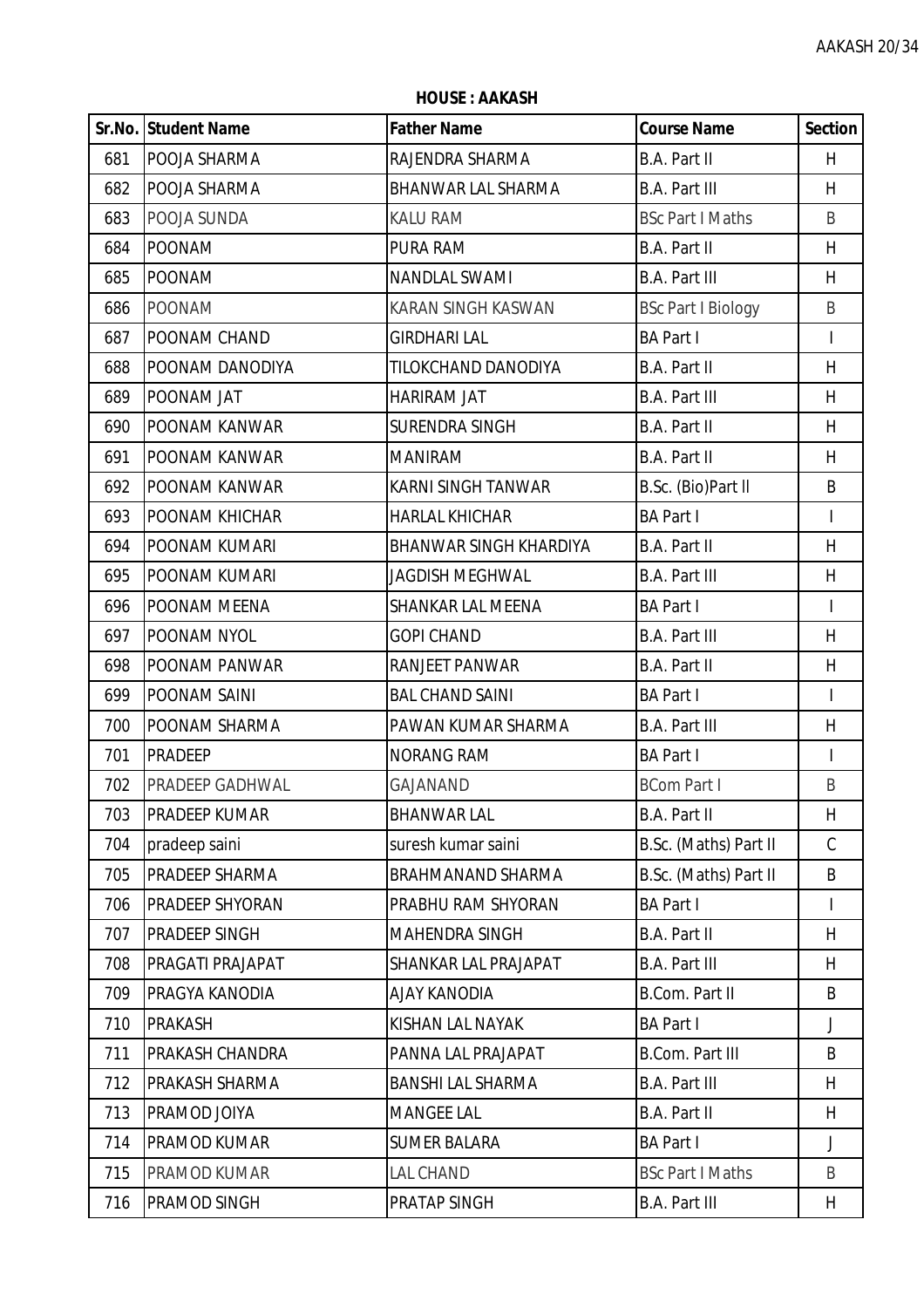|     | Sr.No. Student Name    | <b>Father Name</b>            | <b>Course Name</b>        | <b>Section</b> |
|-----|------------------------|-------------------------------|---------------------------|----------------|
| 681 | POOJA SHARMA           | RAJENDRA SHARMA               | <b>B.A. Part II</b>       | H              |
| 682 | POOJA SHARMA           | <b>BHANWAR LAL SHARMA</b>     | <b>B.A. Part III</b>      | H              |
| 683 | POOJA SUNDA            | <b>KALU RAM</b>               | <b>BSc Part I Maths</b>   | B              |
| 684 | <b>POONAM</b>          | <b>PURA RAM</b>               | B.A. Part II              | H              |
| 685 | <b>POONAM</b>          | <b>NANDLAL SWAMI</b>          | <b>B.A. Part III</b>      | H              |
| 686 | <b>POONAM</b>          | <b>KARAN SINGH KASWAN</b>     | <b>BSc Part I Biology</b> | B              |
| 687 | POONAM CHAND           | <b>GIRDHARI LAL</b>           | <b>BA Part I</b>          | $\mathsf{I}$   |
| 688 | POONAM DANODIYA        | TILOKCHAND DANODIYA           | <b>B.A. Part II</b>       | H              |
| 689 | POONAM JAT             | HARIRAM JAT                   | <b>B.A. Part III</b>      | H              |
| 690 | POONAM KANWAR          | SURENDRA SINGH                | B.A. Part II              | H              |
| 691 | POONAM KANWAR          | <b>MANIRAM</b>                | B.A. Part II              | H              |
| 692 | POONAM KANWAR          | <b>KARNI SINGH TANWAR</b>     | B.Sc. (Bio)Part II        | B              |
| 693 | POONAM KHICHAR         | <b>HARLAL KHICHAR</b>         | <b>BA Part I</b>          | T              |
| 694 | POONAM KUMARI          | <b>BHANWAR SINGH KHARDIYA</b> | B.A. Part II              | H              |
| 695 | POONAM KUMARI          | <b>JAGDISH MEGHWAL</b>        | <b>B.A. Part III</b>      | H              |
| 696 | POONAM MEENA           | <b>SHANKAR LAL MEENA</b>      | <b>BA Part I</b>          | $\mathsf{I}$   |
| 697 | POONAM NYOL            | <b>GOPI CHAND</b>             | <b>B.A. Part III</b>      | H              |
| 698 | POONAM PANWAR          | <b>RANJEET PANWAR</b>         | <b>B.A. Part II</b>       | $\sf H$        |
| 699 | POONAM SAINI           | <b>BAL CHAND SAINI</b>        | <b>BA Part I</b>          | $\mathbf{I}$   |
| 700 | POONAM SHARMA          | PAWAN KUMAR SHARMA            | <b>B.A. Part III</b>      | H              |
| 701 | <b>PRADEEP</b>         | <b>NORANG RAM</b>             | <b>BA Part I</b>          |                |
| 702 | PRADEEP GADHWAL        | <b>GAJANAND</b>               | <b>BCom Part I</b>        | B              |
| 703 | IPRADEEP KUMAR         | BHANWAR LAL                   | B.A. Part II              | H              |
| 704 | pradeep saini          | suresh kumar saini            | B.Sc. (Maths) Part II     | $\mathcal{C}$  |
| 705 | PRADEEP SHARMA         | <b>BRAHMANAND SHARMA</b>      | B.Sc. (Maths) Part II     | B              |
| 706 | <b>PRADEEP SHYORAN</b> | PRABHU RAM SHYORAN            | <b>BA Part I</b>          |                |
| 707 | PRADEEP SINGH          | <b>MAHENDRA SINGH</b>         | <b>B.A. Part II</b>       | H              |
| 708 | PRAGATI PRAJAPAT       | <b>SHANKAR LAL PRAJAPAT</b>   | <b>B.A. Part III</b>      | H              |
| 709 | PRAGYA KANODIA         | <b>AJAY KANODIA</b>           | B.Com. Part II            | B              |
| 710 | <b>PRAKASH</b>         | KISHAN LAL NAYAK              | <b>BA Part I</b>          | $\mathsf J$    |
| 711 | PRAKASH CHANDRA        | PANNA LAL PRAJAPAT            | <b>B.Com. Part III</b>    | B              |
| 712 | PRAKASH SHARMA         | <b>BANSHI LAL SHARMA</b>      | <b>B.A. Part III</b>      | H              |
| 713 | PRAMOD JOIYA           | <b>MANGEE LAL</b>             | <b>B.A. Part II</b>       | H              |
| 714 | PRAMOD KUMAR           | <b>SUMER BALARA</b>           | <b>BA Part I</b>          | J              |
| 715 | PRAMOD KUMAR           | <b>LAL CHAND</b>              | <b>BSc Part I Maths</b>   | B              |
| 716 | PRAMOD SINGH           | <b>PRATAP SINGH</b>           | <b>B.A. Part III</b>      | H              |

**HOUSE : AAKASH**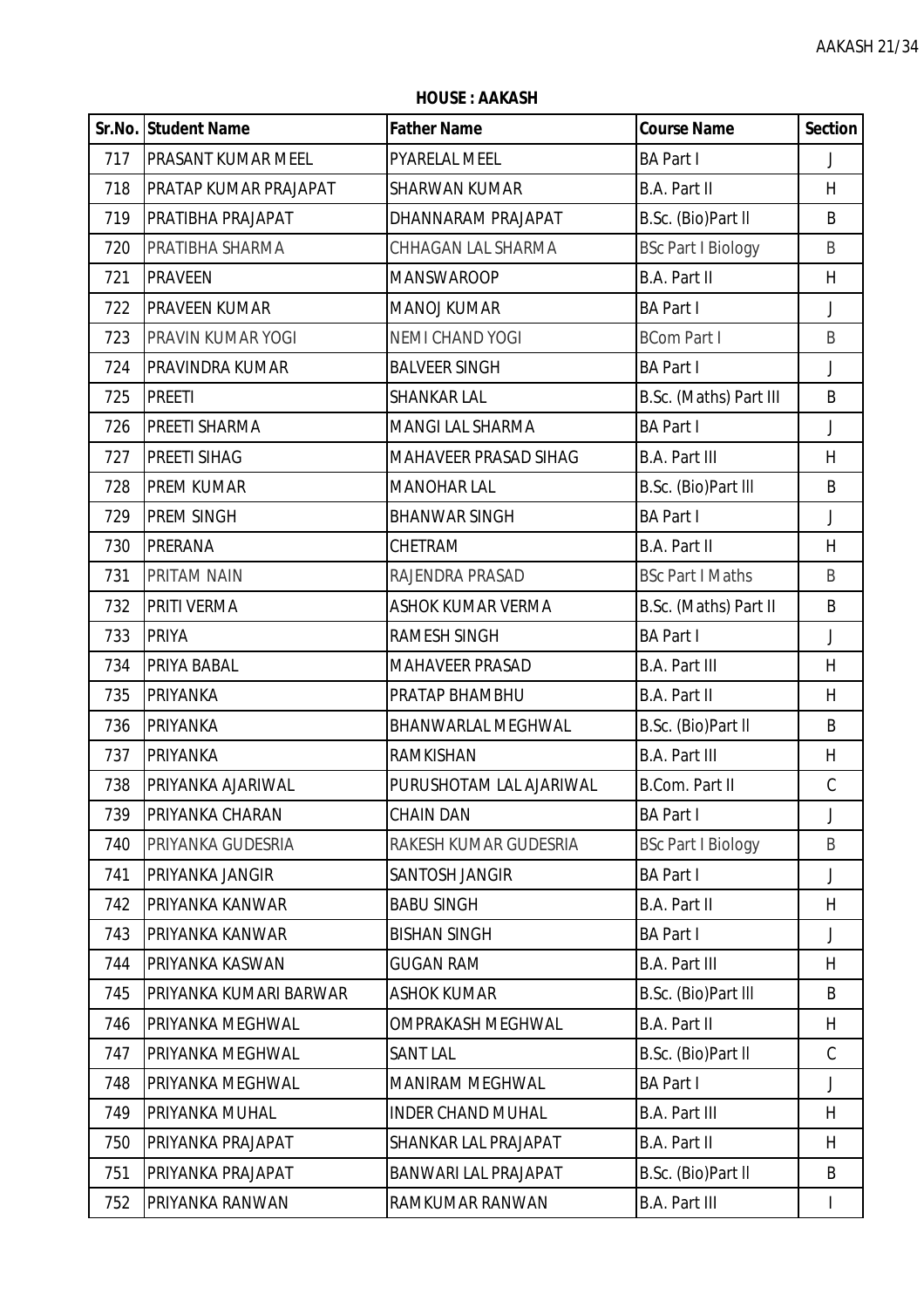|     | Sr.No. Student Name          | <b>Father Name</b>           | <b>Course Name</b>        | <b>Section</b> |
|-----|------------------------------|------------------------------|---------------------------|----------------|
| 717 | <b>PRASANT KUMAR MEEL</b>    | <b>PYARELAL MEEL</b>         | <b>BA Part I</b>          | $\mathsf{J}$   |
| 718 | <b>PRATAP KUMAR PRAJAPAT</b> | SHARWAN KUMAR                | B.A. Part II              | H              |
| 719 | PRATIBHA PRAJAPAT            | DHANNARAM PRAJAPAT           | B.Sc. (Bio)Part II        | B              |
| 720 | PRATIBHA SHARMA              | CHHAGAN LAL SHARMA           | <b>BSc Part I Biology</b> | B              |
| 721 | <b>PRAVEEN</b>               | <b>MANSWAROOP</b>            | <b>B.A. Part II</b>       | H              |
| 722 | <b>PRAVEEN KUMAR</b>         | <b>MANOJ KUMAR</b>           | <b>BA Part I</b>          | $\mathsf{J}$   |
| 723 | PRAVIN KUMAR YOGI            | <b>NEMI CHAND YOGI</b>       | <b>BCom Part I</b>        | B              |
| 724 | PRAVINDRA KUMAR              | <b>BALVEER SINGH</b>         | <b>BA Part I</b>          | $\mathsf{J}$   |
| 725 | <b>PREETI</b>                | <b>SHANKAR LAL</b>           | B.Sc. (Maths) Part III    | B              |
| 726 | PREETI SHARMA                | <b>MANGI LAL SHARMA</b>      | <b>BA Part I</b>          | $\mathsf{J}$   |
| 727 | PREETI SIHAG                 | <b>MAHAVEER PRASAD SIHAG</b> | <b>B.A. Part III</b>      | H              |
| 728 | <b>PREM KUMAR</b>            | <b>MANOHAR LAL</b>           | B.Sc. (Bio)Part III       | B              |
| 729 | PREM SINGH                   | <b>BHANWAR SINGH</b>         | <b>BA Part I</b>          | $\mathsf{J}$   |
| 730 | <b>PRERANA</b>               | CHETRAM                      | B.A. Part II              | H              |
| 731 | PRITAM NAIN                  | RAJENDRA PRASAD              | <b>BSc Part I Maths</b>   | B              |
| 732 | <b>PRITI VERMA</b>           | <b>ASHOK KUMAR VERMA</b>     | B.Sc. (Maths) Part II     | B              |
| 733 | <b>PRIYA</b>                 | RAMESH SINGH                 | <b>BA Part I</b>          | $\mathsf J$    |
| 734 | PRIYA BABAL                  | <b>MAHAVEER PRASAD</b>       | <b>B.A. Part III</b>      | H              |
| 735 | <b>PRIYANKA</b>              | PRATAP BHAMBHU               | B.A. Part II              | H              |
| 736 | <b>PRIYANKA</b>              | BHANWARLAL MEGHWAL           | B.Sc. (Bio)Part II        | B              |
| 737 | PRIYANKA                     | <b>RAMKISHAN</b>             | <b>B.A. Part III</b>      | H              |
| 738 | PRIYANKA AJARIWAL            | PURUSHOTAM LAL AJARIWAL      | B.Com. Part II            | $\mathcal{C}$  |
| 739 | IPRIYANKA CHARAN             | <b>CHAIN DAN</b>             | <b>BA Part I</b>          |                |
| 740 | PRIYANKA GUDESRIA            | RAKESH KUMAR GUDESRIA        | <b>BSc Part I Biology</b> | B              |
| 741 | PRIYANKA JANGIR              | SANTOSH JANGIR               | <b>BA Part I</b>          | $\mathsf{J}$   |
| 742 | PRIYANKA KANWAR              | <b>BABU SINGH</b>            | B.A. Part II              | H              |
| 743 | PRIYANKA KANWAR              | <b>BISHAN SINGH</b>          | <b>BA Part I</b>          | J              |
| 744 | PRIYANKA KASWAN              | <b>GUGAN RAM</b>             | <b>B.A. Part III</b>      | H              |
| 745 | PRIYANKA KUMARI BARWAR       | <b>ASHOK KUMAR</b>           | B.Sc. (Bio)Part III       | B              |
| 746 | PRIYANKA MEGHWAL             | <b>OMPRAKASH MEGHWAL</b>     | B.A. Part II              | H              |
| 747 | PRIYANKA MEGHWAL             | <b>SANT LAL</b>              | B.Sc. (Bio)Part II        | $\mathcal{C}$  |
| 748 | PRIYANKA MEGHWAL             | <b>MANIRAM MEGHWAL</b>       | <b>BA Part I</b>          | $\mathsf J$    |
| 749 | PRIYANKA MUHAL               | <b>INDER CHAND MUHAL</b>     | <b>B.A. Part III</b>      | H              |
| 750 | PRIYANKA PRAJAPAT            | <b>SHANKAR LAL PRAJAPAT</b>  | B.A. Part II              | H              |
| 751 | PRIYANKA PRAJAPAT            | BANWARI LAL PRAJAPAT         | B.Sc. (Bio)Part II        | B              |
| 752 | PRIYANKA RANWAN              | RAMKUMAR RANWAN              | <b>B.A. Part III</b>      |                |

**HOUSE : AAKASH**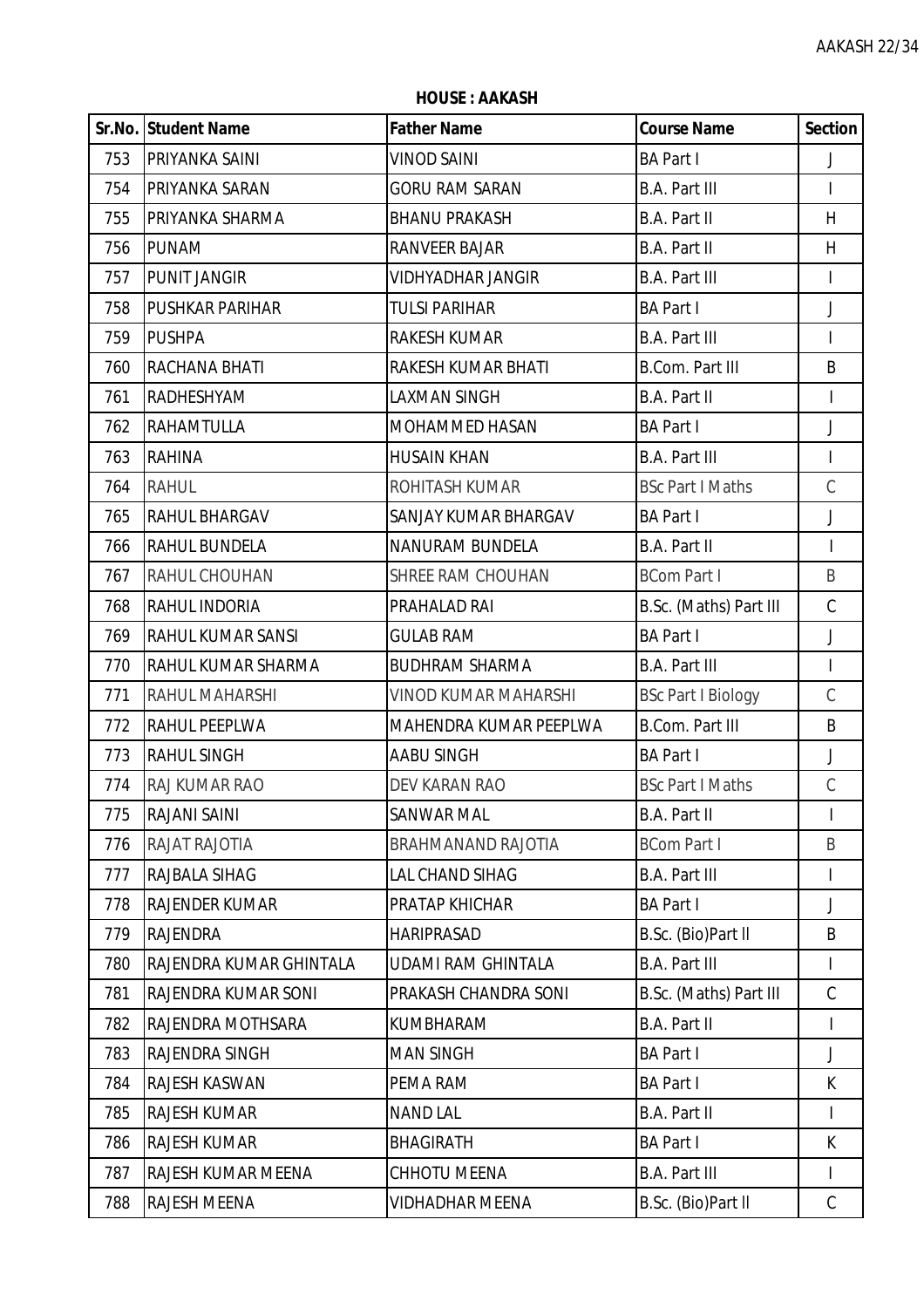|     | <b>HOUSE: AAKASH</b>    |                             |                           |                          |  |
|-----|-------------------------|-----------------------------|---------------------------|--------------------------|--|
|     | Sr.No. Student Name     | <b>Father Name</b>          | <b>Course Name</b>        | <b>Section</b>           |  |
| 753 | PRIYANKA SAINI          | <b>VINOD SAINI</b>          | <b>BA Part I</b>          | J                        |  |
| 754 | PRIYANKA SARAN          | <b>GORU RAM SARAN</b>       | <b>B.A. Part III</b>      | $\mathsf{I}$             |  |
| 755 | PRIYANKA SHARMA         | <b>BHANU PRAKASH</b>        | B.A. Part II              | H                        |  |
| 756 | <b>PUNAM</b>            | <b>RANVEER BAJAR</b>        | <b>B.A. Part II</b>       | H                        |  |
| 757 | <b>PUNIT JANGIR</b>     | <b>VIDHYADHAR JANGIR</b>    | <b>B.A. Part III</b>      | $\overline{\phantom{a}}$ |  |
| 758 | <b>PUSHKAR PARIHAR</b>  | <b>TULSI PARIHAR</b>        | <b>BA Part I</b>          | J                        |  |
| 759 | <b>PUSHPA</b>           | RAKESH KUMAR                | <b>B.A. Part III</b>      | L                        |  |
| 760 | RACHANA BHATI           | RAKESH KUMAR BHATI          | <b>B.Com. Part III</b>    | B                        |  |
| 761 | RADHESHYAM              | LAXMAN SINGH                | B.A. Part II              | $\mathsf{I}$             |  |
| 762 | <b>RAHAMTULLA</b>       | MOHAMMED HASAN              | <b>BA Part I</b>          | J                        |  |
| 763 | <b>RAHINA</b>           | <b>HUSAIN KHAN</b>          | <b>B.A. Part III</b>      | T                        |  |
| 764 | <b>RAHUL</b>            | ROHITASH KUMAR              | <b>BSc Part I Maths</b>   | $\mathcal{C}$            |  |
| 765 | RAHUL BHARGAV           | SANJAY KUMAR BHARGAV        | <b>BA Part I</b>          | $\mathsf J$              |  |
| 766 | RAHUL BUNDELA           | <b>NANURAM BUNDELA</b>      | <b>B.A. Part II</b>       | $\mathbf{I}$             |  |
| 767 | RAHUL CHOUHAN           | SHREE RAM CHOUHAN           | <b>BCom Part I</b>        | B                        |  |
| 768 | RAHUL INDORIA           | PRAHALAD RAI                | B.Sc. (Maths) Part III    | $\mathcal{C}$            |  |
| 769 | RAHUL KUMAR SANSI       | <b>GULAB RAM</b>            | <b>BA Part I</b>          | J                        |  |
| 770 | RAHUL KUMAR SHARMA      | <b>BUDHRAM SHARMA</b>       | <b>B.A. Part III</b>      | $\overline{\phantom{a}}$ |  |
| 771 | RAHUL MAHARSHI          | <b>VINOD KUMAR MAHARSHI</b> | <b>BSc Part I Biology</b> | $\mathsf C$              |  |
| 772 | RAHUL PEEPLWA           | MAHENDRA KUMAR PEEPLWA      | <b>B.Com. Part III</b>    | B                        |  |
| 773 | <b>RAHUL SINGH</b>      | <b>AABU SINGH</b>           | <b>BA Part I</b>          | J                        |  |
| 774 | RAJ KUMAR RAO           | DEV KARAN RAO               | <b>BSc Part I Maths</b>   | С                        |  |
| 775 | RAJANI SAINI            | SANWAR MAL                  | B.A. Part II              | I                        |  |
| 776 | RAJAT RAJOTIA           | <b>BRAHMANAND RAJOTIA</b>   | <b>BCom Part I</b>        | B                        |  |
| 777 | RAJBALA SIHAG           | LAL CHAND SIHAG             | <b>B.A. Part III</b>      | I                        |  |
| 778 | <b>RAJENDER KUMAR</b>   | PRATAP KHICHAR              | <b>BA Part I</b>          | J                        |  |
| 779 | <b>RAJENDRA</b>         | <b>HARIPRASAD</b>           | B.Sc. (Bio)Part II        | B                        |  |
| 780 | RAJENDRA KUMAR GHINTALA | <b>UDAMI RAM GHINTALA</b>   | <b>B.A. Part III</b>      | $\mathbf{I}$             |  |
| 781 | RAJENDRA KUMAR SONI     | PRAKASH CHANDRA SONI        | B.Sc. (Maths) Part III    | $\mathsf C$              |  |
| 782 | RAJENDRA MOTHSARA       | KUMBHARAM                   | B.A. Part II              | $\mathsf{I}$             |  |
| 783 | RAJENDRA SINGH          | <b>MAN SINGH</b>            | <b>BA Part I</b>          | J                        |  |
| 784 | RAJESH KASWAN           | PEMA RAM                    | <b>BA Part I</b>          | K                        |  |
| 785 | <b>RAJESH KUMAR</b>     | <b>NAND LAL</b>             | <b>B.A. Part II</b>       | $\mathsf{I}$             |  |
| 786 | <b>RAJESH KUMAR</b>     | <b>BHAGIRATH</b>            | <b>BA Part I</b>          | K                        |  |
| 787 | RAJESH KUMAR MEENA      | CHHOTU MEENA                | B.A. Part III             |                          |  |

788 RAJESH MEENA VIDHADHAR MEENA B.Sc. (Bio)Part II C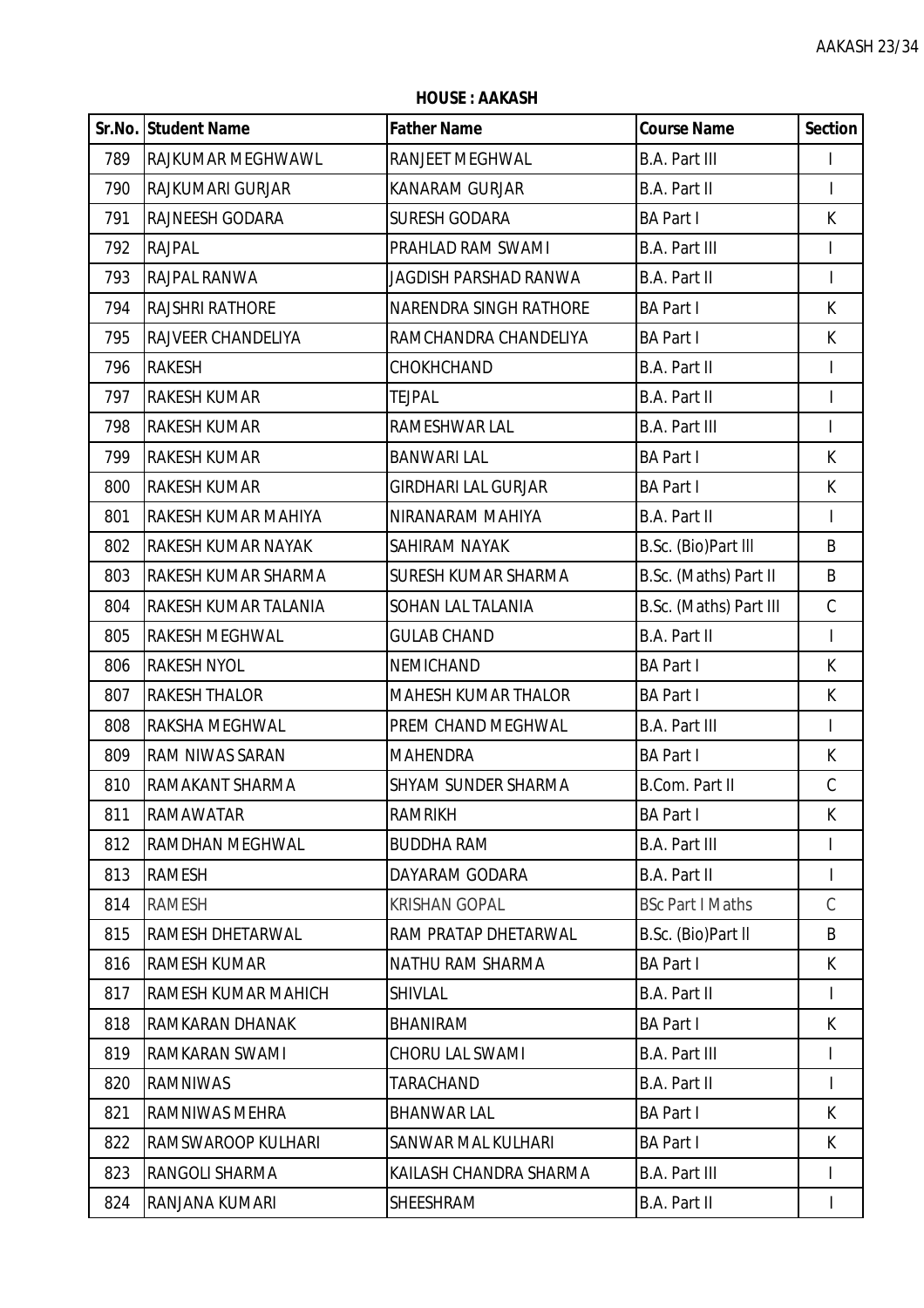|     | Sr.No. Student Name    | <b>Father Name</b>            | <b>Course Name</b>      | <b>Section</b> |
|-----|------------------------|-------------------------------|-------------------------|----------------|
| 789 | RAJKUMAR MEGHWAWL      | <b>RANJEET MEGHWAL</b>        | <b>B.A. Part III</b>    | $\mathbf{I}$   |
| 790 | RAJKUMARI GURJAR       | <b>KANARAM GURJAR</b>         | B.A. Part II            |                |
| 791 | RAJNEESH GODARA        | <b>SURESH GODARA</b>          | <b>BA Part I</b>        | K.             |
| 792 | <b>RAJPAL</b>          | PRAHLAD RAM SWAMI             | <b>B.A. Part III</b>    | $\mathbf{I}$   |
| 793 | <b>RAJPAL RANWA</b>    | JAGDISH PARSHAD RANWA         | B.A. Part II            | $\mathsf{I}$   |
| 794 | <b>RAJSHRI RATHORE</b> | <b>NARENDRA SINGH RATHORE</b> | <b>BA Part I</b>        | K              |
| 795 | RAJVEER CHANDELIYA     | RAMCHANDRA CHANDELIYA         | <b>BA Part I</b>        | K              |
| 796 | <b>RAKESH</b>          | CHOKHCHAND                    | B.A. Part II            |                |
| 797 | <b>RAKESH KUMAR</b>    | <b>TEJPAL</b>                 | <b>B.A. Part II</b>     | $\mathsf{I}$   |
| 798 | <b>RAKESH KUMAR</b>    | RAMESHWAR LAL                 | <b>B.A. Part III</b>    | $\mathbf{I}$   |
| 799 | <b>RAKESH KUMAR</b>    | <b>BANWARI LAL</b>            | <b>BA Part I</b>        | K              |
| 800 | <b>RAKESH KUMAR</b>    | <b>GIRDHARI LAL GURJAR</b>    | <b>BA Part I</b>        | K              |
| 801 | RAKESH KUMAR MAHIYA    | NIRANARAM MAHIYA              | B.A. Part II            | $\mathbf{I}$   |
| 802 | RAKESH KUMAR NAYAK     | SAHIRAM NAYAK                 | B.Sc. (Bio)Part III     | B              |
| 803 | RAKESH KUMAR SHARMA    | <b>SURESH KUMAR SHARMA</b>    | B.Sc. (Maths) Part II   | B              |
| 804 | RAKESH KUMAR TALANIA   | <b>SOHAN LAL TALANIA</b>      | B.Sc. (Maths) Part III  | $\mathsf C$    |
| 805 | RAKESH MEGHWAL         | <b>GULAB CHAND</b>            | B.A. Part II            |                |
| 806 | <b>RAKESH NYOL</b>     | <b>NEMICHAND</b>              | <b>BA Part I</b>        | K              |
| 807 | <b>RAKESH THALOR</b>   | <b>MAHESH KUMAR THALOR</b>    | <b>BA Part I</b>        | K              |
| 808 | RAKSHA MEGHWAL         | PREM CHAND MEGHWAL            | <b>B.A. Part III</b>    | T              |
| 809 | RAM NIWAS SARAN        | <b>MAHENDRA</b>               | <b>BA Part I</b>        | K              |
| 810 | RAMAKANT SHARMA        | <b>SHYAM SUNDER SHARMA</b>    | <b>B.Com. Part II</b>   | $\mathcal{C}$  |
| 811 | <b>RAMAWATAR</b>       | <b>RAMRIKH</b>                | <b>BA Part I</b>        | K              |
| 812 | RAMDHAN MEGHWAL        | <b>BUDDHA RAM</b>             | <b>B.A. Part III</b>    |                |
| 813 | RAMESH                 | DAYARAM GODARA                | B.A. Part II            |                |
| 814 | RAMESH                 | <b>KRISHAN GOPAL</b>          | <b>BSc Part I Maths</b> | $\mathcal{C}$  |
| 815 | RAMESH DHETARWAL       | RAM PRATAP DHETARWAL          | B.Sc. (Bio)Part II      | B              |
| 816 | <b>RAMESH KUMAR</b>    | NATHU RAM SHARMA              | <b>BA Part I</b>        | K.             |
| 817 | RAMESH KUMAR MAHICH    | <b>SHIVLAL</b>                | <b>B.A. Part II</b>     | L              |
| 818 | RAMKARAN DHANAK        | <b>BHANIRAM</b>               | <b>BA Part I</b>        | K              |
| 819 | RAMKARAN SWAMI         | <b>CHORU LAL SWAMI</b>        | <b>B.A. Part III</b>    |                |
| 820 | <b>RAMNIWAS</b>        | TARACHAND                     | <b>B.A. Part II</b>     |                |
| 821 | RAMNIWAS MEHRA         | <b>BHANWAR LAL</b>            | <b>BA Part I</b>        | K.             |
| 822 | RAMSWAROOP KULHARI     | SANWAR MAL KULHARI            | <b>BA Part I</b>        | K              |
| 823 | RANGOLI SHARMA         | KAILASH CHANDRA SHARMA        | <b>B.A. Part III</b>    | T              |
| 824 | RANJANA KUMARI         | SHEESHRAM                     | B.A. Part II            |                |

**HOUSE : AAKASH**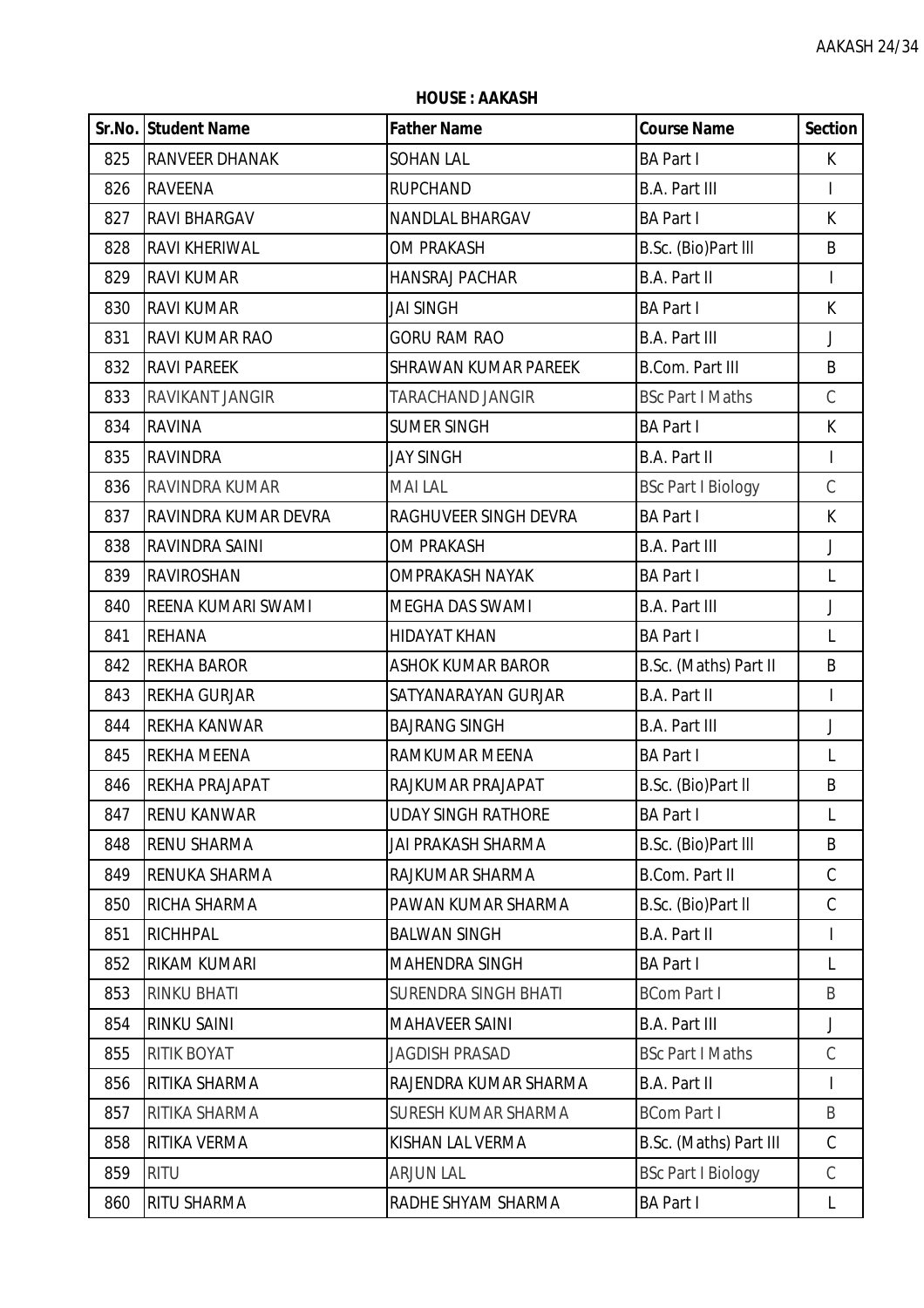|     | Sr.No. Student Name    | <b>Father Name</b>          | <b>Course Name</b>        | <b>Section</b> |
|-----|------------------------|-----------------------------|---------------------------|----------------|
| 825 | <b>RANVEER DHANAK</b>  | <b>SOHAN LAL</b>            | <b>BA Part I</b>          | K.             |
| 826 | <b>RAVEENA</b>         | <b>RUPCHAND</b>             | <b>B.A. Part III</b>      | L              |
| 827 | RAVI BHARGAV           | NANDLAL BHARGAV             | <b>BA Part I</b>          | K              |
| 828 | <b>RAVI KHERIWAL</b>   | <b>OM PRAKASH</b>           | B.Sc. (Bio)Part III       | B              |
| 829 | <b>RAVI KUMAR</b>      | <b>HANSRAJ PACHAR</b>       | <b>B.A. Part II</b>       | L              |
| 830 | <b>RAVI KUMAR</b>      | <b>JAI SINGH</b>            | <b>BA Part I</b>          | K              |
| 831 | RAVI KUMAR RAO         | <b>GORU RAM RAO</b>         | <b>B.A. Part III</b>      | J              |
| 832 | <b>RAVI PAREEK</b>     | <b>SHRAWAN KUMAR PAREEK</b> | <b>B.Com. Part III</b>    | B              |
| 833 | <b>RAVIKANT JANGIR</b> | TARACHAND JANGIR            | <b>BSc Part I Maths</b>   | $\mathsf C$    |
| 834 | <b>RAVINA</b>          | <b>SUMER SINGH</b>          | <b>BA Part I</b>          | $\mathsf{K}$   |
| 835 | <b>RAVINDRA</b>        | <b>JAY SINGH</b>            | <b>B.A. Part II</b>       | T              |
| 836 | RAVINDRA KUMAR         | <b>MAI LAL</b>              | <b>BSc Part I Biology</b> | $\mathsf C$    |
| 837 | RAVINDRA KUMAR DEVRA   | RAGHUVEER SINGH DEVRA       | <b>BA Part I</b>          | $\mathsf{K}$   |
| 838 | RAVINDRA SAINI         | <b>OM PRAKASH</b>           | <b>B.A. Part III</b>      | J              |
| 839 | RAVIROSHAN             | <b>OMPRAKASH NAYAK</b>      | <b>BA Part I</b>          | $\mathsf{L}$   |
| 840 | REENA KUMARI SWAMI     | <b>MEGHA DAS SWAMI</b>      | <b>B.A. Part III</b>      | $\mathsf J$    |
| 841 | <b>REHANA</b>          | <b>HIDAYAT KHAN</b>         | <b>BA Part I</b>          | $\mathsf{L}$   |
| 842 | <b>REKHA BAROR</b>     | <b>ASHOK KUMAR BAROR</b>    | B.Sc. (Maths) Part II     | B              |
| 843 | <b>REKHA GURJAR</b>    | SATYANARAYAN GURJAR         | B.A. Part II              | T              |
| 844 | REKHA KANWAR           | <b>BAJRANG SINGH</b>        | <b>B.A. Part III</b>      | $\mathsf{J}$   |
| 845 | <b>REKHA MEENA</b>     | RAMKUMAR MEENA              | <b>BA Part I</b>          | L              |
| 846 | REKHA PRAJAPAT         | RAJKUMAR PRAJAPAT           | B.Sc. (Bio)Part II        | B              |
| 847 | IRENU KANWAR           | UDAY SINGH RATHORE          | <b>BA Part I</b>          | L              |
| 848 | <b>RENU SHARMA</b>     | JAI PRAKASH SHARMA          | B.Sc. (Bio)Part III       | B              |
| 849 | RENUKA SHARMA          | RAJKUMAR SHARMA             | B.Com. Part II            | $\mathsf C$    |
| 850 | RICHA SHARMA           | PAWAN KUMAR SHARMA          | B.Sc. (Bio)Part II        | $\mathcal{C}$  |
| 851 | RICHHPAL               | <b>BALWAN SINGH</b>         | B.A. Part II              | T              |
| 852 | RIKAM KUMARI           | <b>MAHENDRA SINGH</b>       | <b>BA Part I</b>          | L              |
| 853 | <b>RINKU BHATI</b>     | <b>SURENDRA SINGH BHATI</b> | <b>BCom Part I</b>        | B              |
| 854 | RINKU SAINI            | <b>MAHAVEER SAINI</b>       | <b>B.A. Part III</b>      | J              |
| 855 | RITIK BOYAT            | <b>JAGDISH PRASAD</b>       | <b>BSc Part I Maths</b>   | $\mathcal{C}$  |
| 856 | RITIKA SHARMA          | RAJENDRA KUMAR SHARMA       | B.A. Part II              | T              |
| 857 | RITIKA SHARMA          | SURESH KUMAR SHARMA         | <b>BCom Part I</b>        | B              |
| 858 | RITIKA VERMA           | KISHAN LAL VERMA            | B.Sc. (Maths) Part III    | $\mathcal{C}$  |
| 859 | <b>RITU</b>            | <b>ARJUN LAL</b>            | <b>BSc Part I Biology</b> | C              |
| 860 | RITU SHARMA            | RADHE SHYAM SHARMA          | <b>BA Part I</b>          | L              |

**HOUSE : AAKASH**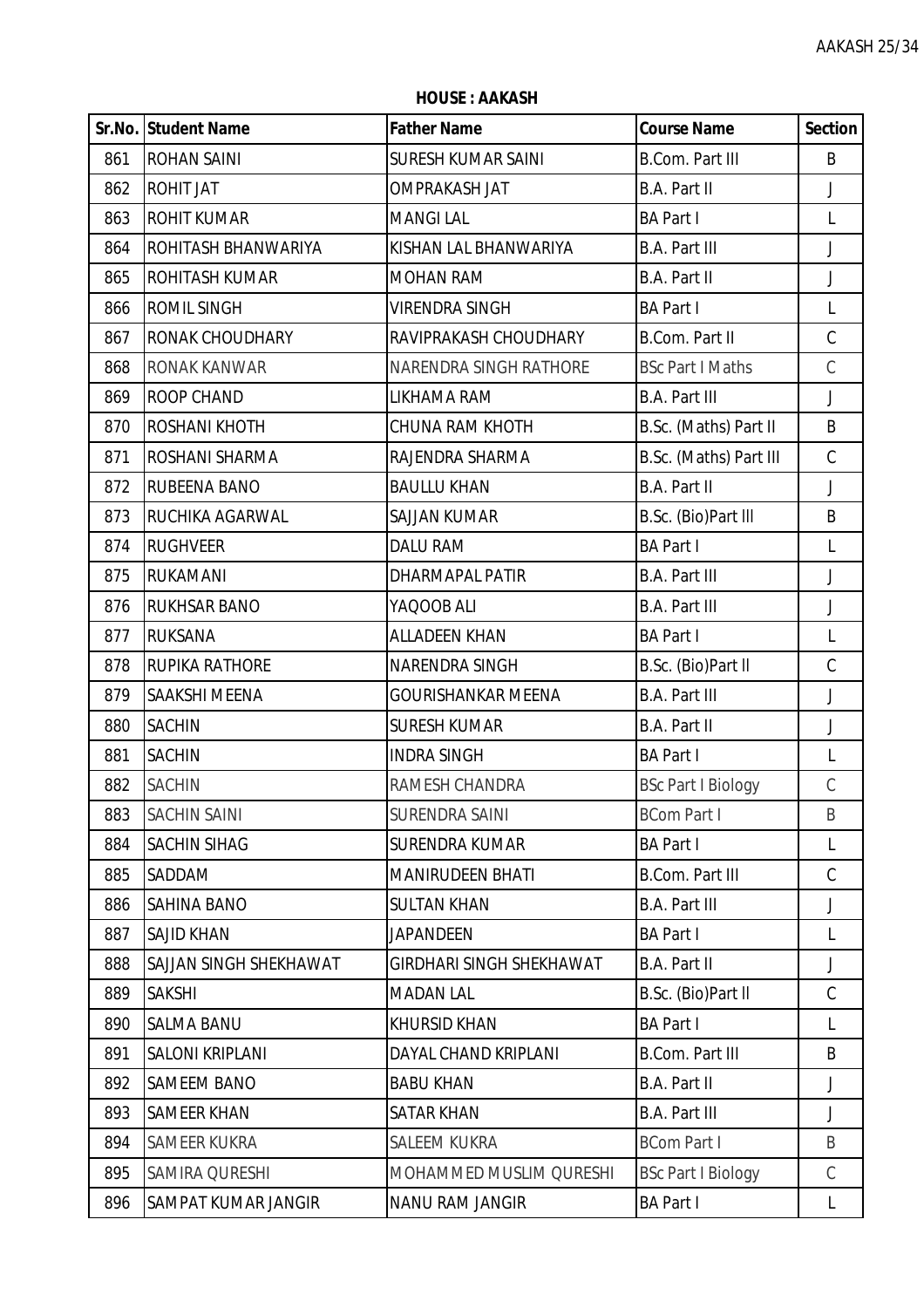**HOUSE : AAKASH**

|     | Sr.No. Student Name    | <b>Father Name</b>              | <b>Course Name</b>        | <b>Section</b> |
|-----|------------------------|---------------------------------|---------------------------|----------------|
| 861 | <b>ROHAN SAINI</b>     | <b>SURESH KUMAR SAINI</b>       | <b>B.Com. Part III</b>    | B              |
| 862 | <b>ROHIT JAT</b>       | <b>OMPRAKASH JAT</b>            | B.A. Part II              | J              |
| 863 | <b>ROHIT KUMAR</b>     | <b>MANGILAL</b>                 | <b>BA Part I</b>          | L              |
| 864 | ROHITASH BHANWARIYA    | KISHAN LAL BHANWARIYA           | <b>B.A. Part III</b>      | J              |
| 865 | <b>ROHITASH KUMAR</b>  | <b>MOHAN RAM</b>                | B.A. Part II              | J              |
| 866 | <b>ROMIL SINGH</b>     | VIRENDRA SINGH                  | <b>BA Part I</b>          | L              |
| 867 | <b>RONAK CHOUDHARY</b> | RAVIPRAKASH CHOUDHARY           | B.Com. Part II            | $\mathsf C$    |
| 868 | RONAK KANWAR           | NARENDRA SINGH RATHORE          | <b>BSc Part I Maths</b>   | $\mathcal{C}$  |
| 869 | ROOP CHAND             | LIKHAMA RAM                     | <b>B.A. Part III</b>      | $\mathsf J$    |
| 870 | <b>ROSHANI KHOTH</b>   | <b>CHUNA RAM KHOTH</b>          | B.Sc. (Maths) Part II     | B              |
| 871 | ROSHANI SHARMA         | RAJENDRA SHARMA                 | B.Sc. (Maths) Part III    | $\mathsf C$    |
| 872 | RUBEENA BANO           | <b>BAULLU KHAN</b>              | <b>B.A. Part II</b>       | J              |
| 873 | RUCHIKA AGARWAL        | <b>SAJJAN KUMAR</b>             | B.Sc. (Bio)Part III       | B              |
| 874 | <b>RUGHVEER</b>        | DALU RAM                        | <b>BA Part I</b>          | L              |
| 875 | <b>RUKAMANI</b>        | <b>DHARMAPAL PATIR</b>          | <b>B.A. Part III</b>      | J              |
| 876 | <b>RUKHSAR BANO</b>    | YAQOOB ALI                      | <b>B.A. Part III</b>      | J              |
| 877 | <b>RUKSANA</b>         | <b>ALLADEEN KHAN</b>            | <b>BA Part I</b>          | L              |
| 878 | <b>RUPIKA RATHORE</b>  | NARENDRA SINGH                  | B.Sc. (Bio)Part II        | $\mathsf C$    |
| 879 | SAAKSHI MEENA          | GOURISHANKAR MEENA              | <b>B.A. Part III</b>      | J              |
| 880 | <b>SACHIN</b>          | <b>SURESH KUMAR</b>             | B.A. Part II              | J              |
| 881 | <b>SACHIN</b>          | <b>INDRA SINGH</b>              | <b>BA Part I</b>          | L              |
| 882 | <b>SACHIN</b>          | RAMESH CHANDRA                  | <b>BSc Part I Biology</b> | $\mathsf C$    |
| 883 | <b>SACHIN SAINI</b>    | <b>SURENDRA SAINI</b>           | <b>BCom Part I</b>        | B              |
| 884 | <b>SACHIN SIHAG</b>    | <b>SURENDRA KUMAR</b>           | <b>BA Part I</b>          | L              |
| 885 | SADDAM                 | <b>MANIRUDEEN BHATI</b>         | <b>B.Com. Part III</b>    | $\mathcal{C}$  |
| 886 | <b>SAHINA BANO</b>     | <b>SULTAN KHAN</b>              | <b>B.A. Part III</b>      | J              |
| 887 | <b>SAJID KHAN</b>      | <b>JAPANDEEN</b>                | <b>BA Part I</b>          | $\mathsf{L}$   |
| 888 | SAJJAN SINGH SHEKHAWAT | <b>GIRDHARI SINGH SHEKHAWAT</b> | B.A. Part II              | J              |
| 889 | <b>SAKSHI</b>          | <b>MADAN LAL</b>                | B.Sc. (Bio)Part II        | C              |
| 890 | <b>SALMA BANU</b>      | <b>KHURSID KHAN</b>             | <b>BA Part I</b>          | L              |
| 891 | <b>SALONI KRIPLANI</b> | DAYAL CHAND KRIPLANI            | <b>B.Com. Part III</b>    | B              |
| 892 | <b>SAMEEM BANO</b>     | <b>BABU KHAN</b>                | B.A. Part II              | J              |
| 893 | <b>SAMEER KHAN</b>     | <b>SATAR KHAN</b>               | <b>B.A. Part III</b>      | J              |
| 894 | SAMEER KUKRA           | <b>SALEEM KUKRA</b>             | <b>BCom Part I</b>        | B              |
| 895 | SAMIRA QURESHI         | MOHAMMED MUSLIM QURESHI         | <b>BSc Part I Biology</b> | $\mathcal{C}$  |
| 896 | SAMPAT KUMAR JANGIR    | NANU RAM JANGIR                 | <b>BA Part I</b>          | L              |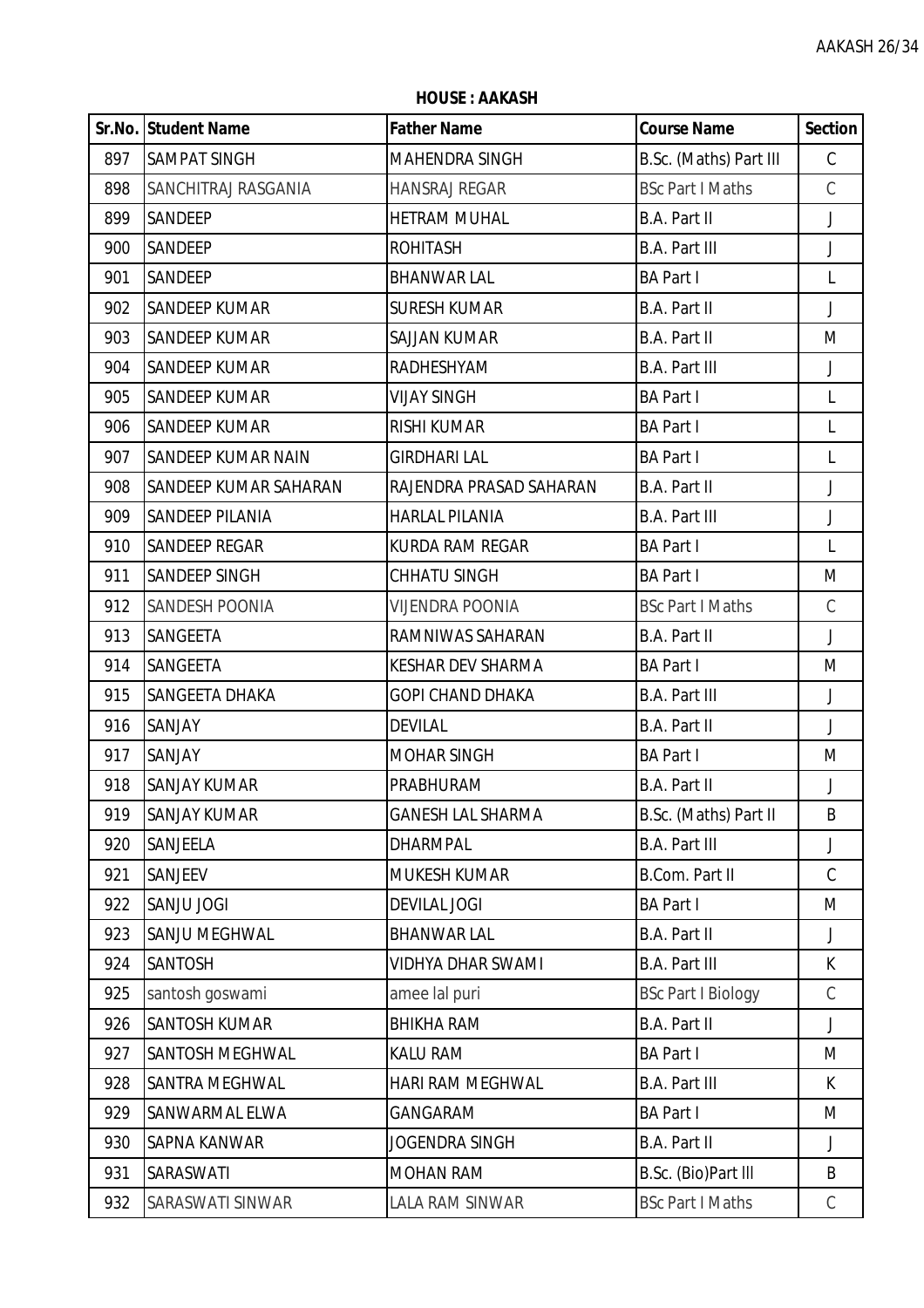**HOUSE : AAKASH**

|     | Sr.No. Student Name       | <b>Father Name</b>       | <b>Course Name</b>        | <b>Section</b> |
|-----|---------------------------|--------------------------|---------------------------|----------------|
| 897 | <b>SAMPAT SINGH</b>       | MAHENDRA SINGH           | B.Sc. (Maths) Part III    | C              |
| 898 | SANCHITRAJ RASGANIA       | <b>HANSRAJ REGAR</b>     | <b>BSc Part I Maths</b>   | $\mathsf C$    |
| 899 | SANDEEP                   | <b>HETRAM MUHAL</b>      | B.A. Part II              | $\mathsf J$    |
| 900 | SANDEEP                   | <b>ROHITASH</b>          | <b>B.A. Part III</b>      | J              |
| 901 | SANDEEP                   | <b>BHANWAR LAL</b>       | <b>BA Part I</b>          | L              |
| 902 | <b>SANDEEP KUMAR</b>      | <b>SURESH KUMAR</b>      | B.A. Part II              | J              |
| 903 | <b>SANDEEP KUMAR</b>      | <b>SAJJAN KUMAR</b>      | <b>B.A. Part II</b>       | M              |
| 904 | <b>SANDEEP KUMAR</b>      | RADHESHYAM               | <b>B.A. Part III</b>      | J              |
| 905 | <b>SANDEEP KUMAR</b>      | <b>VIJAY SINGH</b>       | <b>BA Part I</b>          | L              |
| 906 | <b>SANDEEP KUMAR</b>      | <b>RISHI KUMAR</b>       | <b>BA Part I</b>          | L              |
| 907 | <b>SANDEEP KUMAR NAIN</b> | <b>GIRDHARI LAL</b>      | <b>BA Part I</b>          | L              |
| 908 | SANDEEP KUMAR SAHARAN     | RAJENDRA PRASAD SAHARAN  | B.A. Part II              | J              |
| 909 | <b>SANDEEP PILANIA</b>    | <b>HARLAL PILANIA</b>    | <b>B.A. Part III</b>      | J              |
| 910 | <b>SANDEEP REGAR</b>      | <b>KURDA RAM REGAR</b>   | <b>BA Part I</b>          | L              |
| 911 | <b>SANDEEP SINGH</b>      | <b>CHHATU SINGH</b>      | <b>BA Part I</b>          | M              |
| 912 | SANDESH POONIA            | <b>VIJENDRA POONIA</b>   | <b>BSc Part I Maths</b>   | $\mathsf C$    |
| 913 | SANGEETA                  | RAMNIWAS SAHARAN         | B.A. Part II              | J              |
| 914 | SANGEETA                  | <b>KESHAR DEV SHARMA</b> | <b>BA Part I</b>          | M              |
| 915 | SANGEETA DHAKA            | <b>GOPI CHAND DHAKA</b>  | <b>B.A. Part III</b>      | $\mathsf J$    |
| 916 | SANJAY                    | <b>DEVILAL</b>           | B.A. Part II              | $\mathsf{J}$   |
| 917 | SANJAY                    | <b>MOHAR SINGH</b>       | <b>BA Part I</b>          | M              |
| 918 | <b>SANJAY KUMAR</b>       | PRABHURAM                | <b>B.A. Part II</b>       | J              |
| 919 | <b>SANJAY KUMAR</b>       | <b>GANESH LAL SHARMA</b> | B.Sc. (Maths) Part II     | B              |
| 920 | SANJEELA                  | <b>DHARMPAL</b>          | <b>B.A. Part III</b>      | J              |
| 921 | <b>SANJEEV</b>            | <b>MUKESH KUMAR</b>      | <b>B.Com. Part II</b>     | $\mathsf C$    |
| 922 | SANJU JOGI                | <b>DEVILAL JOGI</b>      | <b>BA Part I</b>          | M              |
| 923 | SANJU MEGHWAL             | <b>BHANWAR LAL</b>       | B.A. Part II              | J              |
| 924 | SANTOSH                   | <b>VIDHYA DHAR SWAMI</b> | <b>B.A. Part III</b>      | K              |
| 925 | santosh goswami           | amee lal puri            | <b>BSc Part I Biology</b> | $\mathsf C$    |
| 926 | <b>SANTOSH KUMAR</b>      | <b>BHIKHA RAM</b>        | B.A. Part II              | J              |
| 927 | SANTOSH MEGHWAL           | <b>KALU RAM</b>          | <b>BA Part I</b>          | M              |
| 928 | <b>SANTRA MEGHWAL</b>     | HARI RAM MEGHWAL         | <b>B.A. Part III</b>      | K              |
| 929 | SANWARMAL ELWA            | GANGARAM                 | <b>BA Part I</b>          | M              |
| 930 | <b>SAPNA KANWAR</b>       | <b>JOGENDRA SINGH</b>    | B.A. Part II              | J              |
| 931 | SARASWATI                 | MOHAN RAM                | B.Sc. (Bio)Part III       | B              |
| 932 | SARASWATI SINWAR          | LALA RAM SINWAR          | <b>BSc Part I Maths</b>   | С              |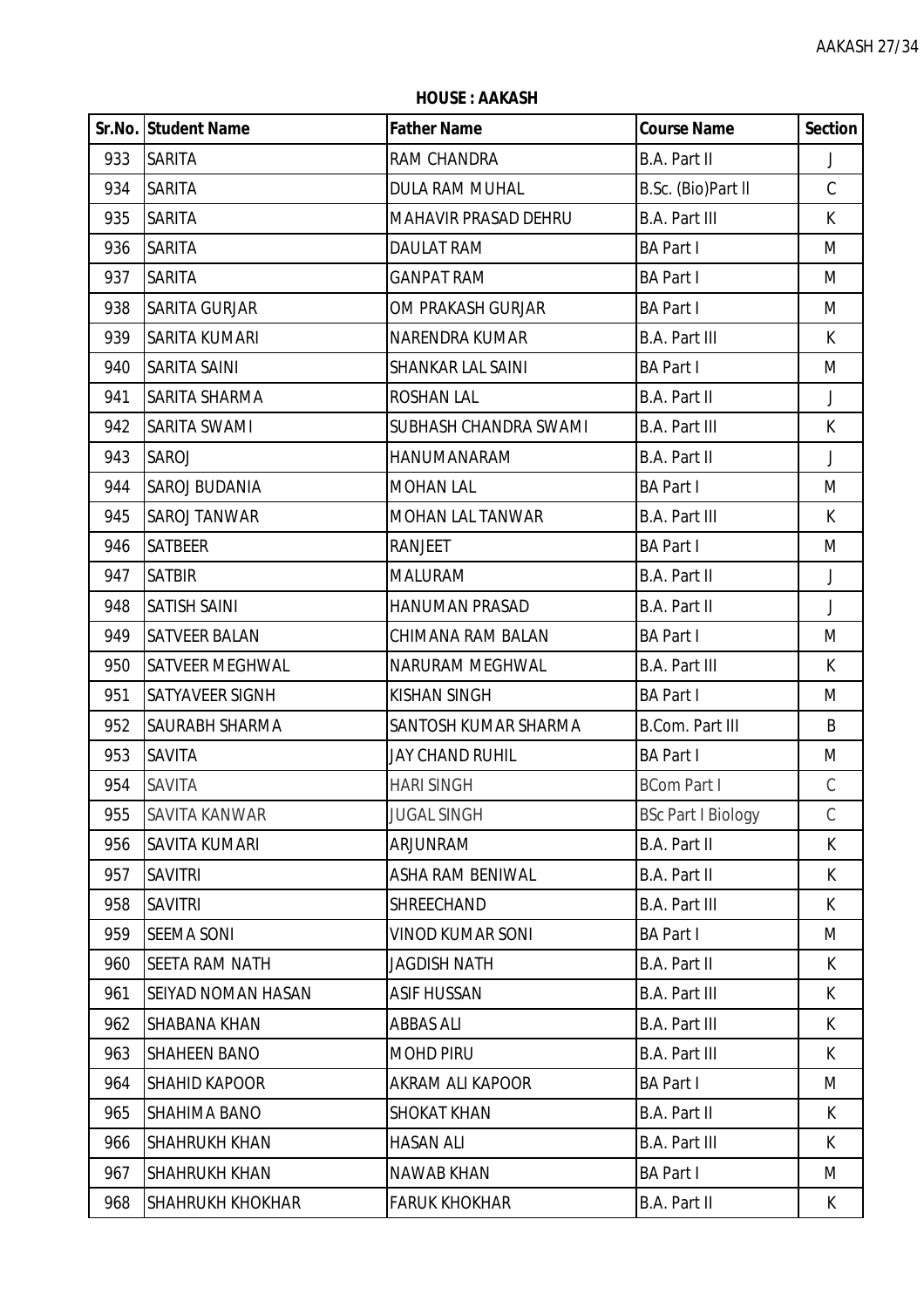**Sr.No. Student Name Father Name Course Name Section** 933 SARITA RAM CHANDRA B.A. Part II J SARITA DULA RAM MUHAL B.Sc. (Bio)Part ll C SARITA MAHAVIR PRASAD DEHRU B.A. Part III K SARITA DAULAT RAM BA Part I M SARITA GANPAT RAM BA Part I M SARITA GURJAR OM PRAKASH GURJAR BA Part I M SARITA KUMARI NARENDRA KUMAR B.A. Part III K SARITA SAINI SHANKAR LAL SAINI BA Part I M SARITA SHARMA ROSHAN LAL B.A. Part II J SARITA SWAMI SUBHASH CHANDRA SWAMI B.A. Part III K SAROJ HANUMANARAM B.A. Part II J 944 SAROJ BUDANIA MOHAN LAI MARATI HA Part I M SAROJ TANWAR MOHAN LAL TANWAR B.A. Part III K 946 SATBEER RANJEET BA Part I M SATBIR MALURAM B.A. Part II J SATISH SAINI HANUMAN PRASAD B.A. Part II J SATVEER BALAN CHIMANA RAM BALAN BA Part I M 950 SATVEER MEGHWAL **INARURAM MEGHWAL** B.A. Part III K SATYAVEER SIGNH KISHAN SINGH BA Part I M SAURABH SHARMA SANTOSH KUMAR SHARMA B.Com. Part III B SAVITA JAY CHAND RUHIL BA Part I M SAVITA HARI SINGH BCom Part I C 955 SAVITA KANWAR JUGAL SINGH BSc Part I Biology C SAVITA KUMARI ARJUNRAM B.A. Part II K SAVITRI ASHA RAM BENIWAL B.A. Part II K SAVITRI SHREECHAND B.A. Part III K SEEMA SONI VINOD KUMAR SONI BA Part I M 960 SEETA RAM NATH JAGDISH NATH JAGH B.A. Part II K.A. B.A. Part II K. 961 SEIYAD NOMAN HASAN ASIF HUSSAN B.A. Part III K SHABANA KHAN ABBAS ALI B.A. Part III K 963 SHAHEEN BANO MOHD PIRU B.A. Part III K SHAHID KAPOOR AKRAM ALI KAPOOR BA Part I M 965 SHAHIMA BANO SHOKAT KHAN SHORAT II B.A. Part II SHOKAT KHAN SHORAT ASHORAT II K SHAHRUKH KHAN HASAN ALI B.A. Part III K 967 ISHAHRUKH KHAN NAWAB KHAN NAMAH BA Part I MILIMUSI MAMAH MASHALAR SHI MAMAH MASHALAR I MILIMUSI MAMAH MASH 968 SHAHRUKH KHOKHAR FARUK KHOKHAR FARUK B.A. Part II K.A. Part II K.

**HOUSE : AAKASH**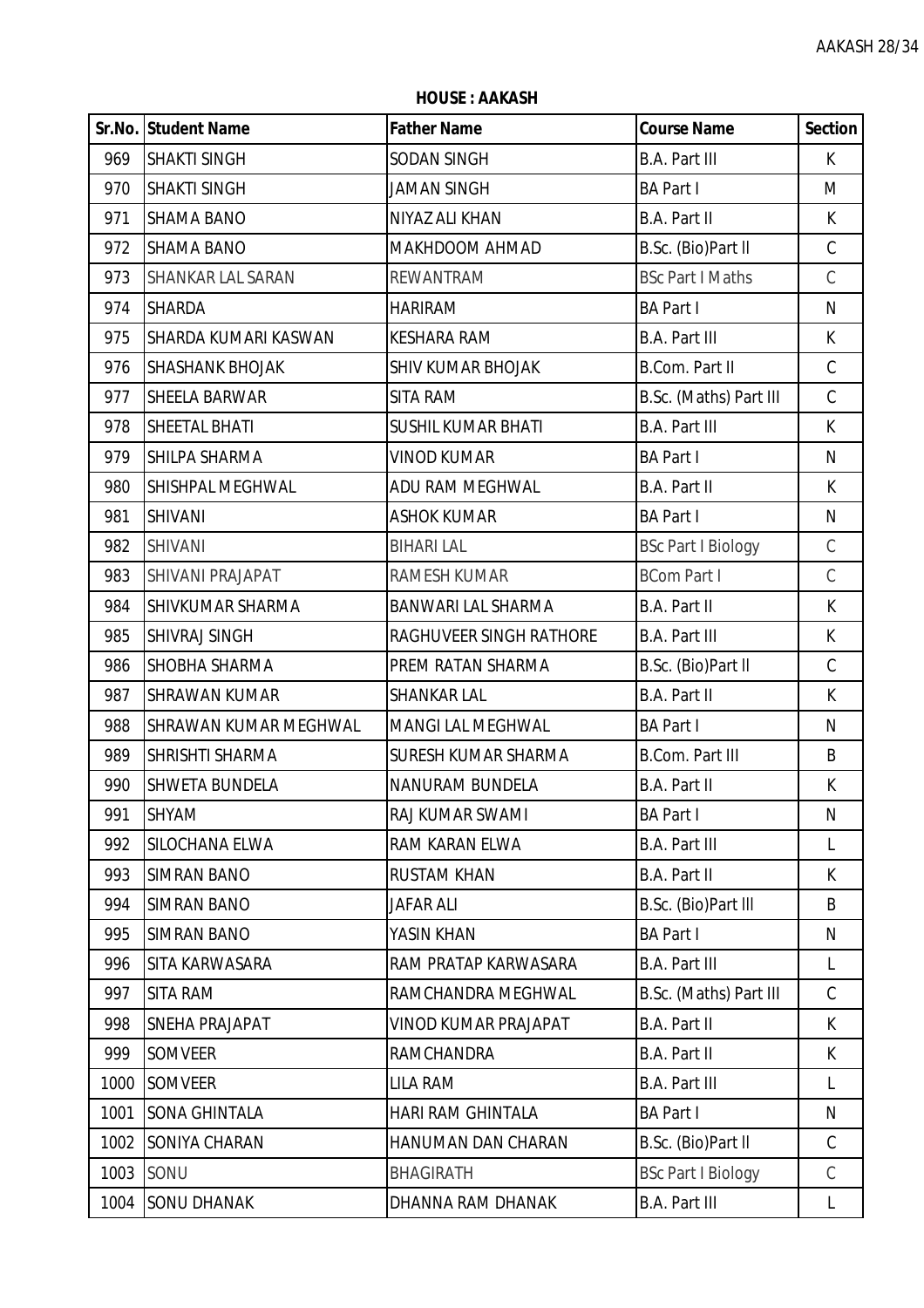**HOUSE : AAKASH**

|      | Sr.No. Student Name      | <b>Father Name</b>        | <b>Course Name</b>        | <b>Section</b> |
|------|--------------------------|---------------------------|---------------------------|----------------|
| 969  | <b>SHAKTI SINGH</b>      | SODAN SINGH               | <b>B.A. Part III</b>      | K.             |
| 970  | <b>SHAKTI SINGH</b>      | <b>JAMAN SINGH</b>        | <b>BA Part I</b>          | M              |
| 971  | <b>SHAMA BANO</b>        | NIYAZ ALI KHAN            | B.A. Part II              | K              |
| 972  | <b>SHAMA BANO</b>        | MAKHDOOM AHMAD            | B.Sc. (Bio)Part II        | $\mathsf C$    |
| 973  | <b>SHANKAR LAL SARAN</b> | <b>REWANTRAM</b>          | <b>BSc Part I Maths</b>   | $\mathsf C$    |
| 974  | <b>SHARDA</b>            | HARIRAM                   | <b>BA Part I</b>          | ${\sf N}$      |
| 975  | SHARDA KUMARI KASWAN     | <b>KESHARA RAM</b>        | <b>B.A. Part III</b>      | K              |
| 976  | <b>SHASHANK BHOJAK</b>   | <b>SHIV KUMAR BHOJAK</b>  | <b>B.Com. Part II</b>     | $\mathsf C$    |
| 977  | SHEELA BARWAR            | <b>SITA RAM</b>           | B.Sc. (Maths) Part III    | $\mathsf C$    |
| 978  | SHEETAL BHATI            | <b>SUSHIL KUMAR BHATI</b> | <b>B.A. Part III</b>      | K              |
| 979  | SHILPA SHARMA            | VINOD KUMAR               | <b>BA Part I</b>          | ${\sf N}$      |
| 980  | SHISHPAL MEGHWAL         | ADU RAM MEGHWAL           | B.A. Part II              | K              |
| 981  | <b>SHIVANI</b>           | <b>ASHOK KUMAR</b>        | <b>BA Part I</b>          | ${\sf N}$      |
| 982  | <b>SHIVANI</b>           | <b>BIHARI LAL</b>         | <b>BSc Part I Biology</b> | $\mathcal{C}$  |
| 983  | SHIVANI PRAJAPAT         | RAMESH KUMAR              | <b>BCom Part I</b>        | $\mathsf C$    |
| 984  | SHIVKUMAR SHARMA         | <b>BANWARI LAL SHARMA</b> | B.A. Part II              | K              |
| 985  | <b>SHIVRAJ SINGH</b>     | RAGHUVEER SINGH RATHORE   | <b>B.A. Part III</b>      | $\mathsf{K}$   |
| 986  | <b>SHOBHA SHARMA</b>     | PREM RATAN SHARMA         | B.Sc. (Bio)Part II        | $\mathsf C$    |
| 987  | <b>SHRAWAN KUMAR</b>     | <b>SHANKAR LAL</b>        | <b>B.A. Part II</b>       | $\mathsf{K}$   |
| 988  | SHRAWAN KUMAR MEGHWAL    | <b>MANGI LAL MEGHWAL</b>  | <b>BA Part I</b>          | N              |
| 989  | SHRISHTI SHARMA          | SURESH KUMAR SHARMA       | <b>B.Com. Part III</b>    | B              |
| 990  | <b>SHWETA BUNDELA</b>    | NANURAM BUNDELA           | <b>B.A. Part II</b>       | К              |
| 991  | <b>SHYAM</b>             | RAJ KUMAR SWAMI           | <b>BA Part I</b>          | N              |
| 992  | SILOCHANA ELWA           | RAM KARAN ELWA            | <b>B.A. Part III</b>      | L              |
| 993  | <b>SIMRAN BANO</b>       | <b>RUSTAM KHAN</b>        | B.A. Part II              | K              |
| 994  | <b>SIMRAN BANO</b>       | <b>JAFAR ALI</b>          | B.Sc. (Bio)Part III       | B              |
| 995  | <b>SIMRAN BANO</b>       | YASIN KHAN                | <b>BA Part I</b>          | N              |
| 996  | SITA KARWASARA           | RAM PRATAP KARWASARA      | <b>B.A. Part III</b>      | L              |
| 997  | SITA RAM                 | RAMCHANDRA MEGHWAL        | B.Sc. (Maths) Part III    | C              |
| 998  | <b>SNEHA PRAJAPAT</b>    | VINOD KUMAR PRAJAPAT      | B.A. Part II              | K              |
| 999  | <b>SOMVEER</b>           | <b>RAMCHANDRA</b>         | <b>B.A. Part II</b>       | K              |
| 1000 | <b>SOMVEER</b>           | LILA RAM                  | <b>B.A. Part III</b>      | L              |
| 1001 | <b>SONA GHINTALA</b>     | <b>HARI RAM GHINTALA</b>  | <b>BA Part I</b>          | N              |
| 1002 | SONIYA CHARAN            | HANUMAN DAN CHARAN        | B.Sc. (Bio)Part II        | $\mathsf C$    |
| 1003 | SONU                     | <b>BHAGIRATH</b>          | <b>BSc Part I Biology</b> | $\mathcal{C}$  |
| 1004 | <b>SONU DHANAK</b>       | DHANNA RAM DHANAK         | <b>B.A. Part III</b>      | L              |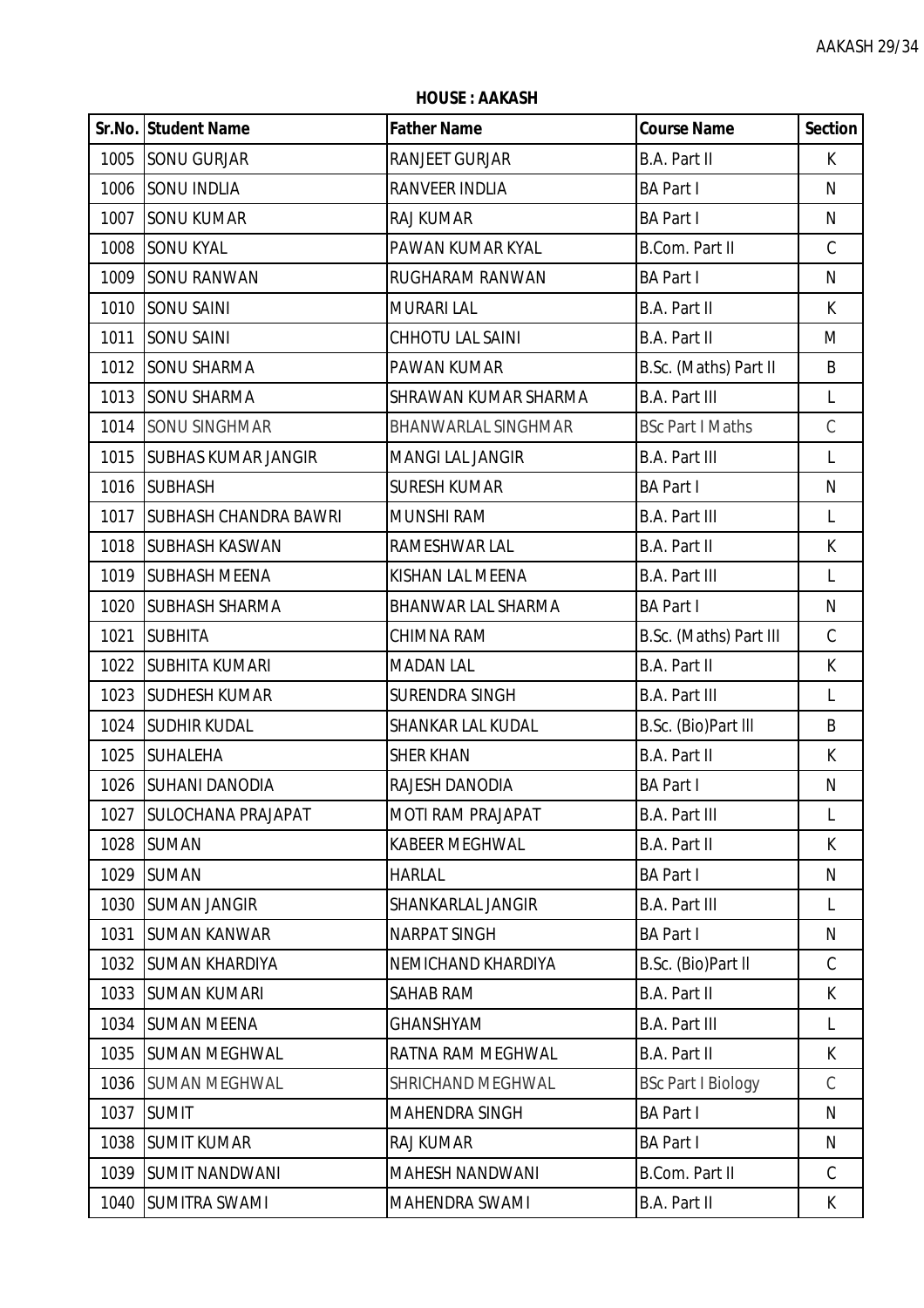**HOUSE : AAKASH**

|      | <b>Sr.No. Student Name</b>   | <b>Father Name</b>         | <b>Course Name</b>        | <b>Section</b> |
|------|------------------------------|----------------------------|---------------------------|----------------|
|      | 1005 SONU GURJAR             | <b>RANJEET GURJAR</b>      | B.A. Part II              | K.             |
| 1006 | <b>SONU INDLIA</b>           | RANVEER INDLIA             | <b>BA Part I</b>          | N              |
| 1007 | <b>SONU KUMAR</b>            | RAJ KUMAR                  | <b>BA Part I</b>          | N              |
| 1008 | <b>SONU KYAL</b>             | PAWAN KUMAR KYAL           | <b>B.Com. Part II</b>     | $\mathsf C$    |
| 1009 | <b>SONU RANWAN</b>           | RUGHARAM RANWAN            | <b>BA Part I</b>          | N              |
|      | 1010 SONU SAINI              | <b>MURARI LAL</b>          | B.A. Part II              | K              |
| 1011 | <b>SONU SAINI</b>            | CHHOTU LAL SAINI           | B.A. Part II              | M              |
| 1012 | <b>SONU SHARMA</b>           | PAWAN KUMAR                | B.Sc. (Maths) Part II     | B              |
| 1013 | <b>SONU SHARMA</b>           | SHRAWAN KUMAR SHARMA       | <b>B.A. Part III</b>      | L              |
| 1014 | <b>SONU SINGHMAR</b>         | <b>BHANWARLAL SINGHMAR</b> | <b>BSc Part I Maths</b>   | $\mathsf C$    |
|      | 1015 SUBHAS KUMAR JANGIR     | <b>MANGI LAL JANGIR</b>    | <b>B.A. Part III</b>      | L              |
| 1016 | <b>SUBHASH</b>               | <b>SURESH KUMAR</b>        | <b>BA Part I</b>          | N              |
| 1017 | <b>SUBHASH CHANDRA BAWRI</b> | <b>MUNSHI RAM</b>          | <b>B.A. Part III</b>      | L              |
| 1018 | <b>SUBHASH KASWAN</b>        | RAMESHWAR LAL              | B.A. Part II              | K              |
| 1019 | <b>SUBHASH MEENA</b>         | KISHAN LAL MEENA           | <b>B.A. Part III</b>      | L              |
|      | 1020 SUBHASH SHARMA          | <b>BHANWAR LAL SHARMA</b>  | <b>BA Part I</b>          | N              |
| 1021 | <b>SUBHITA</b>               | CHIMNA RAM                 | B.Sc. (Maths) Part III    | $\mathcal{C}$  |
| 1022 | <b>SUBHITA KUMARI</b>        | <b>MADAN LAL</b>           | B.A. Part II              | K              |
| 1023 | <b>SUDHESH KUMAR</b>         | SURENDRA SINGH             | <b>B.A. Part III</b>      | L              |
| 1024 | <b>SUDHIR KUDAL</b>          | SHANKAR LAL KUDAL          | B.Sc. (Bio)Part III       | B              |
| 1025 | <b>SUHALEHA</b>              | <b>SHER KHAN</b>           | <b>B.A. Part II</b>       | K              |
|      | 1026 SUHANI DANODIA          | RAJESH DANODIA             | <b>BA Part I</b>          | N              |
| 1027 | <b>SULOCHANA PRAJAPAT</b>    | <b>MOTI RAM PRAJAPAT</b>   | <b>B.A. Part III</b>      | L              |
| 1028 | <b>SUMAN</b>                 | <b>KABEER MEGHWAL</b>      | <b>B.A. Part II</b>       | K              |
| 1029 | <b>SUMAN</b>                 | <b>HARLAL</b>              | <b>BA Part I</b>          | N              |
| 1030 | <b>SUMAN JANGIR</b>          | SHANKARLAL JANGIR          | <b>B.A. Part III</b>      | L              |
| 1031 | <b>SUMAN KANWAR</b>          | <b>NARPAT SINGH</b>        | <b>BA Part I</b>          | N              |
| 1032 | <b>SUMAN KHARDIYA</b>        | NEMICHAND KHARDIYA         | B.Sc. (Bio)Part II        | C              |
| 1033 | <b>SUMAN KUMARI</b>          | <b>SAHAB RAM</b>           | <b>B.A. Part II</b>       | K              |
| 1034 | <b>SUMAN MEENA</b>           | GHANSHYAM                  | <b>B.A. Part III</b>      | L              |
| 1035 | <b>SUMAN MEGHWAL</b>         | RATNA RAM MEGHWAL          | B.A. Part II              | K              |
| 1036 | <b>SUMAN MEGHWAL</b>         | <b>SHRICHAND MEGHWAL</b>   | <b>BSc Part I Biology</b> | C              |
| 1037 | <b>SUMIT</b>                 | <b>MAHENDRA SINGH</b>      | <b>BA Part I</b>          | N              |
| 1038 | <b>SUMIT KUMAR</b>           | <b>RAJ KUMAR</b>           | <b>BA Part I</b>          | N              |
| 1039 | <b>SUMIT NANDWANI</b>        | MAHESH NANDWANI            | B.Com. Part II            | $\mathsf C$    |
| 1040 | <b>SUMITRA SWAMI</b>         | MAHENDRA SWAMI             | B.A. Part II              | K              |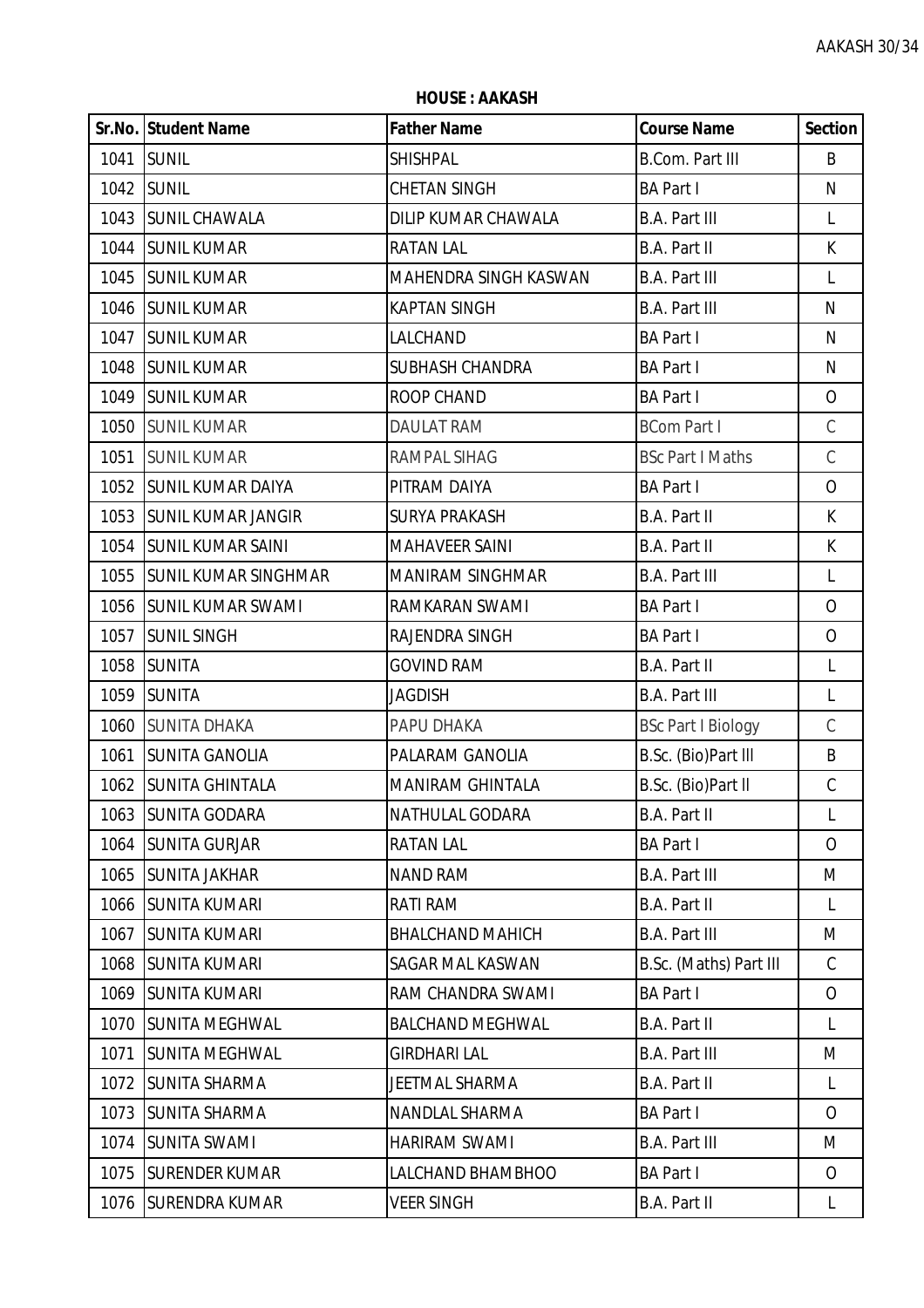**HOUSE : AAKASH**

|      | <b>Sr.No. Student Name</b>  | <b>Father Name</b>      | <b>Course Name</b>        | <b>Section</b> |
|------|-----------------------------|-------------------------|---------------------------|----------------|
| 1041 | <b>SUNIL</b>                | <b>SHISHPAL</b>         | <b>B.Com. Part III</b>    | B              |
|      | 1042 SUNIL                  | <b>CHETAN SINGH</b>     | <b>BA Part I</b>          | N              |
| 1043 | <b>SUNIL CHAWALA</b>        | DILIP KUMAR CHAWALA     | <b>B.A. Part III</b>      | L              |
| 1044 | <b>SUNIL KUMAR</b>          | <b>RATAN LAL</b>        | B.A. Part II              | К              |
| 1045 | <b>SUNIL KUMAR</b>          | MAHENDRA SINGH KASWAN   | <b>B.A. Part III</b>      | L              |
|      | 1046 SUNIL KUMAR            | <b>KAPTAN SINGH</b>     | <b>B.A. Part III</b>      | N              |
| 1047 | <b>SUNIL KUMAR</b>          | LALCHAND                | <b>BA Part I</b>          | N              |
| 1048 | <b>SUNIL KUMAR</b>          | SUBHASH CHANDRA         | <b>BA Part I</b>          | ${\sf N}$      |
| 1049 | <b>SUNIL KUMAR</b>          | ROOP CHAND              | <b>BA Part I</b>          | $\overline{O}$ |
| 1050 | <b>SUNIL KUMAR</b>          | <b>DAULAT RAM</b>       | <b>BCom Part I</b>        | $\mathsf C$    |
| 1051 | <b>SUNIL KUMAR</b>          | RAMPAL SIHAG            | <b>BSc Part I Maths</b>   | $\mathsf C$    |
| 1052 | <b>SUNIL KUMAR DAIYA</b>    | PITRAM DAIYA            | <b>BA Part I</b>          | $\overline{O}$ |
| 1053 | <b>SUNIL KUMAR JANGIR</b>   | <b>SURYA PRAKASH</b>    | B.A. Part II              | $\mathsf{K}$   |
|      | 1054 SUNIL KUMAR SAINI      | MAHAVEER SAINI          | B.A. Part II              | К              |
| 1055 | <b>SUNIL KUMAR SINGHMAR</b> | <b>MANIRAM SINGHMAR</b> | <b>B.A. Part III</b>      | L              |
| 1056 | <b>SUNIL KUMAR SWAMI</b>    | RAMKARAN SWAMI          | <b>BA Part I</b>          | $\overline{O}$ |
| 1057 | <b>SUNIL SINGH</b>          | RAJENDRA SINGH          | <b>BA Part I</b>          | $\overline{O}$ |
| 1058 | <b>SUNITA</b>               | <b>GOVIND RAM</b>       | B.A. Part II              | L              |
| 1059 | <b>SUNITA</b>               | <b>JAGDISH</b>          | <b>B.A. Part III</b>      | L              |
| 1060 | <b>SUNITA DHAKA</b>         | PAPU DHAKA              | <b>BSc Part I Biology</b> | $\mathcal{C}$  |
| 1061 | <b>SUNITA GANOLIA</b>       | PALARAM GANOLIA         | B.Sc. (Bio)Part III       | B              |
|      | 1062 SUNITA GHINTALA        | <b>MANIRAM GHINTALA</b> | B.Sc. (Bio)Part II        | $\mathsf C$    |
| 1063 | <b>SUNITA GODARA</b>        | NATHULAL GODARA         | B.A. Part II              | L              |
| 1064 | <b>SUNITA GURJAR</b>        | <b>RATAN LAL</b>        | <b>BA Part I</b>          | $\overline{O}$ |
| 1065 | <b>SUNITA JAKHAR</b>        | <b>NAND RAM</b>         | <b>B.A. Part III</b>      | M              |
| 1066 | <b>SUNITA KUMARI</b>        | RATI RAM                | B.A. Part II              | L              |
| 1067 | <b>SUNITA KUMARI</b>        | <b>BHALCHAND MAHICH</b> | <b>B.A. Part III</b>      | M              |
| 1068 | <b>SUNITA KUMARI</b>        | SAGAR MAL KASWAN        | B.Sc. (Maths) Part III    | C              |
| 1069 | <b>SUNITA KUMARI</b>        | RAM CHANDRA SWAMI       | <b>BA Part I</b>          | $\overline{O}$ |
| 1070 | <b>SUNITA MEGHWAL</b>       | <b>BALCHAND MEGHWAL</b> | <b>B.A. Part II</b>       | L              |
| 1071 | <b>SUNITA MEGHWAL</b>       | <b>GIRDHARI LAL</b>     | <b>B.A. Part III</b>      | M              |
| 1072 | <b>SUNITA SHARMA</b>        | JEETMAL SHARMA          | B.A. Part II              | L              |
| 1073 | <b>SUNITA SHARMA</b>        | NANDLAL SHARMA          | <b>BA Part I</b>          | $\overline{O}$ |
| 1074 | <b>SUNITA SWAMI</b>         | <b>HARIRAM SWAMI</b>    | <b>B.A. Part III</b>      | M              |
| 1075 | <b>SURENDER KUMAR</b>       | LALCHAND BHAMBHOO       | <b>BA Part I</b>          | $\overline{O}$ |
| 1076 | <b>SURENDRA KUMAR</b>       | <b>VEER SINGH</b>       | B.A. Part II              | L              |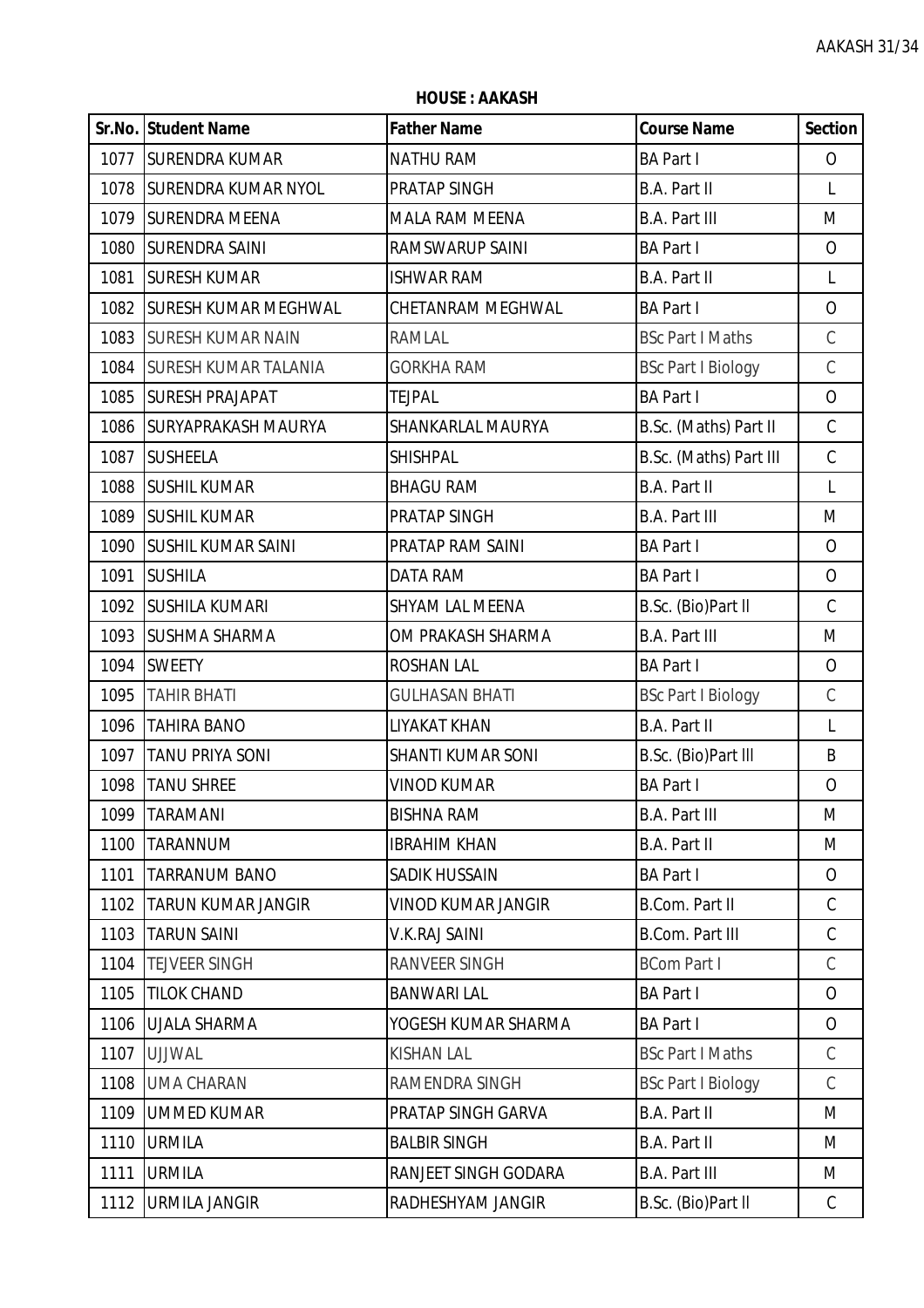**HOUSE : AAKASH**

|      | <b>Sr.No. Student Name</b>  | <b>Father Name</b>    | <b>Course Name</b>        | <b>Section</b> |
|------|-----------------------------|-----------------------|---------------------------|----------------|
|      | 1077 SURENDRA KUMAR         | <b>NATHU RAM</b>      | <b>BA Part I</b>          | $\mathcal{O}$  |
| 1078 | <b>SURENDRA KUMAR NYOL</b>  | PRATAP SINGH          | B.A. Part II              | L              |
| 1079 | <b>SURENDRA MEENA</b>       | <b>MALA RAM MEENA</b> | <b>B.A. Part III</b>      | M              |
| 1080 | <b>SURENDRA SAINI</b>       | RAMSWARUP SAINI       | <b>BA Part I</b>          | $\overline{O}$ |
| 1081 | <b>SURESH KUMAR</b>         | <b>ISHWAR RAM</b>     | B.A. Part II              | $\mathsf{L}$   |
| 1082 | <b>SURESH KUMAR MEGHWAL</b> | CHETANRAM MEGHWAL     | <b>BA Part I</b>          | $\overline{O}$ |
| 1083 | <b>SURESH KUMAR NAIN</b>    | <b>RAMLAL</b>         | <b>BSc Part I Maths</b>   | $\mathsf C$    |
| 1084 | <b>SURESH KUMAR TALANIA</b> | <b>GORKHA RAM</b>     | <b>BSc Part I Biology</b> | $\mathsf C$    |
| 1085 | <b>SURESH PRAJAPAT</b>      | <b>TEJPAL</b>         | <b>BA Part I</b>          | $\overline{O}$ |
| 1086 | <b>SURYAPRAKASH MAURYA</b>  | SHANKARLAL MAURYA     | B.Sc. (Maths) Part II     | $\mathsf C$    |
| 1087 | <b>SUSHEELA</b>             | <b>SHISHPAL</b>       | B.Sc. (Maths) Part III    | $\mathsf C$    |
| 1088 | <b>SUSHIL KUMAR</b>         | <b>BHAGU RAM</b>      | <b>B.A. Part II</b>       | L              |
| 1089 | <b>SUSHIL KUMAR</b>         | PRATAP SINGH          | <b>B.A. Part III</b>      | M              |
| 1090 | <b>SUSHIL KUMAR SAINI</b>   | PRATAP RAM SAINI      | <b>BA Part I</b>          | $\overline{O}$ |
| 1091 | <b>SUSHILA</b>              | <b>DATA RAM</b>       | <b>BA Part I</b>          | $\overline{O}$ |
| 1092 | <b>SUSHILA KUMARI</b>       | SHYAM LAL MEENA       | B.Sc. (Bio)Part II        | $\mathsf C$    |
| 1093 | <b>SUSHMA SHARMA</b>        | OM PRAKASH SHARMA     | <b>B.A. Part III</b>      | M              |
| 1094 | <b>SWEETY</b>               | <b>ROSHAN LAL</b>     | <b>BA Part I</b>          | $\mathcal{O}$  |
| 1095 | <b>TAHIR BHATI</b>          | <b>GULHASAN BHATI</b> | <b>BSc Part I Biology</b> | $\mathsf C$    |
| 1096 | <b>TAHIRA BANO</b>          | LIYAKAT KHAN          | B.A. Part II              | $\mathsf{L}$   |
| 1097 | <b>TANU PRIYA SONI</b>      | SHANTI KUMAR SONI     | B.Sc. (Bio)Part III       | B              |
| 1098 | <b>TANU SHREE</b>           | <b>VINOD KUMAR</b>    | <b>BA Part I</b>          | O              |
| 1099 | <b>TARAMANI</b>             | <b>BISHNA RAM</b>     | <b>B.A. Part III</b>      | M              |
| 1100 | <b>TARANNUM</b>             | <b>IBRAHIM KHAN</b>   | B.A. Part II              | M              |
| 1101 | <b>TARRANUM BANO</b>        | <b>SADIK HUSSAIN</b>  | <b>BA Part I</b>          | $\overline{O}$ |
| 1102 | <b>TARUN KUMAR JANGIR</b>   | VINOD KUMAR JANGIR    | B.Com. Part II            | $\mathsf C$    |
| 1103 | <b>TARUN SAINI</b>          | V.K.RAJ SAINI         | <b>B.Com. Part III</b>    | $\mathcal{C}$  |
| 1104 | <b>TEJVEER SINGH</b>        | RANVEER SINGH         | <b>BCom Part I</b>        | C              |
| 1105 | <b>TILOK CHAND</b>          | <b>BANWARI LAL</b>    | <b>BA Part I</b>          | $\overline{O}$ |
| 1106 | <b>UJALA SHARMA</b>         | YOGESH KUMAR SHARMA   | <b>BA Part I</b>          | $\mathcal{O}$  |
| 1107 | <b>UJJWAL</b>               | <b>KISHAN LAL</b>     | <b>BSc Part I Maths</b>   | C              |
| 1108 | <b>UMA CHARAN</b>           | RAMENDRA SINGH        | <b>BSc Part I Biology</b> | $\mathcal{C}$  |
| 1109 | <b>UMMED KUMAR</b>          | PRATAP SINGH GARVA    | B.A. Part II              | M              |
| 1110 | <b>URMILA</b>               | <b>BALBIR SINGH</b>   | B.A. Part II              | M              |
| 1111 | <b>URMILA</b>               | RANJEET SINGH GODARA  | <b>B.A. Part III</b>      | M              |
| 1112 | <b>URMILA JANGIR</b>        | RADHESHYAM JANGIR     | B.Sc. (Bio)Part II        | $\mathsf{C}$   |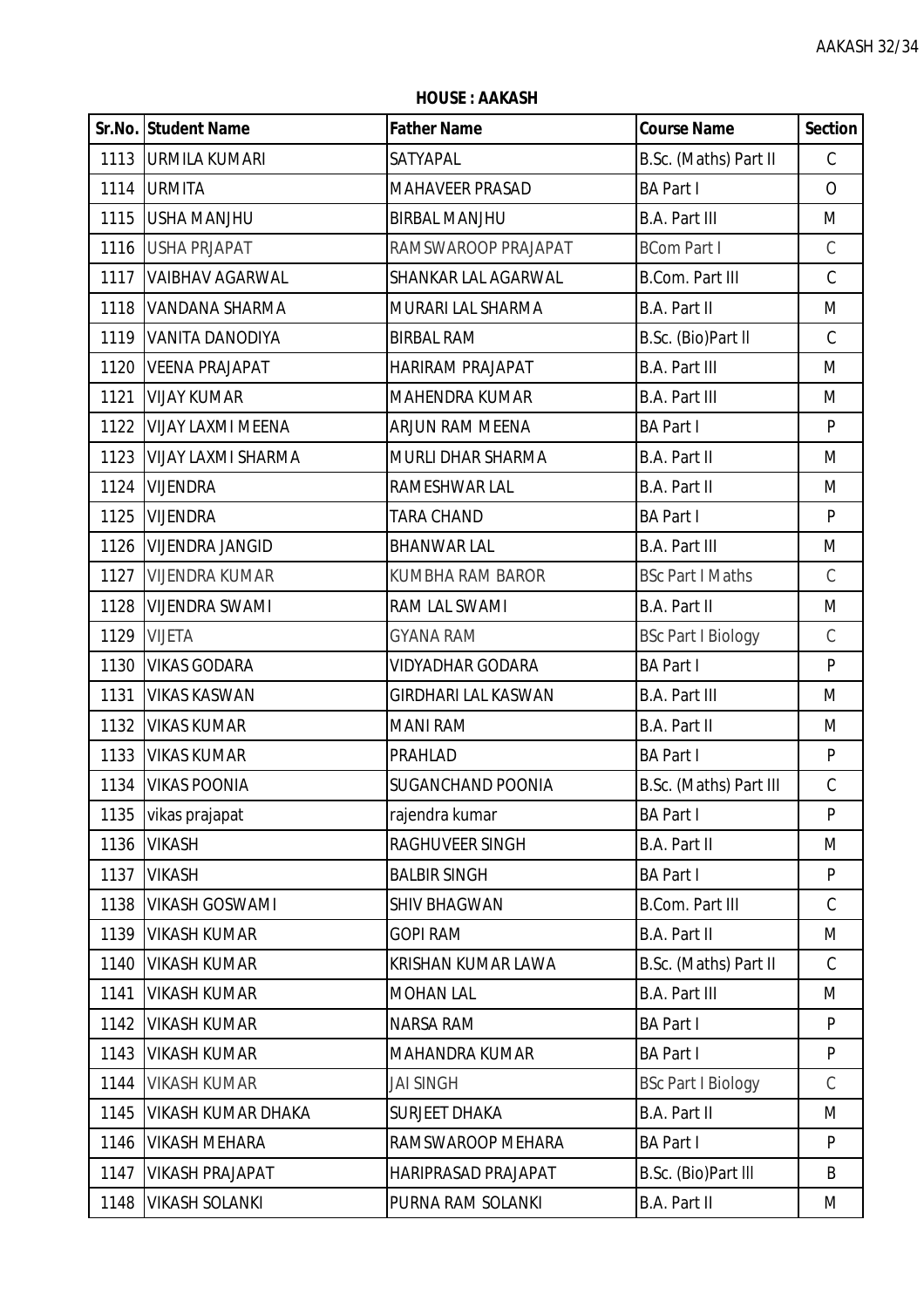**HOUSE : AAKASH**

|      | Sr.No. Student Name       | <b>Father Name</b>         | <b>Course Name</b>        | <b>Section</b> |
|------|---------------------------|----------------------------|---------------------------|----------------|
|      | 1113   URMILA KUMARI      | SATYAPAL                   | B.Sc. (Maths) Part II     | $\mathsf C$    |
|      | 1114 URMITA               | <b>MAHAVEER PRASAD</b>     | <b>BA Part I</b>          | $\overline{O}$ |
| 1115 | <b>USHA MANJHU</b>        | <b>BIRBAL MANJHU</b>       | <b>B.A. Part III</b>      | M              |
|      | 1116 USHA PRJAPAT         | RAMSWAROOP PRAJAPAT        | <b>BCom Part I</b>        | $\mathsf C$    |
| 1117 | <b>VAIBHAV AGARWAL</b>    | <b>SHANKAR LAL AGARWAL</b> | <b>B.Com. Part III</b>    | $\mathsf C$    |
| 1118 | VANDANA SHARMA            | MURARI LAL SHARMA          | B.A. Part II              | M              |
| 1119 | <b>VANITA DANODIYA</b>    | <b>BIRBAL RAM</b>          | B.Sc. (Bio)Part II        | $\mathcal{C}$  |
| 1120 | <b>VEENA PRAJAPAT</b>     | HARIRAM PRAJAPAT           | <b>B.A. Part III</b>      | M              |
| 1121 | <b>VIJAY KUMAR</b>        | <b>MAHENDRA KUMAR</b>      | <b>B.A. Part III</b>      | M              |
| 1122 | <b>VIJAY LAXMI MEENA</b>  | <b>ARJUN RAM MEENA</b>     | <b>BA Part I</b>          | P              |
| 1123 | <b>VIJAY LAXMI SHARMA</b> | MURLI DHAR SHARMA          | B.A. Part II              | M              |
| 1124 | <b>VIJENDRA</b>           | RAMESHWAR LAL              | B.A. Part II              | M              |
| 1125 | <b>VIJENDRA</b>           | <b>TARA CHAND</b>          | <b>BA Part I</b>          | P              |
| 1126 | <b>VIJENDRA JANGID</b>    | <b>BHANWAR LAL</b>         | <b>B.A. Part III</b>      | M              |
| 1127 | <b>VIJENDRA KUMAR</b>     | <b>KUMBHA RAM BAROR</b>    | <b>BSc Part I Maths</b>   | $\mathcal{C}$  |
| 1128 | <b>VIJENDRA SWAMI</b>     | RAM LAL SWAMI              | B.A. Part II              | M              |
| 1129 | <b>VIJETA</b>             | <b>GYANA RAM</b>           | <b>BSc Part I Biology</b> | $\mathsf C$    |
| 1130 | <b>VIKAS GODARA</b>       | <b>VIDYADHAR GODARA</b>    | <b>BA Part I</b>          | P              |
| 1131 | <b>VIKAS KASWAN</b>       | <b>GIRDHARI LAL KASWAN</b> | <b>B.A. Part III</b>      | M              |
| 1132 | <b>VIKAS KUMAR</b>        | <b>MANI RAM</b>            | B.A. Part II              | M              |
| 1133 | <b>VIKAS KUMAR</b>        | PRAHLAD                    | <b>BA Part I</b>          | P              |
|      | 1134   VIKAS POONIA       | <b>SUGANCHAND POONIA</b>   | B.Sc. (Maths) Part III    | $\mathsf C$    |
| 1135 | vikas prajapat            | rajendra kumar             | <b>BA Part I</b>          | P              |
| 1136 | <b>VIKASH</b>             | <b>RAGHUVEER SINGH</b>     | B.A. Part II              | M              |
| 1137 | <b>VIKASH</b>             | <b>BALBIR SINGH</b>        | <b>BA Part I</b>          | P              |
| 1138 | <b>VIKASH GOSWAMI</b>     | <b>SHIV BHAGWAN</b>        | <b>B.Com. Part III</b>    | $\mathcal{C}$  |
| 1139 | <b>VIKASH KUMAR</b>       | <b>GOPI RAM</b>            | B.A. Part II              | M              |
| 1140 | <b>VIKASH KUMAR</b>       | KRISHAN KUMAR LAWA         | B.Sc. (Maths) Part II     | $\mathsf C$    |
| 1141 | <b>VIKASH KUMAR</b>       | <b>MOHAN LAL</b>           | <b>B.A. Part III</b>      | M              |
| 1142 | <b>VIKASH KUMAR</b>       | NARSA RAM                  | <b>BA Part I</b>          | P              |
| 1143 | <b>VIKASH KUMAR</b>       | MAHANDRA KUMAR             | <b>BA Part I</b>          | P              |
| 1144 | <b>VIKASH KUMAR</b>       | <b>JAI SINGH</b>           | <b>BSc Part I Biology</b> | $\mathcal{C}$  |
| 1145 | <b>VIKASH KUMAR DHAKA</b> | <b>SURJEET DHAKA</b>       | <b>B.A. Part II</b>       | M              |
| 1146 | <b>VIKASH MEHARA</b>      | RAMSWAROOP MEHARA          | <b>BA Part I</b>          | P              |
| 1147 | <b>VIKASH PRAJAPAT</b>    | HARIPRASAD PRAJAPAT        | B.Sc. (Bio)Part III       | B              |
| 1148 | <b>VIKASH SOLANKI</b>     | PURNA RAM SOLANKI          | B.A. Part II              | M              |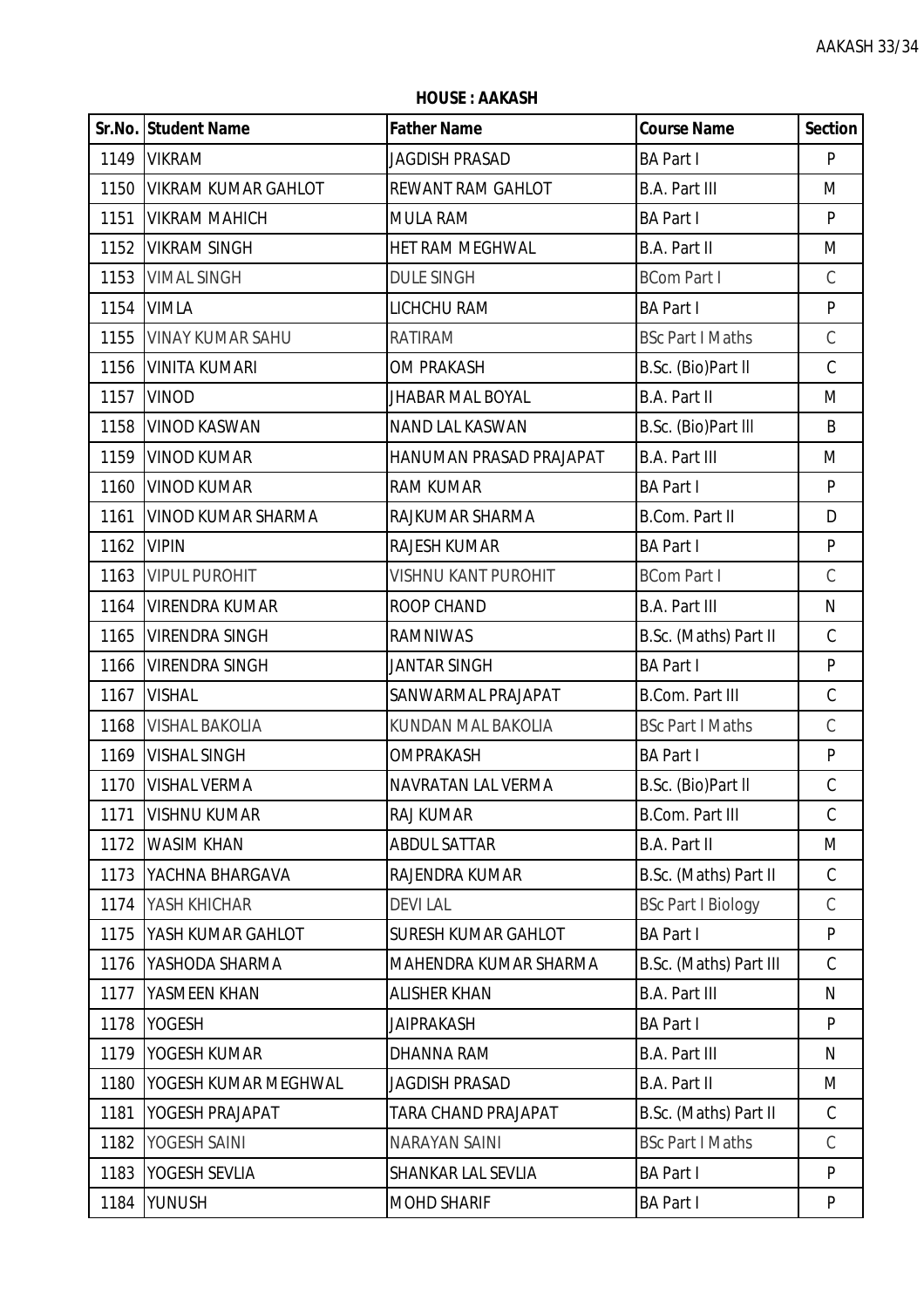**HOUSE : AAKASH**

|      | <b>Sr.No. Student Name</b> | <b>Father Name</b>         | <b>Course Name</b>        | <b>Section</b> |
|------|----------------------------|----------------------------|---------------------------|----------------|
|      | 1149 VIKRAM                | JAGDISH PRASAD             | <b>BA Part I</b>          | P              |
| 1150 | <b>VIKRAM KUMAR GAHLOT</b> | <b>REWANT RAM GAHLOT</b>   | <b>B.A. Part III</b>      | M              |
| 1151 | <b>VIKRAM MAHICH</b>       | <b>MULA RAM</b>            | <b>BA Part I</b>          | P              |
| 1152 | <b>VIKRAM SINGH</b>        | HET RAM MEGHWAL            | <b>B.A. Part II</b>       | M              |
| 1153 | <b>VIMAL SINGH</b>         | <b>DULE SINGH</b>          | <b>BCom Part I</b>        | $\mathsf C$    |
|      | 1154 VIMLA                 | LICHCHU RAM                | <b>BA Part I</b>          | ${\sf P}$      |
| 1155 | <b>VINAY KUMAR SAHU</b>    | <b>RATIRAM</b>             | <b>BSc Part I Maths</b>   | $\mathsf C$    |
| 1156 | <b>VINITA KUMARI</b>       | <b>OM PRAKASH</b>          | B.Sc. (Bio)Part II        | $\mathsf C$    |
| 1157 | <b>VINOD</b>               | <b>JHABAR MAL BOYAL</b>    | <b>B.A. Part II</b>       | M              |
| 1158 | <b>VINOD KASWAN</b>        | NAND LAL KASWAN            | B.Sc. (Bio)Part III       | B              |
| 1159 | <b>VINOD KUMAR</b>         | HANUMAN PRASAD PRAJAPAT    | <b>B.A. Part III</b>      | M              |
| 1160 | <b>VINOD KUMAR</b>         | <b>RAM KUMAR</b>           | <b>BA Part I</b>          | P              |
| 1161 | <b>VINOD KUMAR SHARMA</b>  | RAJKUMAR SHARMA            | <b>B.Com. Part II</b>     | D              |
| 1162 | <b>VIPIN</b>               | RAJESH KUMAR               | <b>BA Part I</b>          | ${\sf P}$      |
| 1163 | <b>VIPUL PUROHIT</b>       | <b>VISHNU KANT PUROHIT</b> | <b>BCom Part I</b>        | $\mathsf C$    |
| 1164 | <b>VIRENDRA KUMAR</b>      | ROOP CHAND                 | <b>B.A. Part III</b>      | N              |
| 1165 | <b>VIRENDRA SINGH</b>      | <b>RAMNIWAS</b>            | B.Sc. (Maths) Part II     | $\mathsf C$    |
| 1166 | <b>VIRENDRA SINGH</b>      | <b>JANTAR SINGH</b>        | <b>BA Part I</b>          | ${\sf P}$      |
| 1167 | <b>VISHAL</b>              | SANWARMAL PRAJAPAT         | <b>B.Com. Part III</b>    | $\mathsf C$    |
| 1168 | <b>VISHAL BAKOLIA</b>      | KUNDAN MAL BAKOLIA         | <b>BSc Part I Maths</b>   | $\mathsf C$    |
| 1169 | <b>VISHAL SINGH</b>        | OMPRAKASH                  | <b>BA Part I</b>          | ${\sf P}$      |
| 1170 | <b>VISHAL VERMA</b>        | NAVRATAN LAL VERMA         | B.Sc. (Bio)Part II        | $\mathsf C$    |
| 1171 | <b>VISHNU KUMAR</b>        | <b>RAJ KUMAR</b>           | <b>B.Com. Part III</b>    | C              |
| 1172 | <b>WASIM KHAN</b>          | <b>ABDUL SATTAR</b>        | <b>B.A. Part II</b>       | M              |
| 1173 | YACHNA BHARGAVA            | RAJENDRA KUMAR             | B.Sc. (Maths) Part II     | $\mathsf C$    |
| 1174 | YASH KHICHAR               | <b>DEVILAL</b>             | <b>BSc Part I Biology</b> | C              |
| 1175 | YASH KUMAR GAHLOT          | <b>SURESH KUMAR GAHLOT</b> | <b>BA Part I</b>          | P              |
| 1176 | YASHODA SHARMA             | MAHENDRA KUMAR SHARMA      | B.Sc. (Maths) Part III    | $\mathcal{C}$  |
| 1177 | YASMEEN KHAN               | <b>ALISHER KHAN</b>        | <b>B.A. Part III</b>      | N              |
| 1178 | <b>YOGESH</b>              | JAIPRAKASH                 | <b>BA Part I</b>          | P              |
| 1179 | YOGESH KUMAR               | <b>DHANNA RAM</b>          | <b>B.A. Part III</b>      | N              |
| 1180 | YOGESH KUMAR MEGHWAL       | <b>JAGDISH PRASAD</b>      | <b>B.A. Part II</b>       | M              |
| 1181 | YOGESH PRAJAPAT            | TARA CHAND PRAJAPAT        | B.Sc. (Maths) Part II     | $\mathsf C$    |
| 1182 | YOGESH SAINI               | <b>NARAYAN SAINI</b>       | <b>BSc Part I Maths</b>   | $\mathsf C$    |
| 1183 | <b>YOGESH SEVLIA</b>       | SHANKAR LAL SEVLIA         | <b>BA Part I</b>          | P              |
| 1184 | YUNUSH                     | <b>MOHD SHARIF</b>         | <b>BA Part I</b>          | P              |